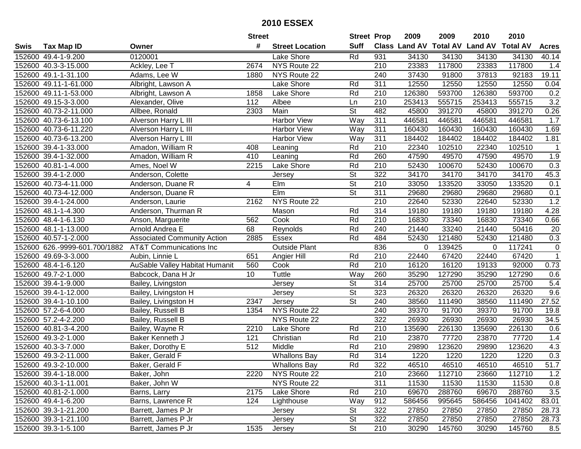|      |                               |                                    | <b>Street</b> |                        | <b>Street Prop</b>       |                  | 2009   | 2009   | 2010                           | 2010            |                |
|------|-------------------------------|------------------------------------|---------------|------------------------|--------------------------|------------------|--------|--------|--------------------------------|-----------------|----------------|
| Swis | <b>Tax Map ID</b>             | Owner                              | #             | <b>Street Location</b> | <b>Suff</b>              |                  |        |        | Class Land AV Total AV Land AV | <b>Total AV</b> | <b>Acres</b>   |
|      | 152600 49.4-1-9.200           | 0120001                            |               | Lake Shore             | Rd                       | 931              | 34130  | 34130  | 34130                          | 34130           | 40.14          |
|      | 152600 40.3-3-15.000          | Ackley, Lee T                      | 2674          | NYS Route 22           |                          | 210              | 23383  | 117800 | 23383                          | 117800          | 1.4            |
|      | 152600 49.1-1-31.100          | Adams, Lee W                       | 1880          | NYS Route 22           |                          | 240              | 37430  | 91800  | 37813                          | 92183           | 19.11          |
|      | 152600 49.11-1-61.000         | Albright, Lawson A                 |               | Lake Shore             | Rd                       | 311              | 12550  | 12550  | 12550                          | 12550           | 0.04           |
|      | 152600 49.11-1-53.000         | Albright, Lawson A                 | 1858          | Lake Shore             | Rd                       | 210              | 126380 | 593700 | 126380                         | 593700          | 0.2            |
|      | 152600 49.15-3-3.000          | Alexander, Olive                   | 112           | Albee                  | Ln                       | 210              | 253413 | 555715 | 253413                         | 555715          | 3.2            |
|      | 152600 40.73-2-11.000         | Allbee, Ronald                     | 2303          | Main                   | <b>St</b>                | 482              | 45800  | 391270 | 45800                          | 391270          | 0.26           |
|      | 152600 40.73-6-13.100         | Alverson Harry L III               |               | <b>Harbor View</b>     | Way                      | 311              | 446581 | 446581 | 446581                         | 446581          | 1.7            |
|      | 152600 40.73-6-11.220         | Alverson Harry L III               |               | <b>Harbor View</b>     | Way                      | 311              | 160430 | 160430 | 160430                         | 160430          | 1.69           |
|      | 152600 40.73-6-13.200         | Alverson Harry L III               |               | <b>Harbor View</b>     | Way                      | 311              | 184402 | 184402 | 184402                         | 184402          | 1.81           |
|      | 152600 39.4-1-33.000          | Amadon, William R                  | 408           | Leaning                | Rd                       | 210              | 22340  | 102510 | 22340                          | 102510          | -1             |
|      | 152600 39.4-1-32.000          | Amadon, William R                  | 410           | Leaning                | Rd                       | 260              | 47590  | 49570  | 47590                          | 49570           | 1.9            |
|      | 152600 40.81-1-4.000          | Ames, Noel W                       | 2215          | Lake Shore             | Rd                       | 210              | 52430  | 100670 | 52430                          | 100670          | 0.3            |
|      | 152600 39.4-1-2.000           | Anderson, Colette                  |               | Jersey                 | $\overline{\mathsf{St}}$ | 322              | 34170  | 34170  | 34170                          | 34170           | 45.3           |
|      | 152600 40.73-4-11.000         | Anderson, Duane R                  | 4             | EIm                    | $\overline{St}$          | $\overline{210}$ | 33050  | 133520 | 33050                          | 133520          | 0.1            |
|      | 152600 40.73-4-12.000         | Anderson, Duane R                  |               | EIm                    | $\overline{\mathsf{St}}$ | 311              | 29680  | 29680  | 29680                          | 29680           | 0.1            |
|      | 152600 39.4-1-24.000          | Anderson, Laurie                   | 2162          | NYS Route 22           |                          | 210              | 22640  | 52330  | 22640                          | 52330           | 1.2            |
|      | 152600 48.1-1-4.300           | Anderson, Thurman R                |               | Mason                  | Rd                       | 314              | 19180  | 19180  | 19180                          | 19180           | 4.28           |
|      | 152600 48.4-1-6.130           | Anson, Marguerite                  | 562           | Cook                   | Rd                       | $\overline{210}$ | 16830  | 73340  | 16830                          | 73340           | 0.66           |
|      | 152600 48.1-1-13.000          | Arnold Andrea E                    | 68            | Reynolds               | Rd                       | 240              | 21440  | 33240  | 21440                          | 50416           | 20             |
|      | 152600 40.57-1-2.000          | <b>Associated Community Action</b> | 2885          | <b>Essex</b>           | Rd                       | 484              | 52430  | 121480 | 52430                          | 121480          | 0.3            |
|      | 152600 626.-9999-601.700/1882 | <b>AT&amp;T Communications Inc</b> |               | <b>Outside Plant</b>   |                          | 836              | 0      | 139425 | 0                              | 117241          | $\mathsf 0$    |
|      | 152600 49.69-3-3.000          | Aubin, Linnie L                    | 651           | Angier Hill            | Rd                       | 210              | 22440  | 67420  | 22440                          | 67420           | $\overline{1}$ |
|      | 152600 48.4-1-6.120           | AuSable Valley Habitat Humanit     | 560           | Cook                   | Rd                       | 210              | 16120  | 16120  | 19133                          | 92000           | 0.73           |
|      | 152600 49.7-2-1.000           | Babcock, Dana H Jr                 | 10            | Tuttle                 | Way                      | 260              | 35290  | 127290 | 35290                          | 127290          | 0.6            |
|      | 152600 39.4-1-9.000           | Bailey, Livingston                 |               | Jersey                 | $\overline{\mathsf{St}}$ | 314              | 25700  | 25700  | 25700                          | 25700           | 5.4            |
|      | 152600 39.4-1-12.000          | Bailey, Livingston H               |               | Jersey                 | $\overline{\mathsf{St}}$ | 323              | 26320  | 26320  | 26320                          | 26320           | 9.6            |
|      | 152600 39.4-1-10.100          | Bailey, Livingston H               | 2347          | Jersey                 | $\overline{\mathsf{St}}$ | 240              | 38560  | 111490 | 38560                          | 111490          | 27.52          |
|      | 152600 57.2-6-4.000           | Bailey, Russell B                  | 1354          | NYS Route 22           |                          | 240              | 39370  | 91700  | 39370                          | 91700           | 19.8           |
|      | 152600 57.2-4-2.200           | Bailey, Russell B                  |               | NYS Route 22           |                          | 322              | 26930  | 26930  | 26930                          | 26930           | 34.5           |
|      | 152600 40.81-3-4.200          | Bailey, Wayne R                    | 2210          | Lake Shore             | Rd                       | 210              | 135690 | 226130 | 135690                         | 226130          | 0.6            |
|      | 152600 49.3-2-1.000           | Baker Kenneth J                    | 121           | Christian              | Rd                       | 210              | 23870  | 77720  | 23870                          | 77720           | 1.4            |
|      | 152600 40.3-3-7.000           | Baker, Dorothy E                   | 512           | Middle                 | Rd                       | 210              | 29890  | 123620 | 29890                          | 123620          | 4.3            |
|      | 152600 49.3-2-11.000          | Baker, Gerald F                    |               | <b>Whallons Bay</b>    | Rd                       | 314              | 1220   | 1220   | 1220                           | 1220            | 0.3            |
|      | 152600 49.3-2-10.000          | Baker, Gerald F                    |               | <b>Whallons Bay</b>    | Rd                       | 322              | 46510  | 46510  | 46510                          | 46510           | 51.7           |
|      | 152600 39.4-1-18.000          | Baker, John                        | 2220          | NYS Route 22           |                          | 210              | 23660  | 112710 | 23660                          | 112710          | 1.2            |
|      | 152600 40.3-1-11.001          | Baker, John W                      |               | NYS Route 22           |                          | 311              | 11530  | 11530  | 11530                          | 11530           | 0.8            |
|      | 152600 40.81-2-1.000          | Barns, Larry                       | 2175          | Lake Shore             | Rd                       | 210              | 69670  | 288760 | 69670                          | 288760          | 3.5            |
|      | 152600 49.4-1-6.200           | Barns, Lawrence R                  | 124           | Lighthouse             | Way                      | 912              | 586456 | 995645 | 586456                         | 1041402         | 83.01          |
|      | 152600 39.3-1-21.200          | Barrett, James P Jr                |               | Jersey                 | <b>St</b>                | 322              | 27850  | 27850  | 27850                          | 27850           | 28.73          |
|      | 152600 39.3-1-21.100          | Barrett, James P Jr                |               | Jersey                 | <b>St</b>                | 322              | 27850  | 27850  | 27850                          | 27850           | 28.73          |
|      | 152600 39.3-1-5.100           | Barrett, James P Jr                | 1535          | Jersey                 | $\overline{\mathsf{St}}$ | $\overline{210}$ | 30290  | 145760 | 30290                          | 145760          | 8.5            |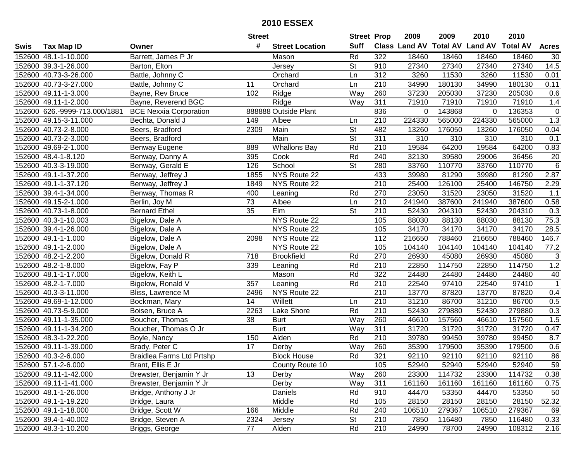|      |                               |                                  | <b>Street</b>   |                        | <b>Street Prop</b>       |                  | 2009   | 2009   | 2010                           | 2010            |                   |
|------|-------------------------------|----------------------------------|-----------------|------------------------|--------------------------|------------------|--------|--------|--------------------------------|-----------------|-------------------|
| Swis | <b>Tax Map ID</b>             | Owner                            | #               | <b>Street Location</b> | <b>Suff</b>              |                  |        |        | Class Land AV Total AV Land AV | <b>Total AV</b> | <b>Acres</b>      |
|      | 152600 48.1-1-10.000          | Barrett, James P Jr              |                 | Mason                  | Rd                       | 322              | 18460  | 18460  | 18460                          | 18460           | 30                |
|      | 152600 39.3-1-26.000          | Barton, Elton                    |                 | Jersey                 | <b>St</b>                | 910              | 27340  | 27340  | 27340                          | 27340           | 14.5              |
|      | 152600 40.73-3-26.000         | Battle, Johnny C                 |                 | Orchard                | Ln                       | 312              | 3260   | 11530  | 3260                           | 11530           | 0.01              |
|      | 152600 40.73-3-27.000         | Battle, Johnny C                 | 11              | Orchard                | Ln                       | 210              | 34990  | 180130 | 34990                          | 180130          | 0.11              |
|      | 152600 49.11-1-3.000          | Bayne, Rev Bruce                 | 102             | Ridge                  | Way                      | 260              | 37230  | 205030 | 37230                          | 205030          | 0.6               |
|      | 152600 49.11-1-2.000          | Bayne, Reverend BGC              |                 | Ridge                  | Way                      | 311              | 71910  | 71910  | 71910                          | 71910           | 1.4               |
|      | 152600 626.-9999-713.000/1881 | <b>BCE Nexxia Corporation</b>    |                 | 888888 Outside Plant   |                          | 836              | 0      | 143868 | 0                              | 136353          | $\mathbf 0$       |
|      | 152600 49.15-3-11.000         | Bechta, Donald J                 | 149             | Albee                  | Ln                       | 210              | 224330 | 565000 | 224330                         | 565000          | 1.3               |
|      | 152600 40.73-2-8.000          | Beers, Bradford                  | 2309            | Main                   | $\overline{\mathsf{St}}$ | 482              | 13260  | 176050 | 13260                          | 176050          | 0.04              |
|      | 152600 40.73-2-3.000          | Beers, Bradford                  |                 | Main                   | $\overline{\mathsf{St}}$ | 311              | 310    | 310    | 310                            | 310             | 0.1               |
|      | 152600 49.69-2-1.000          | Benway Eugene                    | 889             | <b>Whallons Bay</b>    | Rd                       | 210              | 19584  | 64200  | 19584                          | 64200           | 0.83              |
|      | 152600 48.4-1-8.120           | Benway, Danny A                  | 395             | Cook                   | Rd                       | 240              | 32130  | 39580  | 29006                          | 36456           | 20                |
|      | 152600 40.3-3-19.000          | Benway, Gerald E                 | 126             | School                 | $\overline{\mathsf{St}}$ | 280              | 33760  | 110770 | 33760                          | 110770          | $\,6\,$           |
|      | 152600 49.1-1-37.200          | Benway, Jeffrey J                | 1855            | NYS Route 22           |                          | 433              | 39980  | 81290  | 39980                          | 81290           | 2.87              |
|      | 152600 49.1-1-37.120          | Benway, Jeffrey J                | 1849            | NYS Route 22           |                          | 210              | 25400  | 126100 | 25400                          | 146750          | 2.29              |
|      | 152600 39.4-1-34.000          | Benway, Thomas R                 | 400             | Leaning                | Rd                       | 270              | 23050  | 31520  | 23050                          | 31520           | 1.1               |
|      | 152600 49.15-2-1.000          | Berlin, Joy M                    | 73              | Albee                  | Ln                       | 210              | 241940 | 387600 | 241940                         | 387600          | 0.58              |
|      | 152600 40.73-1-8.000          | <b>Bernard Ethel</b>             | $\overline{35}$ | Elm                    | $\overline{\mathsf{St}}$ | 210              | 52430  | 204310 | 52430                          | 204310          | 0.3               |
|      | 152600 40.3-1-10.003          | Bigelow, Dale A                  |                 | NYS Route 22           |                          | 105              | 88030  | 88130  | 88030                          | 88130           | 75.3              |
|      | 152600 39.4-1-26.000          | Bigelow, Dale A                  |                 | NYS Route 22           |                          | 105              | 34170  | 34170  | 34170                          | 34170           | 28.5              |
|      | 152600 49.1-1-1.000           | Bigelow, Dale A                  | 2098            | NYS Route 22           |                          | 112              | 216650 | 788460 | 216650                         | 788460          | 146.7             |
|      | 152600 49.1-1-2.000           | Bigelow, Dale A                  |                 | NYS Route 22           |                          | 105              | 104140 | 104140 | 104140                         | 104140          | 77.2              |
|      | 152600 48.2-1-2.200           | Bigelow, Donald R                | 718             | <b>Brookfield</b>      | Rd                       | 270              | 26930  | 45080  | 26930                          | 45080           | $\sqrt{3}$        |
|      | 152600 48.2-1-8.000           | Bigelow, Fay P                   | 339             | Leaning                | Rd                       | 210              | 22850  | 114750 | 22850                          | 114750          | 1.2               |
|      | 152600 48.1-1-17.000          | Bigelow, Keith L                 |                 | Mason                  | Rd                       | 322              | 24480  | 24480  | 24480                          | 24480           | 40                |
|      | 152600 48.2-1-7.000           | Bigelow, Ronald V                | 357             | Leaning                | Rd                       | 210              | 22540  | 97410  | 22540                          | 97410           | $\mathbf{1}$      |
|      | 152600 40.3-3-11.000          | Bliss, Lawrence M                | 2496            | NYS Route 22           |                          | 210              | 13770  | 87820  | 13770                          | 87820           | 0.4               |
|      | 152600 49.69-1-12.000         | Bockman, Mary                    | 14              | Willett                | Ln                       | 210              | 31210  | 86700  | 31210                          | 86700           | 0.5               |
|      | 152600 40.73-5-9.000          | Boisen, Bruce A                  | 2263            | Lake Shore             | Rd                       | $\overline{210}$ | 52430  | 279880 | 52430                          | 279880          | 0.3               |
|      | 152600 49.11-1-35.000         | Boucher, Thomas                  | 38              | <b>Burt</b>            | Way                      | 260              | 46610  | 157560 | 46610                          | 157560          | 1.5               |
|      | 152600 49.11-1-34.200         | Boucher, Thomas O Jr             |                 | <b>Burt</b>            | Way                      | 311              | 31720  | 31720  | 31720                          | 31720           | 0.47              |
|      | 152600 48.3-1-22.200          | Boyle, Nancy                     | 150             | Alden                  | Rd                       | 210              | 39780  | 99450  | 39780                          | 99450           | 8.7               |
|      | 152600 49.11-1-39.000         | Brady, Peter C                   | $\overline{17}$ | Derby                  | $\overline{Way}$         | 260              | 35390  | 179500 | 35390                          | 179500          | 0.6               |
|      | 152600 40.3-2-6.000           | <b>Braidlea Farms Ltd Prtshp</b> |                 | <b>Block House</b>     | Rd                       | 321              | 92110  | 92110  | 92110                          | 92110           | 86                |
|      | 152600 57.1-2-6.000           | Brant, Ellis E Jr                |                 | County Route 10        |                          | 105              | 52940  | 52940  | 52940                          | 52940           | 59                |
|      | 152600 49.11-1-42.000         | Brewster, Benjamin Y Jr          | 13              | Derby                  | Way                      | 260              | 23300  | 114732 | 23300                          | 114732          | 0.38              |
|      | 152600 49.11-1-41.000         | Brewster, Benjamin Y Jr          |                 | Derby                  | Way                      | 311              | 161160 | 161160 | 161160                         | 161160          | 0.75              |
|      | 152600 48.1-1-26.000          | Bridge, Anthony J Jr             |                 | Daniels                | Rd                       | 910              | 44470  | 53350  | 44470                          | 53350           | 50                |
|      | 152600 49.1-1-19.220          | Bridge, Laura                    |                 | Middle                 | Rd                       | 105              | 28150  | 28150  | 28150                          | 28150           | 52.32             |
|      | 152600 49.1-1-18.000          | Bridge, Scott W                  | 166             | Middle                 | Rd                       | 240              | 106510 | 279367 | 106510                         | 279367          | 69                |
|      | 152600 39.4-1-40.002          | Bridge, Steven A                 | 2324            | Jersey                 | <b>St</b>                | 210              | 7850   | 116480 | 7850                           | 116480          | 0.33              |
|      | 152600 48.3-1-10.200          | Briggs, George                   | 77              | Alden                  | Rd                       | 210              | 24990  | 78700  | 24990                          | 108312          | $\overline{2.16}$ |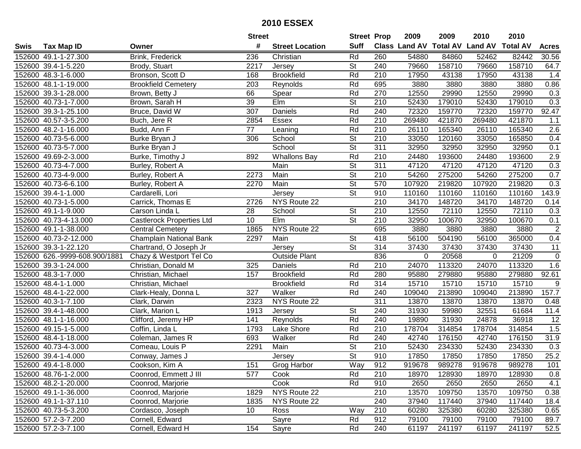|      |                               |                                  | <b>Street</b>   |                        | <b>Street Prop</b>       |                  | 2009   | 2009   | 2010                           | 2010            |              |
|------|-------------------------------|----------------------------------|-----------------|------------------------|--------------------------|------------------|--------|--------|--------------------------------|-----------------|--------------|
| Swis | <b>Tax Map ID</b>             | Owner                            | #               | <b>Street Location</b> | <b>Suff</b>              |                  |        |        | Class Land AV Total AV Land AV | <b>Total AV</b> | <b>Acres</b> |
|      | 152600 49.1-1-27.300          | Brink, Frederick                 | 236             | Christian              | Rd                       | 260              | 54880  | 84860  | 52462                          | 82442           | 30.56        |
|      | 152600 39.4-1-5.220           | Brody, Stuart                    | 2217            | Jersey                 | <b>St</b>                | 240              | 79660  | 158710 | 79660                          | 158710          | 64.7         |
|      | 152600 48.3-1-6.000           | Bronson, Scott D                 | 168             | <b>Brookfield</b>      | Rd                       | 210              | 17950  | 43138  | 17950                          | 43138           | 1.4          |
|      | 152600 48.1-1-19.000          | <b>Brookfield Cemetery</b>       | 203             | Reynolds               | Rd                       | 695              | 3880   | 3880   | 3880                           | 3880            | 0.86         |
|      | 152600 39.3-1-28.000          | Brown, Betty J                   | 66              | Spear                  | Rd                       | 270              | 12550  | 29990  | 12550                          | 29990           | 0.3          |
|      | 152600 40.73-1-7.000          | Brown, Sarah H                   | 39              | EIm                    | $\overline{\mathsf{St}}$ | 210              | 52430  | 179010 | 52430                          | 179010          | 0.3          |
|      | 152600 39.3-1-25.100          | Bruce, David W                   | 307             | Daniels                | Rd                       | 240              | 72320  | 159770 | 72320                          | 159770          | 92.47        |
|      | 152600 40.57-3-5.200          | Buch, Jere R                     | 2854            | Essex                  | Rd                       | 210              | 269480 | 421870 | 269480                         | 421870          | 1.1          |
|      | 152600 48.2-1-16.000          | Budd, Ann F                      | $\overline{77}$ | Leaning                | Rd                       | $\overline{210}$ | 26110  | 165340 | 26110                          | 165340          | 2.6          |
|      | 152600 40.73-5-6.000          | Burke Bryan J                    | 306             | School                 | $\overline{\mathsf{St}}$ | 210              | 33050  | 120160 | 33050                          | 165850          | 0.4          |
|      | 152600 40.73-5-7.000          | Burke Bryan J                    |                 | School                 | $\overline{\mathsf{St}}$ | 311              | 32950  | 32950  | 32950                          | 32950           | 0.1          |
|      | 152600 49.69-2-3.000          | Burke, Timothy J                 | 892             | <b>Whallons Bay</b>    | Rd                       | 210              | 24480  | 193600 | 24480                          | 193600          | 2.9          |
|      | 152600 40.73-4-7.000          | Burley, Robert A                 |                 | Main                   | $\overline{\mathsf{St}}$ | 311              | 47120  | 47120  | 47120                          | 47120           | 0.3          |
|      | 152600 40.73-4-9.000          | Burley, Robert A                 | 2273            | Main                   | $\overline{\mathsf{St}}$ | 210              | 54260  | 275200 | 54260                          | 275200          | 0.7          |
|      | 152600 40.73-6-6.100          | Burley, Robert A                 | 2270            | Main                   | $\overline{\mathsf{St}}$ | 570              | 107920 | 219820 | 107920                         | 219820          | 0.3          |
|      | 152600 39.4-1-1.000           | Cardarelli, Lori                 |                 | Jersey                 | $\overline{\mathsf{St}}$ | 910              | 110160 | 110160 | 110160                         | 110160          | 143.9        |
|      | 152600 40.73-1-5.000          | Carrick, Thomas E                | 2726            | NYS Route 22           |                          | $\overline{210}$ | 34170  | 148720 | 34170                          | 148720          | 0.14         |
|      | 152600 49.1-1-9.000           | Carson Linda L                   | 28              | School                 | <b>St</b>                | 210              | 12550  | 72110  | 12550                          | 72110           | 0.3          |
|      | 152600 40.73-4-13.000         | <b>Castlerock Properties Ltd</b> | 10              | Elm                    | <b>St</b>                | 210              | 32950  | 100670 | 32950                          | 100670          | 0.1          |
|      | 152600 49.1-1-38.000          | <b>Central Cemetery</b>          | 1865            | NYS Route 22           |                          | 695              | 3880   | 3880   | 3880                           | 3880            | $\sqrt{2}$   |
|      | 152600 40.73-2-12.000         | Champlain National Bank          | 2297            | Main                   | <b>St</b>                | 418              | 56100  | 504190 | 56100                          | 365000          | 0.4          |
|      | 152600 39.3-1-22.120          | Chartrand, O Joseph Jr           |                 | Jersey                 | <b>St</b>                | 314              | 37430  | 37430  | 37430                          | 37430           | 11           |
|      | 152600 626.-9999-608.900/1881 | Chazy & Westport Tel Co          |                 | <b>Outside Plant</b>   |                          | 836              | 0      | 20568  | 0                              | 21209           | $\mathbf 0$  |
|      | 152600 39.3-1-24.000          | Christian, Donald M              | 325             | Daniels                | Rd                       | 210              | 24070  | 113320 | 24070                          | 113320          | 1.6          |
|      | 152600 48.3-1-7.000           | Christian, Michael               | 157             | <b>Brookfield</b>      | Rd                       | 280              | 95880  | 279880 | 95880                          | 279880          | 92.61        |
|      | 152600 48.4-1-1.000           | Christian, Michael               |                 | <b>Brookfield</b>      | Rd                       | 314              | 15710  | 15710  | 15710                          | 15710           | 9            |
|      | 152600 48.4-1-22.000          | Clark-Healy, Donna L             | 327             | Walker                 | Rd                       | 240              | 109040 | 213890 | 109040                         | 213890          | 157.7        |
|      | 152600 40.3-1-7.100           | Clark, Darwin                    | 2323            | NYS Route 22           |                          | 311              | 13870  | 13870  | 13870                          | 13870           | 0.48         |
|      | 152600 39.4-1-48.000          | Clark, Marion L                  | 1913            | Jersey                 | <b>St</b>                | 240              | 31930  | 59980  | 32551                          | 61684           | 11.4         |
|      | 152600 48.1-1-16.000          | Clifford, Jeremy HP              | 141             | Reynolds               | Rd                       | 240              | 19890  | 31930  | 24878                          | 36918           | 12           |
|      | 152600 49.15-1-5.000          | Coffin, Linda L                  | 1793            | <b>Lake Shore</b>      | Rd                       | $\overline{210}$ | 178704 | 314854 | 178704                         | 314854          | 1.5          |
|      | 152600 48.4-1-18.000          | Coleman, James R                 | 693             | Walker                 | Rd                       | 240              | 42740  | 176150 | 42740                          | 176150          | 31.9         |
|      | 152600 40.73-4-3.000          | Comeau, Louis P                  | 2291            | Main                   | $\overline{\mathsf{St}}$ | $\overline{210}$ | 52430  | 234330 | 52430                          | 234330          | 0.3          |
|      | 152600 39.4-1-4.000           | Conway, James J                  |                 | Jersey                 | $\overline{\mathsf{St}}$ | 910              | 17850  | 17850  | 17850                          | 17850           | 25.2         |
|      | 152600 49.4-1-8.000           | Cookson, Kim A                   | 151             | Grog Harbor            | Way                      | 912              | 919678 | 989278 | 919678                         | 989278          | 101          |
|      | 152600 48.76-1-2.000          | Coonrod, Emmett J III            | 577             | Cook                   | Rd                       | 210              | 18970  | 128930 | 18970                          | 128930          | 0.8          |
|      | 152600 48.2-1-20.000          | Coonrod, Marjorie                |                 | Cook                   | Rd                       | 910              | 2650   | 2650   | 2650                           | 2650            | 4.1          |
|      | 152600 49.1-1-36.000          | Coonrod, Marjorie                | 1829            | NYS Route 22           |                          | 210              | 13570  | 109750 | 13570                          | 109750          | 0.38         |
|      | 152600 49.1-1-37.110          | Coonrod, Marjorie                | 1835            | NYS Route 22           |                          | 240              | 37940  | 117440 | 37940                          | 117440          | 18.4         |
|      | 152600 40.73-5-3.200          | Cordasco, Joseph                 | 10 <sup>°</sup> | Ross                   | Way                      | 210              | 60280  | 325380 | 60280                          | 325380          | 0.65         |
|      | 152600 57.2-3-7.200           | Cornell, Edward                  |                 | Sayre                  | Rd                       | 912              | 79100  | 79100  | 79100                          | 79100           | 89.7         |
|      | 152600 57.2-3-7.100           | Cornell, Edward H                | 154             | Sayre                  | Rd                       | 240              | 61197  | 241197 | 61197                          | 241197          | 52.5         |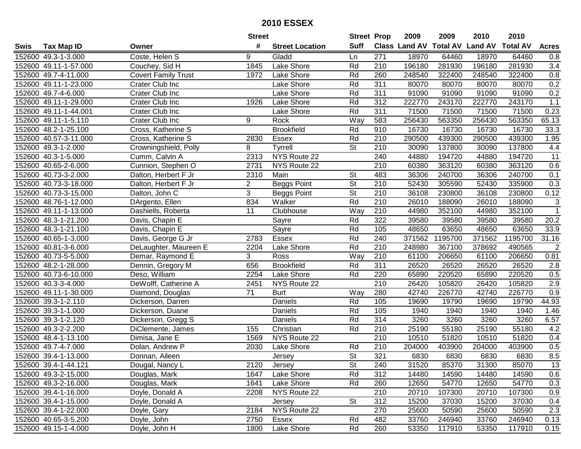|      |                       |                            | <b>Street</b>  |                        | <b>Street Prop</b>       |                  | 2009                          | 2009    | 2010           | 2010            |                |
|------|-----------------------|----------------------------|----------------|------------------------|--------------------------|------------------|-------------------------------|---------|----------------|-----------------|----------------|
| Swis | <b>Tax Map ID</b>     | Owner                      | #              | <b>Street Location</b> | <b>Suff</b>              |                  | <b>Class Land AV Total AV</b> |         | <b>Land AV</b> | <b>Total AV</b> | <b>Acres</b>   |
|      | 152600 49.3-1-3.000   | Coste, Helen S             | 9              | Gladd                  | Ln                       | 271              | 18970                         | 64460   | 18970          | 64460           | 0.8            |
|      | 152600 49.11-1-57.000 | Couchey, Sid H             | 1845           | Lake Shore             | Rd                       | 210              | 196180                        | 281930  | 196180         | 281930          | 3.4            |
|      | 152600 49.7-4-11.000  | <b>Covert Family Trust</b> | 1972           | Lake Shore             | Rd                       | 260              | 248540                        | 322400  | 248540         | 322400          | 0.8            |
|      | 152600 49.11-1-23.000 | Crater Club Inc            |                | Lake Shore             | Rd                       | 311              | 80070                         | 80070   | 80070          | 80070           | 0.2            |
|      | 152600 49.7-4-6.000   | Crater Club Inc            |                | Lake Shore             | Rd                       | 311              | 91090                         | 91090   | 91090          | 91090           | 0.2            |
|      | 152600 49.11-1-29.000 | Crater Club Inc            | 1926           | Lake Shore             | Rd                       | 312              | 222770                        | 243170  | 222770         | 243170          | 1.1            |
|      | 152600 49.11-1-44.001 | Crater Club Inc            |                | Lake Shore             | Rd                       | 311              | 71500                         | 71500   | 71500          | 71500           | 0.23           |
|      | 152600 49.11-1-5.110  | Crater Club Inc            | 9              | Rock                   | Way                      | 583              | 256430                        | 563350  | 256430         | 563350          | 65.13          |
|      | 152600 48.2-1-25.100  | Cross, Katherine S         |                | <b>Brookfield</b>      | Rd                       | 910              | 16730                         | 16730   | 16730          | 16730           | 33.3           |
|      | 152600 40.57-3-11.000 | Cross, Katherine S         | 2830           | Essex                  | Rd                       | 210              | 290500                        | 439300  | 290500         | 439300          | 1.95           |
|      | 152600 49.3-1-2.000   | Crowningshield, Polly      | 8              | Tyrrell                | St                       | 210              | 30090                         | 137800  | 30090          | 137800          | 4.4            |
|      | 152600 40.3-1-5.000   | Cumm, Calvin A             | 2313           | NYS Route 22           |                          | 240              | 44880                         | 194720  | 44880          | 194720          | 11             |
|      | 152600 40.65-2-6.000  | Cunnion, Stephen O         | 2731           | NYS Route 22           |                          | 210              | 60380                         | 363120  | 60380          | 363120          | 0.6            |
|      | 152600 40.73-3-2.000  | Dalton, Herbert F Jr       | 2310           | Main                   | <b>St</b>                | 483              | 36306                         | 240700  | 36306          | 240700          | 0.1            |
|      | 152600 40.73-3-18.000 | Dalton, Herbert F Jr       | $\overline{2}$ | Beggs Point            | $\overline{\mathsf{St}}$ | 210              | 52430                         | 305590  | 52430          | 335900          | 0.3            |
|      | 152600 40.73-3-15.000 | Dalton, John C             | 3              | <b>Beggs Point</b>     | $\overline{\mathsf{St}}$ | 210              | 36108                         | 230800  | 36108          | 230800          | 0.12           |
|      | 152600 48.76-1-12.000 | DArgento, Ellen            | 834            | Walker                 | Rd                       | 210              | 26010                         | 188090  | 26010          | 188090          | $\sqrt{3}$     |
|      | 152600 49.11-1-13.000 | Dashiells, Roberta         | 11             | Clubhouse              | Way                      | 210              | 44980                         | 352100  | 44980          | 352100          | $\mathbf{1}$   |
|      | 152600 48.3-1-21.200  | Davis, Chapin E            |                | Sayre                  | Rd                       | 322              | 39580                         | 39580   | 39580          | 39580           | 20.2           |
|      | 152600 48.3-1-21.100  | Davis, Chapin E            |                | Sayre                  | Rd                       | 105              | 48650                         | 63650   | 48650          | 63650           | 33.9           |
|      | 152600 40.65-1-3.000  | Davis, George G Jr         | 2783           | Essex                  | Rd                       | 240              | 371562                        | 1195700 | 371562         | 1195700         | 31.16          |
|      | 152600 40.81-3-6.000  | DeLaughter, Maureen E      | 2204           | Lake Shore             | Rd                       | 210              | 248980                        | 367100  | 378692         | 490565          | $\overline{2}$ |
|      | 152600 40.73-5-5.000  | Demar, Raymond E           | 3              | Ross                   | Way                      | 210              | 61100                         | 206650  | 61100          | 206650          | 0.81           |
|      | 152600 48.2-1-28.000  | Dennin, Gregory M          | 656            | <b>Brookfield</b>      | Rd                       | 311              | 26520                         | 26520   | 26520          | 26520           | 2.8            |
|      | 152600 40.73-6-10.000 | Deso, William              | 2254           | Lake Shore             | Rd                       | 220              | 65890                         | 220520  | 65890          | 220520          | 0.5            |
|      | 152600 40.3-3-4.000   | DeWolff, Catherine A       | 2451           | NYS Route 22           |                          | 210              | 26420                         | 105820  | 26420          | 105820          | 2.9            |
|      | 152600 49.11-1-30.000 | Diamond, Douglas           | 71             | <b>Burt</b>            | Way                      | 280              | 42740                         | 226770  | 42740          | 226770          | 0.9            |
|      | 152600 39.3-1-2.110   | Dickerson, Darren          |                | Daniels                | Rd                       | 105              | 19690                         | 19790   | 19690          | 19790           | 44.93          |
|      | 152600 39.3-1-1.000   | Dickerson, Duane           |                | Daniels                | Rd                       | 105              | 1940                          | 1940    | 1940           | 1940            | 1.46           |
|      | 152600 39.3-1-2.120   | Dickerson, Gregg S         |                | Daniels                | Rd                       | 314              | 3260                          | 3260    | 3260           | 3260            | 6.57           |
|      | 152600 49.3-2-2.200   | DiClemente, James          | 155            | Christian              | Rd                       | $\overline{210}$ | 25190                         | 55180   | 25190          | 55180           | 4.2            |
|      | 152600 48.4-1-13.100  | Dimisa, Jane E             | 1569           | NYS Route 22           |                          | $\overline{210}$ | 10510                         | 51820   | 10510          | 51820           | 0.4            |
|      | 152600 49.7-4-7.000   | Dolan, Andrew P            | 2030           | Lake Shore             | Rd                       | $\overline{210}$ | 204000                        | 403900  | 204000         | 403900          | 0.5            |
|      | 152600 39.4-1-13.000  | Donnan, Aileen             |                | Jersey                 | $\overline{\mathsf{St}}$ | 321              | 6830                          | 6830    | 6830           | 6830            | 8.5            |
|      | 152600 39.4-1-44.121  | Dougal, Nancy L            | 2120           | Jersey                 | <b>St</b>                | 240              | 31520                         | 85370   | 31300          | 85070           | 13             |
|      | 152600 49.3-2-15.000  | Douglas, Mark              | 1647           | Lake Shore             | Rd                       | 312              | 14480                         | 14590   | 14480          | 14590           | 0.6            |
|      | 152600 49.3-2-16.000  | Douglas, Mark              | 1641           | Lake Shore             | Rd                       | 260              | 12650                         | 54770   | 12650          | 54770           | 0.3            |
|      | 152600 39.4-1-16.000  | Doyle, Donald A            | 2208           | NYS Route 22           |                          | 210              | 20710                         | 107300  | 20710          | 107300          | 0.9            |
|      | 152600 39.4-1-15.000  | Doyle, Donald A            |                | Jersey                 | <b>St</b>                | 312              | 15200                         | 37030   | 15200          | 37030           | 0.4            |
|      | 152600 39.4-1-22.000  | Doyle, Gary                | 2184           | NYS Route 22           |                          | 270              | 25600                         | 50590   | 25600          | 50590           | 2.3            |
|      | 152600 40.65-3-5.200  | Doyle, John                | 2750           | Essex                  | Rd                       | 482              | 33760                         | 246940  | 33760          | 246940          | 0.13           |
|      | 152600 49.15-1-4.000  | Doyle, John H              | 1800           | Lake Shore             | Rd                       | 260              | 53350                         | 117910  | 53350          | 117910          | 0.15           |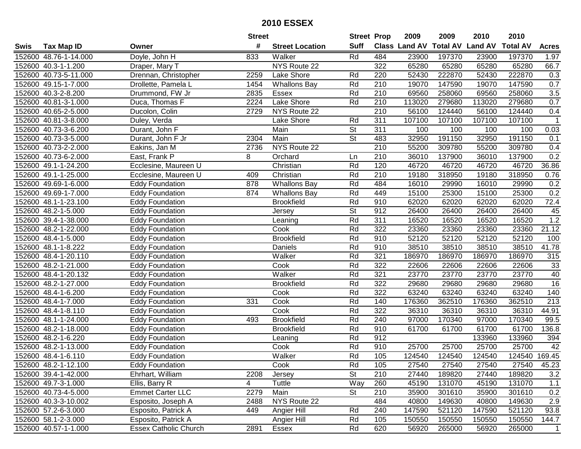|      |                       |                              | <b>Street</b> |                        | <b>Street Prop</b>       |                  | 2009          | 2009            | 2010           | 2010            |                |
|------|-----------------------|------------------------------|---------------|------------------------|--------------------------|------------------|---------------|-----------------|----------------|-----------------|----------------|
| Swis | <b>Tax Map ID</b>     | Owner                        | #             | <b>Street Location</b> | <b>Suff</b>              |                  | Class Land AV | <b>Total AV</b> | <b>Land AV</b> | <b>Total AV</b> | <b>Acres</b>   |
|      | 152600 48.76-1-14.000 | Doyle, John H                | 833           | Walker                 | Rd                       | 484              | 23900         | 197370          | 23900          | 197370          | 1.97           |
|      | 152600 40.3-1-1.200   | Draper, Mary T               |               | NYS Route 22           |                          | 322              | 65280         | 65280           | 65280          | 65280           | 66.7           |
|      | 152600 40.73-5-11.000 | Drennan, Christopher         | 2259          | Lake Shore             | Rd                       | 220              | 52430         | 222870          | 52430          | 222870          | 0.3            |
|      | 152600 49.15-1-7.000  | Drollette, Pamela L          | 1454          | <b>Whallons Bay</b>    | Rd                       | 210              | 19070         | 147590          | 19070          | 147590          | 0.7            |
|      | 152600 40.3-2-8.200   | Drummond, FW Jr              | 2835          | Essex                  | Rd                       | 210              | 69560         | 258060          | 69560          | 258060          | 3.5            |
|      | 152600 40.81-3-1.000  | Duca, Thomas F               | 2224          | <b>Lake Shore</b>      | Rd                       | 210              | 113020        | 279680          | 113020         | 279680          | 0.7            |
|      | 152600 40.65-2-5.000  | Ducolon, Colin               | 2729          | NYS Route 22           |                          | 210              | 56100         | 124440          | 56100          | 124440          | 0.4            |
|      | 152600 40.81-3-8.000  | Duley, Verda                 |               | Lake Shore             | Rd                       | 311              | 107100        | 107100          | 107100         | 107100          | $\mathbf 1$    |
|      | 152600 40.73-3-6.200  | Durant, John F               |               | Main                   | $\overline{\mathsf{St}}$ | $\overline{311}$ | 100           | 100             | 100            | 100             | 0.03           |
|      | 152600 40.73-3-5.000  | Durant, John F Jr            | 2304          | Main                   | $\overline{\mathsf{St}}$ | 483              | 32950         | 191150          | 32950          | 191150          | 0.1            |
|      | 152600 40.73-2-2.000  | Eakins, Jan M                | 2736          | NYS Route 22           |                          | 210              | 55200         | 309780          | 55200          | 309780          | 0.4            |
|      | 152600 40.73-6-2.000  | East, Frank P                | 8             | Orchard                | Ln                       | 210              | 36010         | 137900          | 36010          | 137900          | 0.2            |
|      | 152600 49.1-1-24.200  | Ecclesine, Maureen U         |               | Christian              | Rd                       | 120              | 46720         | 46720           | 46720          | 46720           | 36.86          |
|      | 152600 49.1-1-25.000  | Ecclesine, Maureen U         | 409           | Christian              | Rd                       | 210              | 19180         | 318950          | 19180          | 318950          | 0.76           |
|      | 152600 49.69-1-6.000  | Eddy Foundation              | 878           | Whallons Bay           | Rd                       | 484              | 16010         | 29990           | 16010          | 29990           | 0.2            |
|      | 152600 49.69-1-7.000  | <b>Eddy Foundation</b>       | 874           | <b>Whallons Bay</b>    | Rd                       | 449              | 15100         | 25300           | 15100          | 25300           | 0.2            |
|      | 152600 48.1-1-23.100  | <b>Eddy Foundation</b>       |               | <b>Brookfield</b>      | Rd                       | 910              | 62020         | 62020           | 62020          | 62020           | 72.4           |
|      | 152600 48.2-1-5.000   | Eddy Foundation              |               | Jersey                 | $\overline{\mathsf{St}}$ | 912              | 26400         | 26400           | 26400          | 26400           | 45             |
|      | 152600 39.4-1-38.000  | <b>Eddy Foundation</b>       |               | Leaning                | Rd                       | 311              | 16520         | 16520           | 16520          | 16520           | 1.2            |
|      | 152600 48.2-1-22.000  | <b>Eddy Foundation</b>       |               | Cook                   | Rd                       | 322              | 23360         | 23360           | 23360          | 23360           | 21.12          |
|      | 152600 48.4-1-5.000   | Eddy Foundation              |               | <b>Brookfield</b>      | Rd                       | 910              | 52120         | 52120           | 52120          | 52120           | 100            |
|      | 152600 48.1-1-8.222   | <b>Eddy Foundation</b>       |               | Daniels                | Rd                       | 910              | 38510         | 38510           | 38510          | 38510           | 41.78          |
|      | 152600 48.4-1-20.110  | <b>Eddy Foundation</b>       |               | Walker                 | Rd                       | 321              | 186970        | 186970          | 186970         | 186970          | 315            |
|      | 152600 48.2-1-21.000  | <b>Eddy Foundation</b>       |               | Cook                   | Rd                       | 322              | 22606         | 22606           | 22606          | 22606           | 33             |
|      | 152600 48.4-1-20.132  | <b>Eddy Foundation</b>       |               | Walker                 | Rd                       | 321              | 23770         | 23770           | 23770          | 23770           | 40             |
|      | 152600 48.2-1-27.000  | <b>Eddy Foundation</b>       |               | <b>Brookfield</b>      | Rd                       | 322              | 29680         | 29680           | 29680          | 29680           | 16             |
|      | 152600 48.4-1-6.200   | <b>Eddy Foundation</b>       |               | Cook                   | Rd                       | 322              | 63240         | 63240           | 63240          | 63240           | 140            |
|      | 152600 48.4-1-7.000   | Eddy Foundation              | 331           | Cook                   | Rd                       | 140              | 176360        | 362510          | 176360         | 362510          | 213            |
|      | 152600 48.4-1-8.110   | <b>Eddy Foundation</b>       |               | Cook                   | Rd                       | 322              | 36310         | 36310           | 36310          | 36310           | 44.91          |
|      | 152600 48.1-1-24.000  | Eddy Foundation              | 493           | <b>Brookfield</b>      | Rd                       | 240              | 97000         | 170340          | 97000          | 170340          | 99.5           |
|      | 152600 48.2-1-18.000  | <b>Eddy Foundation</b>       |               | <b>Brookfield</b>      | Rd                       | 910              | 61700         | 61700           | 61700          | 61700           | 136.8          |
|      | 152600 48.2-1-6.220   | Eddy Foundation              |               | Leaning                | Rd                       | 912              |               |                 | 133960         | 133960          | 394            |
|      | 152600 48.2-1-13.000  | <b>Eddy Foundation</b>       |               | Cook                   | Rd                       | 910              | 25700         | 25700           | 25700          | 25700           | 42             |
|      | 152600 48.4-1-6.110   | <b>Eddy Foundation</b>       |               | Walker                 | Rd                       | 105              | 124540        | 124540          | 124540         | 124540 169.45   |                |
|      | 152600 48.2-1-12.100  | <b>Eddy Foundation</b>       |               | Cook                   | Rd                       | 105              | 27540         | 27540           | 27540          | 27540           | 45.23          |
|      | 152600 39.4-1-42.000  | Ehrhart, William             | 2208          | Jersey                 | <b>St</b>                | 210              | 27440         | 189820          | 27440          | 189820          | 3.2            |
|      | 152600 49.7-3-1.000   | Ellis, Barry R               | 4             | Tuttle                 | Way                      | 260              | 45190         | 131070          | 45190          | 131070          | 1.1            |
|      | 152600 40.73-4-5.000  | <b>Emmet Carter LLC</b>      | 2279          | Main                   | <b>St</b>                | 210              | 35900         | 301610          | 35900          | 301610          | 0.2            |
|      | 152600 40.3-3-10.002  | Esposito, Joseph A           | 2488          | NYS Route 22           |                          | 484              | 40800         | 149630          | 40800          | 149630          | 2.9            |
|      | 152600 57.2-6-3.000   | Esposito, Patrick A          | 449           | Angier Hill            | Rd                       | 240              | 147590        | 521120          | 147590         | 521120          | 93.8           |
|      | 152600 58.1-2-3.000   | Esposito, Patrick A          |               | Angier Hill            | Rd                       | 105              | 150550        | 150550          | 150550         | 150550          | 144.7          |
|      | 152600 40.57-1-1.000  | <b>Essex Catholic Church</b> | 2891          | Essex                  | Rd                       | 620              | 56920         | 265000          | 56920          | 265000          | $\overline{1}$ |
|      |                       |                              |               |                        |                          |                  |               |                 |                |                 |                |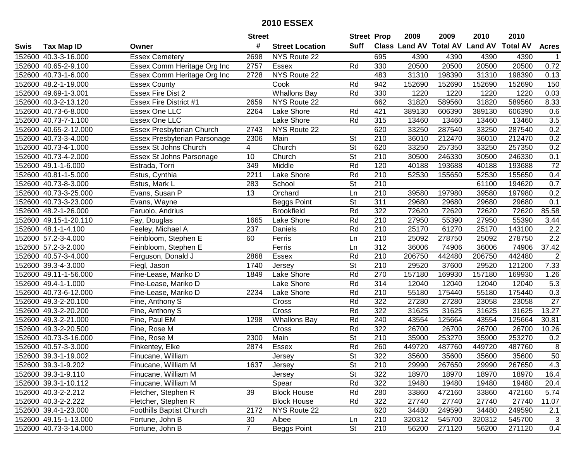|      |                       |                                     | <b>Street</b>  |                        | <b>Street Prop</b>       |                  | 2009   | 2009   | 2010                           | 2010            |                  |
|------|-----------------------|-------------------------------------|----------------|------------------------|--------------------------|------------------|--------|--------|--------------------------------|-----------------|------------------|
| Swis | <b>Tax Map ID</b>     | Owner                               | #              | <b>Street Location</b> | Suff                     |                  |        |        | Class Land AV Total AV Land AV | <b>Total AV</b> | <b>Acres</b>     |
|      | 152600 40.3-3-16.000  | <b>Essex Cemetery</b>               | 2698           | NYS Route 22           |                          | 695              | 4390   | 4390   | 4390                           | 4390            |                  |
|      | 152600 40.65-2-9.100  | Essex Comm Heritage Org Inc         | 2757           | Essex                  | Rd                       | 330              | 20500  | 20500  | 20500                          | 20500           | 0.72             |
|      | 152600 40.73-1-6.000  | Essex Comm Heritage Org Inc         | 2728           | NYS Route 22           |                          | 483              | 31310  | 198390 | 31310                          | 198390          | 0.13             |
|      | 152600 48.2-1-19.000  | <b>Essex County</b>                 |                | Cook                   | Rd                       | 942              | 152690 | 152690 | 152690                         | 152690          | 150              |
|      | 152600 49.69-1-3.001  | <b>Essex Fire Dist 2</b>            |                | <b>Whallons Bay</b>    | Rd                       | 330              | 1220   | 1220   | 1220                           | 1220            | 0.03             |
|      | 152600 40.3-2-13.120  | Essex Fire District #1              | 2659           | NYS Route 22           |                          | 662              | 31820  | 589560 | 31820                          | 589560          | 8.33             |
|      | 152600 40.73-6-8.000  | Essex One LLC                       | 2264           | Lake Shore             | Rd                       | 421              | 389130 | 606390 | 389130                         | 606390          | 0.6              |
|      | 152600 40.73-7-1.100  | <b>Essex One LLC</b>                |                | Lake Shore             | Rd                       | 315              | 13460  | 13460  | 13460                          | 13460           | 3.5              |
|      | 152600 40.65-2-12.000 | <b>Essex Presbyterian Church</b>    | 2743           | NYS Route 22           |                          | 620              | 33250  | 287540 | 33250                          | 287540          | 0.2              |
|      | 152600 40.73-3-4.000  | <b>Essex Presbyterian Parsonage</b> | 2306           | Main                   | St                       | 210              | 36010  | 212470 | 36010                          | 212470          | 0.2              |
|      | 152600 40.73-4-1.000  | Essex St Johns Church               | 4              | Church                 | $\overline{\mathsf{St}}$ | 620              | 33250  | 257350 | 33250                          | 257350          | 0.2              |
|      | 152600 40.73-4-2.000  | Essex St Johns Parsonage            | 10             | Church                 | St                       | 210              | 30500  | 246330 | 30500                          | 246330          | 0.1              |
|      | 152600 49.1-1-6.000   | Estrada, Torri                      | 349            | Middle                 | Rd                       | 120              | 40188  | 193688 | 40188                          | 193688          | $\overline{72}$  |
|      | 152600 40.81-1-5.000  | Estus, Cynthia                      | 2211           | Lake Shore             | Rd                       | 210              | 52530  | 155650 | 52530                          | 155650          | 0.4              |
|      | 152600 40.73-8-3.000  | Estus, Mark L                       | 283            | School                 | $\overline{\mathsf{St}}$ | 210              |        |        | 61100                          | 194620          | 0.7              |
|      | 152600 40.73-3-25.000 | Evans, Susan P                      | 13             | Orchard                | Ln                       | 210              | 39580  | 197980 | 39580                          | 197980          | 0.2              |
|      | 152600 40.73-3-23.000 | Evans, Wayne                        |                | Beggs Point            | $\overline{\mathsf{St}}$ | $\overline{311}$ | 29680  | 29680  | 29680                          | 29680           | 0.1              |
|      | 152600 48.2-1-26.000  | Faruolo, Andrius                    |                | <b>Brookfield</b>      | Rd                       | 322              | 72620  | 72620  | 72620                          | 72620           | 85.58            |
|      | 152600 49.15-1-20.110 | Fay, Douglas                        | 1665           | Lake Shore             | Rd                       | 210              | 27950  | 55390  | 27950                          | 55390           | 3.44             |
|      | 152600 48.1-1-4.100   | Feeley, Michael A                   | 237            | Daniels                | Rd                       | 210              | 25170  | 61270  | 25170                          | 143100          | 2.2              |
|      | 152600 57.2-3-4.000   | Feinbloom, Stephen E                | 60             | Ferris                 | Ln                       | 210              | 25092  | 278750 | 25092                          | 278750          | $\overline{2.2}$ |
|      | 152600 57.2-3-2.000   | Feinbloom, Stephen E                |                | Ferris                 | Ln                       | 312              | 36006  | 74906  | 36006                          | 74906           | 37.42            |
|      | 152600 40.57-3-4.000  | Ferguson, Donald J                  | 2868           | <b>Essex</b>           | Rd                       | 210              | 206750 | 442480 | 206750                         | 442480          | $\overline{2}$   |
|      | 152600 39.3-4-3.000   | Fiegl, Jason                        | 1740           | Jersey                 | St                       | 210              | 29520  | 37600  | 29520                          | 121200          | 7.33             |
|      | 152600 49.11-1-56.000 | Fine-Lease, Mariko D                | 1849           | Lake Shore             | Rd                       | 270              | 157180 | 169930 | 157180                         | 169930          | 1.26             |
|      | 152600 49.4-1-1.000   | Fine-Lease, Mariko D                |                | Lake Shore             | Rd                       | 314              | 12040  | 12040  | 12040                          | 12040           | 5.3              |
|      | 152600 40.73-6-12.000 | Fine-Lease, Mariko D                | 2234           | Lake Shore             | Rd                       | 210              | 55180  | 175440 | 55180                          | 175440          | 0.3              |
|      | 152600 49.3-2-20.100  | Fine, Anthony S                     |                | Cross                  | Rd                       | 322              | 27280  | 27280  | 23058                          | 23058           | 27               |
|      | 152600 49.3-2-20.200  | Fine, Anthony S                     |                | Cross                  | Rd                       | 322              | 31625  | 31625  | 31625                          | 31625           | 13.27            |
|      | 152600 49.3-2-21.000  | Fine, Paul EM                       | 1298           | <b>Whallons Bay</b>    | Rd                       | 240              | 43554  | 125664 | 43554                          | 125664          | 30.81            |
|      | 152600 49.3-2-20.500  | Fine, Rose M                        |                | Cross                  | Rd                       | 322              | 26700  | 26700  | 26700                          | 26700           | 10.26            |
|      | 152600 40.73-3-16.000 | Fine, Rose M                        | 2300           | Main                   | $\overline{\mathsf{St}}$ | 210              | 35900  | 253270 | 35900                          | 253270          | 0.2              |
|      | 152600 40.57-3-3.000  | Finkentey, Elke                     | 2874           | Essex                  | Rd                       | 260              | 449720 | 487760 | 449720                         | 487760          | $\overline{8}$   |
|      | 152600 39.3-1-19.002  | Finucane, William                   |                | Jersey                 | $\overline{\mathsf{St}}$ | 322              | 35600  | 35600  | 35600                          | 35600           | $\overline{50}$  |
|      | 152600 39.3-1-9.202   | Finucane, William M                 | 1637           | Jersey                 | <b>St</b>                | 210              | 29990  | 267650 | 29990                          | 267650          | 4.3              |
|      | 152600 39.3-1-9.110   | Finucane, William M                 |                | Jersey                 | <b>St</b>                | 322              | 18970  | 18970  | 18970                          | 18970           | 16.4             |
|      | 152600 39.3-1-10.112  | Finucane, William M                 |                | Spear                  | Rd                       | 322              | 19480  | 19480  | 19480                          | 19480           | 20.4             |
|      | 152600 40.3-2-2.212   | Fletcher, Stephen R                 | 39             | <b>Block House</b>     | Rd                       | 280              | 33860  | 472160 | 33860                          | 472160          | 5.74             |
|      | 152600 40.3-2-2.222   | Fletcher, Stephen R                 |                | <b>Block House</b>     | Rd                       | 322              | 27740  | 27740  | 27740                          | 27740           | 11.07            |
|      | 152600 39.4-1-23.000  | <b>Foothills Baptist Church</b>     | 2172           | NYS Route 22           |                          | 620              | 34480  | 249590 | 34480                          | 249590          | 2.1              |
|      | 152600 49.15-1-13.000 | Fortune, John B                     | 30             | Albee                  | Ln                       | 210              | 320312 | 545700 | 320312                         | 545700          | 3                |
|      | 152600 40.73-3-14.000 | Fortune, John B                     | $\overline{7}$ | <b>Beggs Point</b>     | $\overline{\mathsf{St}}$ | 210              | 56200  | 271120 | 56200                          | 271120          | 0.4              |
|      |                       |                                     |                |                        |                          |                  |        |        |                                |                 |                  |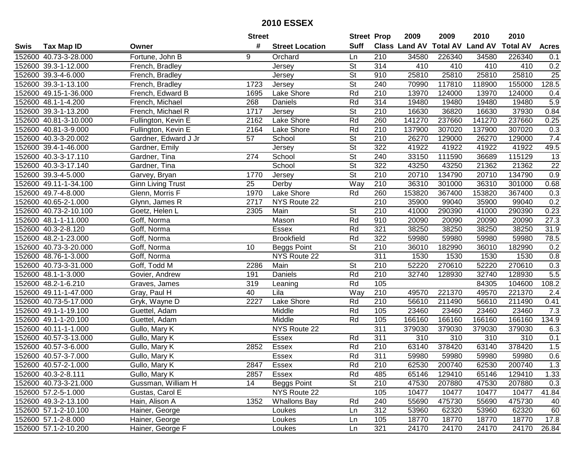|      |                       |                          | <b>Street</b> |                        | <b>Street Prop</b>       |                  | 2009          | 2009            | 2010           | 2010            |                 |
|------|-----------------------|--------------------------|---------------|------------------------|--------------------------|------------------|---------------|-----------------|----------------|-----------------|-----------------|
| Swis | <b>Tax Map ID</b>     | Owner                    | #             | <b>Street Location</b> | <b>Suff</b>              |                  | Class Land AV | <b>Total AV</b> | <b>Land AV</b> | <b>Total AV</b> | <b>Acres</b>    |
|      | 152600 40.73-3-28.000 | Fortune, John B          | 9             | Orchard                | Ln                       | 210              | 34580         | 226340          | 34580          | 226340          | 0.1             |
|      | 152600 39.3-1-12.000  | French, Bradley          |               | Jersey                 | <b>St</b>                | 314              | 410           | 410             | 410            | 410             | 0.2             |
|      | 152600 39.3-4-6.000   | French, Bradley          |               | Jersey                 | <b>St</b>                | 910              | 25810         | 25810           | 25810          | 25810           | 25              |
|      | 152600 39.3-1-13.100  | French, Bradley          | 1723          | Jersey                 | $\overline{\mathsf{St}}$ | 240              | 70990         | 117810          | 118900         | 155000          | 128.5           |
|      | 152600 49.15-1-36.000 | French, Edward B         | 1695          | Lake Shore             | Rd                       | 210              | 13970         | 124000          | 13970          | 124000          | 0.4             |
|      | 152600 48.1-1-4.200   | French, Michael          | 268           | Daniels                | Rd                       | 314              | 19480         | 19480           | 19480          | 19480           | 5.9             |
|      | 152600 39.3-1-13.200  | French, Michael R        | 1717          | Jersey                 | <b>St</b>                | 210              | 16630         | 36820           | 16630          | 37930           | 0.84            |
|      | 152600 40.81-3-10.000 | Fullington, Kevin E      | 2162          | <b>Lake Shore</b>      | Rd                       | 260              | 141270        | 237660          | 141270         | 237660          | 0.25            |
|      | 152600 40.81-3-9.000  | Fullington, Kevin E      | 2164          | Lake Shore             | Rd                       | $\overline{210}$ | 137900        | 307020          | 137900         | 307020          | 0.3             |
|      | 152600 40.3-3-20.002  | Gardner, Edward J Jr     | 57            | School                 | $\overline{\mathsf{St}}$ | 210              | 26270         | 129000          | 26270          | 129000          | 7.4             |
|      | 152600 39.4-1-46.000  | Gardner, Emily           |               | Jersey                 | $\overline{\mathsf{St}}$ | 322              | 41922         | 41922           | 41922          | 41922           | 49.5            |
|      | 152600 40.3-3-17.110  | Gardner, Tina            | 274           | School                 | <b>St</b>                | 240              | 33150         | 111590          | 36689          | 115129          | 13              |
|      | 152600 40.3-3-17.140  | Gardner, Tina            |               | School                 | $\overline{\mathsf{St}}$ | 322              | 43250         | 43250           | 21362          | 21362           | $\overline{22}$ |
|      | 152600 39.3-4-5.000   | Garvey, Bryan            | 1770          | Jersey                 | $\overline{\mathsf{St}}$ | 210              | 20710         | 134790          | 20710          | 134790          | 0.9             |
|      | 152600 49.11-1-34.100 | <b>Ginn Living Trust</b> | 25            | Derby                  | Way                      | 210              | 36310         | 301000          | 36310          | 301000          | 0.68            |
|      | 152600 49.7-4-8.000   | Glenn, Morris F          | 1970          | Lake Shore             | Rd                       | 260              | 153820        | 367400          | 153820         | 367400          | 0.3             |
|      | 152600 40.65-2-1.000  | Glynn, James R           | 2717          | NYS Route 22           |                          | 210              | 35900         | 99040           | 35900          | 99040           | 0.2             |
|      | 152600 40.73-2-10.100 | Goetz, Helen L           | 2305          | Main                   | <b>St</b>                | 210              | 41000         | 290390          | 41000          | 290390          | 0.23            |
|      | 152600 48.1-1-11.000  | Goff, Norma              |               | Mason                  | Rd                       | 910              | 20090         | 20090           | 20090          | 20090           | 27.3            |
|      | 152600 40.3-2-8.120   | Goff, Norma              |               | Essex                  | Rd                       | 321              | 38250         | 38250           | 38250          | 38250           | 31.9            |
|      | 152600 48.2-1-23.000  | Goff, Norma              |               | <b>Brookfield</b>      | Rd                       | 322              | 59980         | 59980           | 59980          | 59980           | 78.5            |
|      | 152600 40.73-3-20.000 | Goff, Norma              | 10            | <b>Beggs Point</b>     | <b>St</b>                | 210              | 36010         | 182990          | 36010          | 182990          | 0.2             |
|      | 152600 48.76-1-3.000  | Goff, Norma              |               | NYS Route 22           |                          | 311              | 1530          | 1530            | 1530           | 1530            | 0.8             |
|      | 152600 40.73-3-31.000 | Goff, Todd M             | 2286          | Main                   | <b>St</b>                | 210              | 52220         | 270610          | 52220          | 270610          | 0.3             |
|      | 152600 48.1-1-3.000   | Govier, Andrew           | 191           | Daniels                | Rd                       | 210              | 32740         | 128930          | 32740          | 128930          | 5.5             |
|      | 152600 48.2-1-6.210   | Graves, James            | 319           | Leaning                | Rd                       | 105              |               |                 | 84305          | 104600          | 108.2           |
|      | 152600 49.11-1-47.000 | Gray, Paul H             | 40            | Lila                   | Way                      | 210              | 49570         | 221370          | 49570          | 221370          | 2.4             |
|      | 152600 40.73-5-17.000 | Gryk, Wayne D            | 2227          | Lake Shore             | Rd                       | 210              | 56610         | 211490          | 56610          | 211490          | 0.41            |
|      | 152600 49.1-1-19.100  | Guettel, Adam            |               | Middle                 | Rd                       | 105              | 23460         | 23460           | 23460          | 23460           | 7.3             |
|      | 152600 49.1-1-20.100  | Guettel, Adam            |               | Middle                 | Rd                       | 105              | 166160        | 166160          | 166160         | 166160          | 134.9           |
|      | 152600 40.11-1-1.000  | Gullo, Mary K            |               | NYS Route 22           |                          | 311              | 379030        | 379030          | 379030         | 379030          | 6.3             |
|      | 152600 40.57-3-13.000 | Gullo, Mary K            |               | Essex                  | Rd                       | 311              | 310           | 310             | 310            | 310             | 0.1             |
|      | 152600 40.57-3-6.000  | Gullo, Mary K            | 2852          | Essex                  | Rd                       | $\overline{210}$ | 63140         | 378420          | 63140          | 378420          | 1.5             |
|      | 152600 40.57-3-7.000  | Gullo, Mary K            |               | Essex                  | Rd                       | 311              | 59980         | 59980           | 59980          | 59980           | 0.6             |
|      | 152600 40.57-2-1.000  | Gullo, Mary K            | 2847          | Essex                  | Rd                       | 210              | 62530         | 200740          | 62530          | 200740          | 1.3             |
|      | 152600 40.3-2-8.111   | Gullo, Mary K            | 2857          | Essex                  | Rd                       | 485              | 65146         | 129410          | 65146          | 129410          | 1.33            |
|      | 152600 40.73-3-21.000 | Gussman, William H       | 14            | <b>Beggs Point</b>     | <b>St</b>                | 210              | 47530         | 207880          | 47530          | 207880          | 0.3             |
|      | 152600 57.2-5-1.000   | Gustas, Carol E          |               | NYS Route 22           |                          | 105              | 10477         | 10477           | 10477          | 10477           | 41.84           |
|      | 152600 49.3-2-13.100  | Hain, Alison A           | 1352          | <b>Whallons Bay</b>    | Rd                       | 240              | 55690         | 475730          | 55690          | 475730          | 40              |
|      | 152600 57.1-2-10.100  | Hainer, George           |               | Loukes                 | Ln                       | 312              | 53960         | 62320           | 53960          | 62320           | 60              |
|      | 152600 57.1-2-8.000   | Hainer, George           |               | Loukes                 | Ln                       | 105              | 18770         | 18770           | 18770          | 18770           | 17.8            |
|      | 152600 57.1-2-10.200  | Hainer, George F         |               | Loukes                 | Ln                       | 321              | 24170         | 24170           | 24170          | 24170           | 26.84           |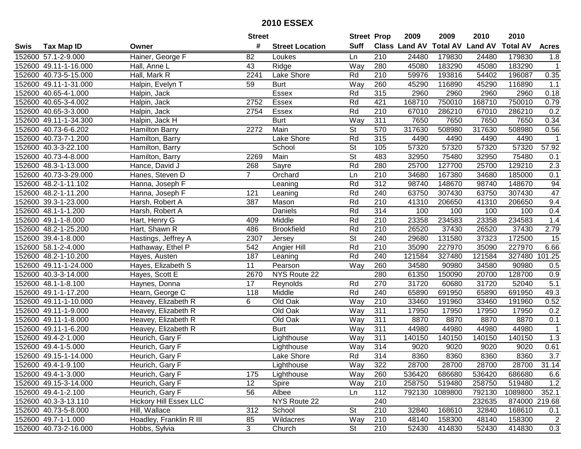| #<br><b>Suff</b><br><b>Total AV</b><br><b>Land AV</b><br>Class Land AV<br><b>Total AV</b><br><b>Tax Map ID</b><br><b>Street Location</b><br><b>Acres</b><br>Swis<br>Owner<br>152600 57.1-2-9.000<br>Hainer, George F<br>82<br>210<br>24480<br>179830<br>24480<br>179830<br>Loukes<br>1.8<br>Ln<br>Way<br>152600 49.11-1-16.000<br>43<br>Ridge<br>280<br>45080<br>183290<br>45080<br>183290<br>Hall, Anne L<br>$\mathbf{1}$<br>152600 40.73-5-15.000<br>Hall, Mark R<br>2241<br>Lake Shore<br>Rd<br>210<br>59976<br>193816<br>54402<br>196087<br>0.35<br>Halpin, Evelyn T<br>Way<br>45290<br>116890<br>1.1<br>152600 49.11-1-31.000<br>59<br><b>Burt</b><br>260<br>116890<br>45290<br>152600 40.65-4-1.000<br><b>Essex</b><br>Rd<br>315<br>2960<br>2960<br>2960<br>0.18<br>Halpin, Jack<br>2960<br>2752<br>168710<br>168710<br>750010<br>152600 40.65-3-4.002<br>Halpin, Jack<br>Essex<br>Rd<br>421<br>750010<br>0.79<br>Essex<br>Rd<br>210<br>67010<br>286210<br>67010<br>0.2<br>152600 40.65-3-3.000<br>Halpin, Jack<br>2754<br>286210<br>Way<br><b>Burt</b><br>311<br>7650<br>7650<br>7650<br>7650<br>0.34<br>152600 49.11-1-34.300<br>Halpin, Jack H<br>2272<br>$\overline{\mathsf{St}}$<br>570<br>317630<br>317630<br>152600 40.73-6-6.202<br>Main<br>508980<br>508980<br>0.56<br><b>Hamilton Barry</b><br>Rd<br>315<br>152600 40.73-7-1.200<br>Lake Shore<br>4490<br>4490<br>4490<br>Hamilton, Barry<br>4490<br>$\mathbf 1$<br>$\overline{\mathsf{St}}$<br>152600 40.3-3-22.100<br>57320<br>57320<br>57320<br>57320<br>57.92<br>School<br>105<br>Hamilton, Barry<br><b>St</b><br>152600 40.73-4-8.000<br>Main<br>483<br>32950<br>75480<br>32950<br>75480<br>Hamilton, Barry<br>2269<br>0.1<br>Rd<br>$\overline{2.3}$<br>280<br>25700<br>127700<br>25700<br>129210<br>152600 48.3-1-13.000<br>Hance, David J<br>268<br>Sayre<br>$\overline{7}$<br>152600 40.73-3-29.000<br>Orchard<br>Ln<br>210<br>34680<br>167380<br>34680<br>185000<br>0.1<br>Hanes, Steven D<br>Rd<br>312<br>94<br>152600 48.2-1-11.102<br>98740<br>148670<br>98740<br>148670<br>Hanna, Joseph F<br>Leaning<br>Rd<br>47<br>152600 48.2-1-11.200<br>240<br>63750<br>307430<br>63750<br>307430<br>Hanna, Joseph F<br>121<br>Leaning<br>Rd<br>9.4<br>210<br>152600 39.3-1-23.000<br>387<br>41310<br>206650<br>41310<br>206650<br>Harsh, Robert A<br>Mason<br>Rd<br>314<br>152600 48.1-1-1.200<br>Daniels<br>100<br>100<br>100<br>100<br>0.4<br>Harsh, Robert A<br>Rd<br>1.4<br>152600 49.1-1-8.000<br>Middle<br>210<br>23358<br>234583<br>23358<br>234583<br>Hart, Henry G<br>409<br>152600 48.2-1-25.200<br>Hart, Shawn R<br>486<br><b>Brookfield</b><br>Rd<br>210<br>26520<br>37430<br>26520<br>37430<br>2.79<br><b>St</b><br>240<br>29680<br>131580<br>37323<br>15<br>152600 39.4-1-8.000<br>2307<br>172500<br>Hastings, Jeffrey A<br>Jersey<br>Rd<br>227970<br>152600 58.1-2-4.000<br>Hathaway, Ethel P<br>542<br>210<br>35090<br>227970<br>35090<br>6.66<br>Angier Hill<br>Rd<br>240<br>121584<br>327480<br>101.25<br>152600 48.2-1-10.200<br>187<br>327480<br>121584<br>Hayes, Austen<br>Leaning<br>152600 49.11-1-24.000<br>11<br>Way<br>260<br>34580<br>90980<br>34580<br>90980<br>Hayes, Elizabeth S<br>Pearson<br>0.5<br>280<br>NYS Route 22<br>61350<br>150090<br>128700<br>0.9<br>152600 40.3-3-14.000<br>Hayes, Scott E<br>2670<br>20700<br>17<br>Rd<br>270<br>31720<br>31720<br>5.1<br>152600 48.1-1-8.100<br>60680<br>52040<br>Haynes, Donna<br>Reynolds<br>Middle<br>Rd<br>240<br>691950<br>691950<br>152600 49.1-1-17.200<br>Hearn, George C<br>118<br>65890<br>65890<br>49.3<br>Old Oak<br>33460<br>152600 49.11-1-10.000<br>Heavey, Elizabeth R<br>6<br>Way<br>210<br>191960<br>33460<br>191960<br>0.52<br>311<br>152600 49.11-1-9.000<br>Old Oak<br>17950<br>17950<br>Heavey, Elizabeth R<br>Way<br>17950<br>17950<br>0.2<br>$\overline{311}$<br>8870<br>152600 49.11-1-8.000<br>Heavey, Elizabeth R<br>Old Oak<br>Way<br>8870<br>8870<br>8870<br>0.1<br>152600 49.11-1-6.200<br>$\overline{311}$<br>44980<br>44980<br>Heavey, Elizabeth R<br><b>Burt</b><br>Way<br>44980<br>44980<br>$\overline{1}$<br>152600 49.4-2-1.000<br>Way<br>140150<br>140150<br>140150<br>140150<br>1.3<br>Heurich, Gary F<br>311<br>Lighthouse<br>152600 49.4-1-5.000<br>314<br>Way<br>9020<br>9020<br>9020<br>9020<br>0.61<br>Heurich, Gary F<br>Lighthouse<br>Rd<br>$\overline{3.7}$<br>152600 49.15-1-14.000<br>Lake Shore<br>314<br>8360<br>8360<br>8360<br>8360<br>Heurich, Gary F<br>152600 49.4-1-9.100<br>Heurich, Gary F<br>Lighthouse<br>Way<br>322<br>28700<br>28700<br>28700<br>28700<br>31.14<br>152600 49.4-1-3.000<br>Heurich, Gary F<br>Way<br>260<br>536420<br>686680<br>536420<br>686680<br>6.6<br>175<br>Lighthouse<br>12<br>258750<br>519480<br>258750<br>1.2<br>152600 49.15-3-14.000<br>Heurich, Gary F<br>Spire<br>Way<br>210<br>519480<br>152600 49.4-1-2.100<br>Heurich, Gary F<br>56<br>112<br>792130<br>1089800<br>1089800<br>352.1<br>Ln<br>792130<br>Albee<br><b>Hickory Hill Essex LLC</b><br>NYS Route 22<br>240<br>152600 40.3-3-13.110<br>232635<br>874000 219.68<br><b>St</b><br>210<br>32840<br>152600 40.73-5-8.000<br>Hill, Wallace<br>312<br>School<br>168610<br>32840<br>168610<br>0.1<br>210<br>152600 49.7-1-1.000<br>Hoadley, Franklin R III<br>85<br>Wildacres<br>48140<br>158300<br>48140<br>158300<br>$\overline{c}$<br>Way<br>$\mathbf{3}$<br>St<br>210<br>152600 40.73-2-16.000 |  |               | <b>Street</b> |        | <b>Street Prop</b> | 2009  | 2009   | 2010  | 2010   |     |
|---------------------------------------------------------------------------------------------------------------------------------------------------------------------------------------------------------------------------------------------------------------------------------------------------------------------------------------------------------------------------------------------------------------------------------------------------------------------------------------------------------------------------------------------------------------------------------------------------------------------------------------------------------------------------------------------------------------------------------------------------------------------------------------------------------------------------------------------------------------------------------------------------------------------------------------------------------------------------------------------------------------------------------------------------------------------------------------------------------------------------------------------------------------------------------------------------------------------------------------------------------------------------------------------------------------------------------------------------------------------------------------------------------------------------------------------------------------------------------------------------------------------------------------------------------------------------------------------------------------------------------------------------------------------------------------------------------------------------------------------------------------------------------------------------------------------------------------------------------------------------------------------------------------------------------------------------------------------------------------------------------------------------------------------------------------------------------------------------------------------------------------------------------------------------------------------------------------------------------------------------------------------------------------------------------------------------------------------------------------------------------------------------------------------------------------------------------------------------------------------------------------------------------------------------------------------------------------------------------------------------------------------------------------------------------------------------------------------------------------------------------------------------------------------------------------------------------------------------------------------------------------------------------------------------------------------------------------------------------------------------------------------------------------------------------------------------------------------------------------------------------------------------------------------------------------------------------------------------------------------------------------------------------------------------------------------------------------------------------------------------------------------------------------------------------------------------------------------------------------------------------------------------------------------------------------------------------------------------------------------------------------------------------------------------------------------------------------------------------------------------------------------------------------------------------------------------------------------------------------------------------------------------------------------------------------------------------------------------------------------------------------------------------------------------------------------------------------------------------------------------------------------------------------------------------------------------------------------------------------------------------------------------------------------------------------------------------------------------------------------------------------------------------------------------------------------------------------------------------------------------------------------------------------------------------------------------------------------------------------------------------------------------------------------------------------------------------------------------------------------------------------------------------------------------------------------------------------------------------------------------------------------------------------------------------------------------------------------------------------------------------------------------------------------------------------------------------------------------------------------------------------------------------------------------------------------------------------------------------------------------------------------------------------------------------------------------------------------------------------------------------------------------|--|---------------|---------------|--------|--------------------|-------|--------|-------|--------|-----|
|                                                                                                                                                                                                                                                                                                                                                                                                                                                                                                                                                                                                                                                                                                                                                                                                                                                                                                                                                                                                                                                                                                                                                                                                                                                                                                                                                                                                                                                                                                                                                                                                                                                                                                                                                                                                                                                                                                                                                                                                                                                                                                                                                                                                                                                                                                                                                                                                                                                                                                                                                                                                                                                                                                                                                                                                                                                                                                                                                                                                                                                                                                                                                                                                                                                                                                                                                                                                                                                                                                                                                                                                                                                                                                                                                                                                                                                                                                                                                                                                                                                                                                                                                                                                                                                                                                                                                                                                                                                                                                                                                                                                                                                                                                                                                                                                                                                                                                                                                                                                                                                                                                                                                                                                                                                                                                                                                                                                   |  |               |               |        |                    |       |        |       |        |     |
|                                                                                                                                                                                                                                                                                                                                                                                                                                                                                                                                                                                                                                                                                                                                                                                                                                                                                                                                                                                                                                                                                                                                                                                                                                                                                                                                                                                                                                                                                                                                                                                                                                                                                                                                                                                                                                                                                                                                                                                                                                                                                                                                                                                                                                                                                                                                                                                                                                                                                                                                                                                                                                                                                                                                                                                                                                                                                                                                                                                                                                                                                                                                                                                                                                                                                                                                                                                                                                                                                                                                                                                                                                                                                                                                                                                                                                                                                                                                                                                                                                                                                                                                                                                                                                                                                                                                                                                                                                                                                                                                                                                                                                                                                                                                                                                                                                                                                                                                                                                                                                                                                                                                                                                                                                                                                                                                                                                                   |  |               |               |        |                    |       |        |       |        |     |
|                                                                                                                                                                                                                                                                                                                                                                                                                                                                                                                                                                                                                                                                                                                                                                                                                                                                                                                                                                                                                                                                                                                                                                                                                                                                                                                                                                                                                                                                                                                                                                                                                                                                                                                                                                                                                                                                                                                                                                                                                                                                                                                                                                                                                                                                                                                                                                                                                                                                                                                                                                                                                                                                                                                                                                                                                                                                                                                                                                                                                                                                                                                                                                                                                                                                                                                                                                                                                                                                                                                                                                                                                                                                                                                                                                                                                                                                                                                                                                                                                                                                                                                                                                                                                                                                                                                                                                                                                                                                                                                                                                                                                                                                                                                                                                                                                                                                                                                                                                                                                                                                                                                                                                                                                                                                                                                                                                                                   |  |               |               |        |                    |       |        |       |        |     |
|                                                                                                                                                                                                                                                                                                                                                                                                                                                                                                                                                                                                                                                                                                                                                                                                                                                                                                                                                                                                                                                                                                                                                                                                                                                                                                                                                                                                                                                                                                                                                                                                                                                                                                                                                                                                                                                                                                                                                                                                                                                                                                                                                                                                                                                                                                                                                                                                                                                                                                                                                                                                                                                                                                                                                                                                                                                                                                                                                                                                                                                                                                                                                                                                                                                                                                                                                                                                                                                                                                                                                                                                                                                                                                                                                                                                                                                                                                                                                                                                                                                                                                                                                                                                                                                                                                                                                                                                                                                                                                                                                                                                                                                                                                                                                                                                                                                                                                                                                                                                                                                                                                                                                                                                                                                                                                                                                                                                   |  |               |               |        |                    |       |        |       |        |     |
|                                                                                                                                                                                                                                                                                                                                                                                                                                                                                                                                                                                                                                                                                                                                                                                                                                                                                                                                                                                                                                                                                                                                                                                                                                                                                                                                                                                                                                                                                                                                                                                                                                                                                                                                                                                                                                                                                                                                                                                                                                                                                                                                                                                                                                                                                                                                                                                                                                                                                                                                                                                                                                                                                                                                                                                                                                                                                                                                                                                                                                                                                                                                                                                                                                                                                                                                                                                                                                                                                                                                                                                                                                                                                                                                                                                                                                                                                                                                                                                                                                                                                                                                                                                                                                                                                                                                                                                                                                                                                                                                                                                                                                                                                                                                                                                                                                                                                                                                                                                                                                                                                                                                                                                                                                                                                                                                                                                                   |  |               |               |        |                    |       |        |       |        |     |
|                                                                                                                                                                                                                                                                                                                                                                                                                                                                                                                                                                                                                                                                                                                                                                                                                                                                                                                                                                                                                                                                                                                                                                                                                                                                                                                                                                                                                                                                                                                                                                                                                                                                                                                                                                                                                                                                                                                                                                                                                                                                                                                                                                                                                                                                                                                                                                                                                                                                                                                                                                                                                                                                                                                                                                                                                                                                                                                                                                                                                                                                                                                                                                                                                                                                                                                                                                                                                                                                                                                                                                                                                                                                                                                                                                                                                                                                                                                                                                                                                                                                                                                                                                                                                                                                                                                                                                                                                                                                                                                                                                                                                                                                                                                                                                                                                                                                                                                                                                                                                                                                                                                                                                                                                                                                                                                                                                                                   |  |               |               |        |                    |       |        |       |        |     |
|                                                                                                                                                                                                                                                                                                                                                                                                                                                                                                                                                                                                                                                                                                                                                                                                                                                                                                                                                                                                                                                                                                                                                                                                                                                                                                                                                                                                                                                                                                                                                                                                                                                                                                                                                                                                                                                                                                                                                                                                                                                                                                                                                                                                                                                                                                                                                                                                                                                                                                                                                                                                                                                                                                                                                                                                                                                                                                                                                                                                                                                                                                                                                                                                                                                                                                                                                                                                                                                                                                                                                                                                                                                                                                                                                                                                                                                                                                                                                                                                                                                                                                                                                                                                                                                                                                                                                                                                                                                                                                                                                                                                                                                                                                                                                                                                                                                                                                                                                                                                                                                                                                                                                                                                                                                                                                                                                                                                   |  |               |               |        |                    |       |        |       |        |     |
|                                                                                                                                                                                                                                                                                                                                                                                                                                                                                                                                                                                                                                                                                                                                                                                                                                                                                                                                                                                                                                                                                                                                                                                                                                                                                                                                                                                                                                                                                                                                                                                                                                                                                                                                                                                                                                                                                                                                                                                                                                                                                                                                                                                                                                                                                                                                                                                                                                                                                                                                                                                                                                                                                                                                                                                                                                                                                                                                                                                                                                                                                                                                                                                                                                                                                                                                                                                                                                                                                                                                                                                                                                                                                                                                                                                                                                                                                                                                                                                                                                                                                                                                                                                                                                                                                                                                                                                                                                                                                                                                                                                                                                                                                                                                                                                                                                                                                                                                                                                                                                                                                                                                                                                                                                                                                                                                                                                                   |  |               |               |        |                    |       |        |       |        |     |
|                                                                                                                                                                                                                                                                                                                                                                                                                                                                                                                                                                                                                                                                                                                                                                                                                                                                                                                                                                                                                                                                                                                                                                                                                                                                                                                                                                                                                                                                                                                                                                                                                                                                                                                                                                                                                                                                                                                                                                                                                                                                                                                                                                                                                                                                                                                                                                                                                                                                                                                                                                                                                                                                                                                                                                                                                                                                                                                                                                                                                                                                                                                                                                                                                                                                                                                                                                                                                                                                                                                                                                                                                                                                                                                                                                                                                                                                                                                                                                                                                                                                                                                                                                                                                                                                                                                                                                                                                                                                                                                                                                                                                                                                                                                                                                                                                                                                                                                                                                                                                                                                                                                                                                                                                                                                                                                                                                                                   |  |               |               |        |                    |       |        |       |        |     |
|                                                                                                                                                                                                                                                                                                                                                                                                                                                                                                                                                                                                                                                                                                                                                                                                                                                                                                                                                                                                                                                                                                                                                                                                                                                                                                                                                                                                                                                                                                                                                                                                                                                                                                                                                                                                                                                                                                                                                                                                                                                                                                                                                                                                                                                                                                                                                                                                                                                                                                                                                                                                                                                                                                                                                                                                                                                                                                                                                                                                                                                                                                                                                                                                                                                                                                                                                                                                                                                                                                                                                                                                                                                                                                                                                                                                                                                                                                                                                                                                                                                                                                                                                                                                                                                                                                                                                                                                                                                                                                                                                                                                                                                                                                                                                                                                                                                                                                                                                                                                                                                                                                                                                                                                                                                                                                                                                                                                   |  |               |               |        |                    |       |        |       |        |     |
|                                                                                                                                                                                                                                                                                                                                                                                                                                                                                                                                                                                                                                                                                                                                                                                                                                                                                                                                                                                                                                                                                                                                                                                                                                                                                                                                                                                                                                                                                                                                                                                                                                                                                                                                                                                                                                                                                                                                                                                                                                                                                                                                                                                                                                                                                                                                                                                                                                                                                                                                                                                                                                                                                                                                                                                                                                                                                                                                                                                                                                                                                                                                                                                                                                                                                                                                                                                                                                                                                                                                                                                                                                                                                                                                                                                                                                                                                                                                                                                                                                                                                                                                                                                                                                                                                                                                                                                                                                                                                                                                                                                                                                                                                                                                                                                                                                                                                                                                                                                                                                                                                                                                                                                                                                                                                                                                                                                                   |  |               |               |        |                    |       |        |       |        |     |
|                                                                                                                                                                                                                                                                                                                                                                                                                                                                                                                                                                                                                                                                                                                                                                                                                                                                                                                                                                                                                                                                                                                                                                                                                                                                                                                                                                                                                                                                                                                                                                                                                                                                                                                                                                                                                                                                                                                                                                                                                                                                                                                                                                                                                                                                                                                                                                                                                                                                                                                                                                                                                                                                                                                                                                                                                                                                                                                                                                                                                                                                                                                                                                                                                                                                                                                                                                                                                                                                                                                                                                                                                                                                                                                                                                                                                                                                                                                                                                                                                                                                                                                                                                                                                                                                                                                                                                                                                                                                                                                                                                                                                                                                                                                                                                                                                                                                                                                                                                                                                                                                                                                                                                                                                                                                                                                                                                                                   |  |               |               |        |                    |       |        |       |        |     |
|                                                                                                                                                                                                                                                                                                                                                                                                                                                                                                                                                                                                                                                                                                                                                                                                                                                                                                                                                                                                                                                                                                                                                                                                                                                                                                                                                                                                                                                                                                                                                                                                                                                                                                                                                                                                                                                                                                                                                                                                                                                                                                                                                                                                                                                                                                                                                                                                                                                                                                                                                                                                                                                                                                                                                                                                                                                                                                                                                                                                                                                                                                                                                                                                                                                                                                                                                                                                                                                                                                                                                                                                                                                                                                                                                                                                                                                                                                                                                                                                                                                                                                                                                                                                                                                                                                                                                                                                                                                                                                                                                                                                                                                                                                                                                                                                                                                                                                                                                                                                                                                                                                                                                                                                                                                                                                                                                                                                   |  |               |               |        |                    |       |        |       |        |     |
|                                                                                                                                                                                                                                                                                                                                                                                                                                                                                                                                                                                                                                                                                                                                                                                                                                                                                                                                                                                                                                                                                                                                                                                                                                                                                                                                                                                                                                                                                                                                                                                                                                                                                                                                                                                                                                                                                                                                                                                                                                                                                                                                                                                                                                                                                                                                                                                                                                                                                                                                                                                                                                                                                                                                                                                                                                                                                                                                                                                                                                                                                                                                                                                                                                                                                                                                                                                                                                                                                                                                                                                                                                                                                                                                                                                                                                                                                                                                                                                                                                                                                                                                                                                                                                                                                                                                                                                                                                                                                                                                                                                                                                                                                                                                                                                                                                                                                                                                                                                                                                                                                                                                                                                                                                                                                                                                                                                                   |  |               |               |        |                    |       |        |       |        |     |
|                                                                                                                                                                                                                                                                                                                                                                                                                                                                                                                                                                                                                                                                                                                                                                                                                                                                                                                                                                                                                                                                                                                                                                                                                                                                                                                                                                                                                                                                                                                                                                                                                                                                                                                                                                                                                                                                                                                                                                                                                                                                                                                                                                                                                                                                                                                                                                                                                                                                                                                                                                                                                                                                                                                                                                                                                                                                                                                                                                                                                                                                                                                                                                                                                                                                                                                                                                                                                                                                                                                                                                                                                                                                                                                                                                                                                                                                                                                                                                                                                                                                                                                                                                                                                                                                                                                                                                                                                                                                                                                                                                                                                                                                                                                                                                                                                                                                                                                                                                                                                                                                                                                                                                                                                                                                                                                                                                                                   |  |               |               |        |                    |       |        |       |        |     |
|                                                                                                                                                                                                                                                                                                                                                                                                                                                                                                                                                                                                                                                                                                                                                                                                                                                                                                                                                                                                                                                                                                                                                                                                                                                                                                                                                                                                                                                                                                                                                                                                                                                                                                                                                                                                                                                                                                                                                                                                                                                                                                                                                                                                                                                                                                                                                                                                                                                                                                                                                                                                                                                                                                                                                                                                                                                                                                                                                                                                                                                                                                                                                                                                                                                                                                                                                                                                                                                                                                                                                                                                                                                                                                                                                                                                                                                                                                                                                                                                                                                                                                                                                                                                                                                                                                                                                                                                                                                                                                                                                                                                                                                                                                                                                                                                                                                                                                                                                                                                                                                                                                                                                                                                                                                                                                                                                                                                   |  |               |               |        |                    |       |        |       |        |     |
|                                                                                                                                                                                                                                                                                                                                                                                                                                                                                                                                                                                                                                                                                                                                                                                                                                                                                                                                                                                                                                                                                                                                                                                                                                                                                                                                                                                                                                                                                                                                                                                                                                                                                                                                                                                                                                                                                                                                                                                                                                                                                                                                                                                                                                                                                                                                                                                                                                                                                                                                                                                                                                                                                                                                                                                                                                                                                                                                                                                                                                                                                                                                                                                                                                                                                                                                                                                                                                                                                                                                                                                                                                                                                                                                                                                                                                                                                                                                                                                                                                                                                                                                                                                                                                                                                                                                                                                                                                                                                                                                                                                                                                                                                                                                                                                                                                                                                                                                                                                                                                                                                                                                                                                                                                                                                                                                                                                                   |  |               |               |        |                    |       |        |       |        |     |
|                                                                                                                                                                                                                                                                                                                                                                                                                                                                                                                                                                                                                                                                                                                                                                                                                                                                                                                                                                                                                                                                                                                                                                                                                                                                                                                                                                                                                                                                                                                                                                                                                                                                                                                                                                                                                                                                                                                                                                                                                                                                                                                                                                                                                                                                                                                                                                                                                                                                                                                                                                                                                                                                                                                                                                                                                                                                                                                                                                                                                                                                                                                                                                                                                                                                                                                                                                                                                                                                                                                                                                                                                                                                                                                                                                                                                                                                                                                                                                                                                                                                                                                                                                                                                                                                                                                                                                                                                                                                                                                                                                                                                                                                                                                                                                                                                                                                                                                                                                                                                                                                                                                                                                                                                                                                                                                                                                                                   |  |               |               |        |                    |       |        |       |        |     |
|                                                                                                                                                                                                                                                                                                                                                                                                                                                                                                                                                                                                                                                                                                                                                                                                                                                                                                                                                                                                                                                                                                                                                                                                                                                                                                                                                                                                                                                                                                                                                                                                                                                                                                                                                                                                                                                                                                                                                                                                                                                                                                                                                                                                                                                                                                                                                                                                                                                                                                                                                                                                                                                                                                                                                                                                                                                                                                                                                                                                                                                                                                                                                                                                                                                                                                                                                                                                                                                                                                                                                                                                                                                                                                                                                                                                                                                                                                                                                                                                                                                                                                                                                                                                                                                                                                                                                                                                                                                                                                                                                                                                                                                                                                                                                                                                                                                                                                                                                                                                                                                                                                                                                                                                                                                                                                                                                                                                   |  |               |               |        |                    |       |        |       |        |     |
|                                                                                                                                                                                                                                                                                                                                                                                                                                                                                                                                                                                                                                                                                                                                                                                                                                                                                                                                                                                                                                                                                                                                                                                                                                                                                                                                                                                                                                                                                                                                                                                                                                                                                                                                                                                                                                                                                                                                                                                                                                                                                                                                                                                                                                                                                                                                                                                                                                                                                                                                                                                                                                                                                                                                                                                                                                                                                                                                                                                                                                                                                                                                                                                                                                                                                                                                                                                                                                                                                                                                                                                                                                                                                                                                                                                                                                                                                                                                                                                                                                                                                                                                                                                                                                                                                                                                                                                                                                                                                                                                                                                                                                                                                                                                                                                                                                                                                                                                                                                                                                                                                                                                                                                                                                                                                                                                                                                                   |  |               |               |        |                    |       |        |       |        |     |
|                                                                                                                                                                                                                                                                                                                                                                                                                                                                                                                                                                                                                                                                                                                                                                                                                                                                                                                                                                                                                                                                                                                                                                                                                                                                                                                                                                                                                                                                                                                                                                                                                                                                                                                                                                                                                                                                                                                                                                                                                                                                                                                                                                                                                                                                                                                                                                                                                                                                                                                                                                                                                                                                                                                                                                                                                                                                                                                                                                                                                                                                                                                                                                                                                                                                                                                                                                                                                                                                                                                                                                                                                                                                                                                                                                                                                                                                                                                                                                                                                                                                                                                                                                                                                                                                                                                                                                                                                                                                                                                                                                                                                                                                                                                                                                                                                                                                                                                                                                                                                                                                                                                                                                                                                                                                                                                                                                                                   |  |               |               |        |                    |       |        |       |        |     |
|                                                                                                                                                                                                                                                                                                                                                                                                                                                                                                                                                                                                                                                                                                                                                                                                                                                                                                                                                                                                                                                                                                                                                                                                                                                                                                                                                                                                                                                                                                                                                                                                                                                                                                                                                                                                                                                                                                                                                                                                                                                                                                                                                                                                                                                                                                                                                                                                                                                                                                                                                                                                                                                                                                                                                                                                                                                                                                                                                                                                                                                                                                                                                                                                                                                                                                                                                                                                                                                                                                                                                                                                                                                                                                                                                                                                                                                                                                                                                                                                                                                                                                                                                                                                                                                                                                                                                                                                                                                                                                                                                                                                                                                                                                                                                                                                                                                                                                                                                                                                                                                                                                                                                                                                                                                                                                                                                                                                   |  |               |               |        |                    |       |        |       |        |     |
|                                                                                                                                                                                                                                                                                                                                                                                                                                                                                                                                                                                                                                                                                                                                                                                                                                                                                                                                                                                                                                                                                                                                                                                                                                                                                                                                                                                                                                                                                                                                                                                                                                                                                                                                                                                                                                                                                                                                                                                                                                                                                                                                                                                                                                                                                                                                                                                                                                                                                                                                                                                                                                                                                                                                                                                                                                                                                                                                                                                                                                                                                                                                                                                                                                                                                                                                                                                                                                                                                                                                                                                                                                                                                                                                                                                                                                                                                                                                                                                                                                                                                                                                                                                                                                                                                                                                                                                                                                                                                                                                                                                                                                                                                                                                                                                                                                                                                                                                                                                                                                                                                                                                                                                                                                                                                                                                                                                                   |  |               |               |        |                    |       |        |       |        |     |
|                                                                                                                                                                                                                                                                                                                                                                                                                                                                                                                                                                                                                                                                                                                                                                                                                                                                                                                                                                                                                                                                                                                                                                                                                                                                                                                                                                                                                                                                                                                                                                                                                                                                                                                                                                                                                                                                                                                                                                                                                                                                                                                                                                                                                                                                                                                                                                                                                                                                                                                                                                                                                                                                                                                                                                                                                                                                                                                                                                                                                                                                                                                                                                                                                                                                                                                                                                                                                                                                                                                                                                                                                                                                                                                                                                                                                                                                                                                                                                                                                                                                                                                                                                                                                                                                                                                                                                                                                                                                                                                                                                                                                                                                                                                                                                                                                                                                                                                                                                                                                                                                                                                                                                                                                                                                                                                                                                                                   |  |               |               |        |                    |       |        |       |        |     |
|                                                                                                                                                                                                                                                                                                                                                                                                                                                                                                                                                                                                                                                                                                                                                                                                                                                                                                                                                                                                                                                                                                                                                                                                                                                                                                                                                                                                                                                                                                                                                                                                                                                                                                                                                                                                                                                                                                                                                                                                                                                                                                                                                                                                                                                                                                                                                                                                                                                                                                                                                                                                                                                                                                                                                                                                                                                                                                                                                                                                                                                                                                                                                                                                                                                                                                                                                                                                                                                                                                                                                                                                                                                                                                                                                                                                                                                                                                                                                                                                                                                                                                                                                                                                                                                                                                                                                                                                                                                                                                                                                                                                                                                                                                                                                                                                                                                                                                                                                                                                                                                                                                                                                                                                                                                                                                                                                                                                   |  |               |               |        |                    |       |        |       |        |     |
|                                                                                                                                                                                                                                                                                                                                                                                                                                                                                                                                                                                                                                                                                                                                                                                                                                                                                                                                                                                                                                                                                                                                                                                                                                                                                                                                                                                                                                                                                                                                                                                                                                                                                                                                                                                                                                                                                                                                                                                                                                                                                                                                                                                                                                                                                                                                                                                                                                                                                                                                                                                                                                                                                                                                                                                                                                                                                                                                                                                                                                                                                                                                                                                                                                                                                                                                                                                                                                                                                                                                                                                                                                                                                                                                                                                                                                                                                                                                                                                                                                                                                                                                                                                                                                                                                                                                                                                                                                                                                                                                                                                                                                                                                                                                                                                                                                                                                                                                                                                                                                                                                                                                                                                                                                                                                                                                                                                                   |  |               |               |        |                    |       |        |       |        |     |
|                                                                                                                                                                                                                                                                                                                                                                                                                                                                                                                                                                                                                                                                                                                                                                                                                                                                                                                                                                                                                                                                                                                                                                                                                                                                                                                                                                                                                                                                                                                                                                                                                                                                                                                                                                                                                                                                                                                                                                                                                                                                                                                                                                                                                                                                                                                                                                                                                                                                                                                                                                                                                                                                                                                                                                                                                                                                                                                                                                                                                                                                                                                                                                                                                                                                                                                                                                                                                                                                                                                                                                                                                                                                                                                                                                                                                                                                                                                                                                                                                                                                                                                                                                                                                                                                                                                                                                                                                                                                                                                                                                                                                                                                                                                                                                                                                                                                                                                                                                                                                                                                                                                                                                                                                                                                                                                                                                                                   |  |               |               |        |                    |       |        |       |        |     |
|                                                                                                                                                                                                                                                                                                                                                                                                                                                                                                                                                                                                                                                                                                                                                                                                                                                                                                                                                                                                                                                                                                                                                                                                                                                                                                                                                                                                                                                                                                                                                                                                                                                                                                                                                                                                                                                                                                                                                                                                                                                                                                                                                                                                                                                                                                                                                                                                                                                                                                                                                                                                                                                                                                                                                                                                                                                                                                                                                                                                                                                                                                                                                                                                                                                                                                                                                                                                                                                                                                                                                                                                                                                                                                                                                                                                                                                                                                                                                                                                                                                                                                                                                                                                                                                                                                                                                                                                                                                                                                                                                                                                                                                                                                                                                                                                                                                                                                                                                                                                                                                                                                                                                                                                                                                                                                                                                                                                   |  |               |               |        |                    |       |        |       |        |     |
|                                                                                                                                                                                                                                                                                                                                                                                                                                                                                                                                                                                                                                                                                                                                                                                                                                                                                                                                                                                                                                                                                                                                                                                                                                                                                                                                                                                                                                                                                                                                                                                                                                                                                                                                                                                                                                                                                                                                                                                                                                                                                                                                                                                                                                                                                                                                                                                                                                                                                                                                                                                                                                                                                                                                                                                                                                                                                                                                                                                                                                                                                                                                                                                                                                                                                                                                                                                                                                                                                                                                                                                                                                                                                                                                                                                                                                                                                                                                                                                                                                                                                                                                                                                                                                                                                                                                                                                                                                                                                                                                                                                                                                                                                                                                                                                                                                                                                                                                                                                                                                                                                                                                                                                                                                                                                                                                                                                                   |  |               |               |        |                    |       |        |       |        |     |
|                                                                                                                                                                                                                                                                                                                                                                                                                                                                                                                                                                                                                                                                                                                                                                                                                                                                                                                                                                                                                                                                                                                                                                                                                                                                                                                                                                                                                                                                                                                                                                                                                                                                                                                                                                                                                                                                                                                                                                                                                                                                                                                                                                                                                                                                                                                                                                                                                                                                                                                                                                                                                                                                                                                                                                                                                                                                                                                                                                                                                                                                                                                                                                                                                                                                                                                                                                                                                                                                                                                                                                                                                                                                                                                                                                                                                                                                                                                                                                                                                                                                                                                                                                                                                                                                                                                                                                                                                                                                                                                                                                                                                                                                                                                                                                                                                                                                                                                                                                                                                                                                                                                                                                                                                                                                                                                                                                                                   |  |               |               |        |                    |       |        |       |        |     |
|                                                                                                                                                                                                                                                                                                                                                                                                                                                                                                                                                                                                                                                                                                                                                                                                                                                                                                                                                                                                                                                                                                                                                                                                                                                                                                                                                                                                                                                                                                                                                                                                                                                                                                                                                                                                                                                                                                                                                                                                                                                                                                                                                                                                                                                                                                                                                                                                                                                                                                                                                                                                                                                                                                                                                                                                                                                                                                                                                                                                                                                                                                                                                                                                                                                                                                                                                                                                                                                                                                                                                                                                                                                                                                                                                                                                                                                                                                                                                                                                                                                                                                                                                                                                                                                                                                                                                                                                                                                                                                                                                                                                                                                                                                                                                                                                                                                                                                                                                                                                                                                                                                                                                                                                                                                                                                                                                                                                   |  |               |               |        |                    |       |        |       |        |     |
|                                                                                                                                                                                                                                                                                                                                                                                                                                                                                                                                                                                                                                                                                                                                                                                                                                                                                                                                                                                                                                                                                                                                                                                                                                                                                                                                                                                                                                                                                                                                                                                                                                                                                                                                                                                                                                                                                                                                                                                                                                                                                                                                                                                                                                                                                                                                                                                                                                                                                                                                                                                                                                                                                                                                                                                                                                                                                                                                                                                                                                                                                                                                                                                                                                                                                                                                                                                                                                                                                                                                                                                                                                                                                                                                                                                                                                                                                                                                                                                                                                                                                                                                                                                                                                                                                                                                                                                                                                                                                                                                                                                                                                                                                                                                                                                                                                                                                                                                                                                                                                                                                                                                                                                                                                                                                                                                                                                                   |  |               |               |        |                    |       |        |       |        |     |
|                                                                                                                                                                                                                                                                                                                                                                                                                                                                                                                                                                                                                                                                                                                                                                                                                                                                                                                                                                                                                                                                                                                                                                                                                                                                                                                                                                                                                                                                                                                                                                                                                                                                                                                                                                                                                                                                                                                                                                                                                                                                                                                                                                                                                                                                                                                                                                                                                                                                                                                                                                                                                                                                                                                                                                                                                                                                                                                                                                                                                                                                                                                                                                                                                                                                                                                                                                                                                                                                                                                                                                                                                                                                                                                                                                                                                                                                                                                                                                                                                                                                                                                                                                                                                                                                                                                                                                                                                                                                                                                                                                                                                                                                                                                                                                                                                                                                                                                                                                                                                                                                                                                                                                                                                                                                                                                                                                                                   |  |               |               |        |                    |       |        |       |        |     |
|                                                                                                                                                                                                                                                                                                                                                                                                                                                                                                                                                                                                                                                                                                                                                                                                                                                                                                                                                                                                                                                                                                                                                                                                                                                                                                                                                                                                                                                                                                                                                                                                                                                                                                                                                                                                                                                                                                                                                                                                                                                                                                                                                                                                                                                                                                                                                                                                                                                                                                                                                                                                                                                                                                                                                                                                                                                                                                                                                                                                                                                                                                                                                                                                                                                                                                                                                                                                                                                                                                                                                                                                                                                                                                                                                                                                                                                                                                                                                                                                                                                                                                                                                                                                                                                                                                                                                                                                                                                                                                                                                                                                                                                                                                                                                                                                                                                                                                                                                                                                                                                                                                                                                                                                                                                                                                                                                                                                   |  |               |               |        |                    |       |        |       |        |     |
|                                                                                                                                                                                                                                                                                                                                                                                                                                                                                                                                                                                                                                                                                                                                                                                                                                                                                                                                                                                                                                                                                                                                                                                                                                                                                                                                                                                                                                                                                                                                                                                                                                                                                                                                                                                                                                                                                                                                                                                                                                                                                                                                                                                                                                                                                                                                                                                                                                                                                                                                                                                                                                                                                                                                                                                                                                                                                                                                                                                                                                                                                                                                                                                                                                                                                                                                                                                                                                                                                                                                                                                                                                                                                                                                                                                                                                                                                                                                                                                                                                                                                                                                                                                                                                                                                                                                                                                                                                                                                                                                                                                                                                                                                                                                                                                                                                                                                                                                                                                                                                                                                                                                                                                                                                                                                                                                                                                                   |  |               |               |        |                    |       |        |       |        |     |
|                                                                                                                                                                                                                                                                                                                                                                                                                                                                                                                                                                                                                                                                                                                                                                                                                                                                                                                                                                                                                                                                                                                                                                                                                                                                                                                                                                                                                                                                                                                                                                                                                                                                                                                                                                                                                                                                                                                                                                                                                                                                                                                                                                                                                                                                                                                                                                                                                                                                                                                                                                                                                                                                                                                                                                                                                                                                                                                                                                                                                                                                                                                                                                                                                                                                                                                                                                                                                                                                                                                                                                                                                                                                                                                                                                                                                                                                                                                                                                                                                                                                                                                                                                                                                                                                                                                                                                                                                                                                                                                                                                                                                                                                                                                                                                                                                                                                                                                                                                                                                                                                                                                                                                                                                                                                                                                                                                                                   |  |               |               |        |                    |       |        |       |        |     |
|                                                                                                                                                                                                                                                                                                                                                                                                                                                                                                                                                                                                                                                                                                                                                                                                                                                                                                                                                                                                                                                                                                                                                                                                                                                                                                                                                                                                                                                                                                                                                                                                                                                                                                                                                                                                                                                                                                                                                                                                                                                                                                                                                                                                                                                                                                                                                                                                                                                                                                                                                                                                                                                                                                                                                                                                                                                                                                                                                                                                                                                                                                                                                                                                                                                                                                                                                                                                                                                                                                                                                                                                                                                                                                                                                                                                                                                                                                                                                                                                                                                                                                                                                                                                                                                                                                                                                                                                                                                                                                                                                                                                                                                                                                                                                                                                                                                                                                                                                                                                                                                                                                                                                                                                                                                                                                                                                                                                   |  |               |               |        |                    |       |        |       |        |     |
|                                                                                                                                                                                                                                                                                                                                                                                                                                                                                                                                                                                                                                                                                                                                                                                                                                                                                                                                                                                                                                                                                                                                                                                                                                                                                                                                                                                                                                                                                                                                                                                                                                                                                                                                                                                                                                                                                                                                                                                                                                                                                                                                                                                                                                                                                                                                                                                                                                                                                                                                                                                                                                                                                                                                                                                                                                                                                                                                                                                                                                                                                                                                                                                                                                                                                                                                                                                                                                                                                                                                                                                                                                                                                                                                                                                                                                                                                                                                                                                                                                                                                                                                                                                                                                                                                                                                                                                                                                                                                                                                                                                                                                                                                                                                                                                                                                                                                                                                                                                                                                                                                                                                                                                                                                                                                                                                                                                                   |  |               |               |        |                    |       |        |       |        |     |
|                                                                                                                                                                                                                                                                                                                                                                                                                                                                                                                                                                                                                                                                                                                                                                                                                                                                                                                                                                                                                                                                                                                                                                                                                                                                                                                                                                                                                                                                                                                                                                                                                                                                                                                                                                                                                                                                                                                                                                                                                                                                                                                                                                                                                                                                                                                                                                                                                                                                                                                                                                                                                                                                                                                                                                                                                                                                                                                                                                                                                                                                                                                                                                                                                                                                                                                                                                                                                                                                                                                                                                                                                                                                                                                                                                                                                                                                                                                                                                                                                                                                                                                                                                                                                                                                                                                                                                                                                                                                                                                                                                                                                                                                                                                                                                                                                                                                                                                                                                                                                                                                                                                                                                                                                                                                                                                                                                                                   |  |               |               |        |                    |       |        |       |        |     |
|                                                                                                                                                                                                                                                                                                                                                                                                                                                                                                                                                                                                                                                                                                                                                                                                                                                                                                                                                                                                                                                                                                                                                                                                                                                                                                                                                                                                                                                                                                                                                                                                                                                                                                                                                                                                                                                                                                                                                                                                                                                                                                                                                                                                                                                                                                                                                                                                                                                                                                                                                                                                                                                                                                                                                                                                                                                                                                                                                                                                                                                                                                                                                                                                                                                                                                                                                                                                                                                                                                                                                                                                                                                                                                                                                                                                                                                                                                                                                                                                                                                                                                                                                                                                                                                                                                                                                                                                                                                                                                                                                                                                                                                                                                                                                                                                                                                                                                                                                                                                                                                                                                                                                                                                                                                                                                                                                                                                   |  |               |               |        |                    |       |        |       |        |     |
|                                                                                                                                                                                                                                                                                                                                                                                                                                                                                                                                                                                                                                                                                                                                                                                                                                                                                                                                                                                                                                                                                                                                                                                                                                                                                                                                                                                                                                                                                                                                                                                                                                                                                                                                                                                                                                                                                                                                                                                                                                                                                                                                                                                                                                                                                                                                                                                                                                                                                                                                                                                                                                                                                                                                                                                                                                                                                                                                                                                                                                                                                                                                                                                                                                                                                                                                                                                                                                                                                                                                                                                                                                                                                                                                                                                                                                                                                                                                                                                                                                                                                                                                                                                                                                                                                                                                                                                                                                                                                                                                                                                                                                                                                                                                                                                                                                                                                                                                                                                                                                                                                                                                                                                                                                                                                                                                                                                                   |  |               |               |        |                    |       |        |       |        |     |
|                                                                                                                                                                                                                                                                                                                                                                                                                                                                                                                                                                                                                                                                                                                                                                                                                                                                                                                                                                                                                                                                                                                                                                                                                                                                                                                                                                                                                                                                                                                                                                                                                                                                                                                                                                                                                                                                                                                                                                                                                                                                                                                                                                                                                                                                                                                                                                                                                                                                                                                                                                                                                                                                                                                                                                                                                                                                                                                                                                                                                                                                                                                                                                                                                                                                                                                                                                                                                                                                                                                                                                                                                                                                                                                                                                                                                                                                                                                                                                                                                                                                                                                                                                                                                                                                                                                                                                                                                                                                                                                                                                                                                                                                                                                                                                                                                                                                                                                                                                                                                                                                                                                                                                                                                                                                                                                                                                                                   |  |               |               |        |                    |       |        |       |        |     |
|                                                                                                                                                                                                                                                                                                                                                                                                                                                                                                                                                                                                                                                                                                                                                                                                                                                                                                                                                                                                                                                                                                                                                                                                                                                                                                                                                                                                                                                                                                                                                                                                                                                                                                                                                                                                                                                                                                                                                                                                                                                                                                                                                                                                                                                                                                                                                                                                                                                                                                                                                                                                                                                                                                                                                                                                                                                                                                                                                                                                                                                                                                                                                                                                                                                                                                                                                                                                                                                                                                                                                                                                                                                                                                                                                                                                                                                                                                                                                                                                                                                                                                                                                                                                                                                                                                                                                                                                                                                                                                                                                                                                                                                                                                                                                                                                                                                                                                                                                                                                                                                                                                                                                                                                                                                                                                                                                                                                   |  | Hobbs, Sylvia |               | Church |                    | 52430 | 414830 | 52430 | 414830 | 0.3 |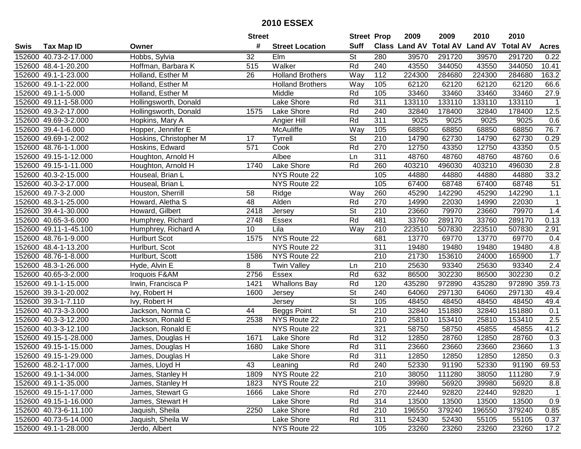|      |                       |                        | <b>Street</b> |                         | <b>Street Prop</b>       |     | 2009          | 2009            | 2010           | 2010            |                   |
|------|-----------------------|------------------------|---------------|-------------------------|--------------------------|-----|---------------|-----------------|----------------|-----------------|-------------------|
| Swis | <b>Tax Map ID</b>     | Owner                  | #             | <b>Street Location</b>  | <b>Suff</b>              |     | Class Land AV | <b>Total AV</b> | <b>Land AV</b> | <b>Total AV</b> | <b>Acres</b>      |
|      | 152600 40.73-2-17.000 | Hobbs, Sylvia          | 32            | Elm                     | <b>St</b>                | 280 | 39570         | 291720          | 39570          | 291720          | 0.22              |
|      | 152600 48.4-1-20.200  | Hoffman, Barbara K     | 515           | Walker                  | Rd                       | 240 | 43550         | 344050          | 43550          | 344050          | 10.41             |
|      | 152600 49.1-1-23.000  | Holland, Esther M      | 26            | <b>Holland Brothers</b> | Way                      | 112 | 224300        | 284680          | 224300         | 284680          | 163.2             |
|      | 152600 49.1-1-22.000  | Holland, Esther M      |               | <b>Holland Brothers</b> | Way                      | 105 | 62120         | 62120           | 62120          | 62120           | 66.6              |
|      | 152600 49.1-1-5.000   | Holland, Esther M      |               | Middle                  | Rd                       | 105 | 33460         | 33460           | 33460          | 33460           | 27.9              |
|      | 152600 49.11-1-58.000 | Hollingsworth, Donald  |               | Lake Shore              | Rd                       | 311 | 133110        | 133110          | 133110         | 133110          | $\overline{1}$    |
|      | 152600 49.3-2-17.000  | Hollingsworth, Donald  | 1575          | Lake Shore              | Rd                       | 240 | 32840         | 178400          | 32840          | 178400          | $\overline{12.5}$ |
|      | 152600 49.69-3-2.000  | Hopkins, Mary A        |               | Angier Hill             | Rd                       | 311 | 9025          | 9025            | 9025           | 9025            | 0.6               |
|      | 152600 39.4-1-6.000   | Hopper, Jennifer E     |               | McAuliffe               | Way                      | 105 | 68850         | 68850           | 68850          | 68850           | 76.7              |
|      | 152600 49.69-1-2.002  | Hoskins, Christopher M | 17            | <b>Tyrrell</b>          | $\overline{\mathsf{St}}$ | 210 | 14790         | 62730           | 14790          | 62730           | 0.29              |
|      | 152600 48.76-1-1.000  | Hoskins, Edward        | 571           | Cook                    | Rd                       | 270 | 12750         | 43350           | 12750          | 43350           | 0.5               |
|      | 152600 49.15-1-12.000 | Houghton, Arnold H     |               | Albee                   | Ln                       | 311 | 48760         | 48760           | 48760          | 48760           | 0.6               |
|      | 152600 49.15-1-11.000 | Houghton, Arnold H     | 1740          | Lake Shore              | Rd                       | 260 | 403210        | 496030          | 403210         | 496030          | $\overline{2.8}$  |
|      | 152600 40.3-2-15.000  | Houseal, Brian L       |               | NYS Route 22            |                          | 105 | 44880         | 44880           | 44880          | 44880           | 33.2              |
|      | 152600 40.3-2-17.000  | Houseal, Brian L       |               | NYS Route 22            |                          | 105 | 67400         | 68748           | 67400          | 68748           | 51                |
|      | 152600 49.7-3-2.000   | Houston, Sherrill      | 58            | Ridge                   | Way                      | 260 | 45290         | 142290          | 45290          | 142290          | 1.1               |
|      | 152600 48.3-1-25.000  | Howard, Aletha S       | 48            | Alden                   | Rd                       | 270 | 14990         | 22030           | 14990          | 22030           | $\overline{1}$    |
|      | 152600 39.4-1-30.000  | Howard, Gilbert        | 2418          | Jersey                  | $\overline{\mathsf{St}}$ | 210 | 23660         | 79970           | 23660          | 79970           | 1.4               |
|      | 152600 40.65-3-6.000  | Humphrey, Richard      | 2748          | Essex                   | Rd                       | 481 | 33760         | 289170          | 33760          | 289170          | 0.13              |
|      | 152600 49.11-1-45.100 | Humphrey, Richard A    | 10            | Lila                    | Way                      | 210 | 223510        | 507830          | 223510         | 507830          | 2.91              |
|      | 152600 48.76-1-9.000  | <b>Hurlburt Scot</b>   | 1575          | NYS Route 22            |                          | 681 | 13770         | 69770           | 13770          | 69770           | 0.4               |
|      | 152600 48.4-1-13.200  | Hurlburt, Scot         |               | NYS Route 22            |                          | 311 | 19480         | 19480           | 19480          | 19480           | 4.8               |
|      | 152600 48.76-1-8.000  | Hurlburt, Scott        | 1586          | NYS Route 22            |                          | 210 | 21730         | 153610          | 24000          | 165900          | 1.7               |
|      | 152600 48.3-1-26.000  | Hyde, Alvin E          | 8             | <b>Twin Valley</b>      | Ln                       | 210 | 25630         | 93340           | 25630          | 93340           | 2.4               |
|      | 152600 40.65-3-2.000  | Iroquois F&AM          | 2756          | Essex                   | Rd                       | 632 | 86500         | 302230          | 86500          | 302230          | 0.2               |
|      | 152600 49.1-1-15.000  | Irwin, Francisca P     | 1421          | <b>Whallons Bay</b>     | Rd                       | 120 | 435280        | 972890          | 435280         | 972890          | 359.73            |
|      | 152600 39.3-1-20.002  | Ivy, Robert H          | 1600          | Jersey                  | $\overline{\mathsf{St}}$ | 240 | 64060         | 297130          | 64060          | 297130          | 49.4              |
|      | 152600 39.3-1-7.110   | Ivy, Robert H          |               | Jersey                  | St                       | 105 | 48450         | 48450           | 48450          | 48450           | 49.4              |
|      | 152600 40.73-3-3.000  | Jackson, Norma C       | 44            | Beggs Point             | $\overline{\mathsf{St}}$ | 210 | 32840         | 151880          | 32840          | 151880          | 0.1               |
|      | 152600 40.3-3-12.200  | Jackson, Ronald E      | 2538          | NYS Route 22            |                          | 210 | 25810         | 153410          | 25810          | 153410          | 2.5               |
|      | 152600 40.3-3-12.100  | Jackson, Ronald E      |               | NYS Route 22            |                          | 321 | 58750         | 58750           | 45855          | 45855           | 41.2              |
|      | 152600 49.15-1-28.000 | James, Douglas H       | 1671          | Lake Shore              | Rd                       | 312 | 12850         | 28760           | 12850          | 28760           | 0.3               |
|      | 152600 49.15-1-15.000 | James, Douglas H       | 1680          | <b>Lake Shore</b>       | Rd                       | 311 | 23660         | 23660           | 23660          | 23660           | 1.3               |
|      | 152600 49.15-1-29.000 | James, Douglas H       |               | Lake Shore              | Rd                       | 311 | 12850         | 12850           | 12850          | 12850           | 0.3               |
|      | 152600 48.2-1-17.000  | James, Lloyd H         | 43            | Leaning                 | Rd                       | 240 | 52330         | 91190           | 52330          | 91190           | 69.53             |
|      | 152600 49.1-1-34.000  | James, Stanley H       | 1809          | NYS Route 22            |                          | 210 | 38050         | 111280          | 38050          | 111280          | 7.9               |
|      | 152600 49.1-1-35.000  | James, Stanley H       | 1823          | NYS Route 22            |                          | 210 | 39980         | 56920           | 39980          | 56920           | 8.8               |
|      | 152600 49.15-1-17.000 | James, Stewart G       | 1666          | Lake Shore              | Rd                       | 270 | 22440         | 92820           | 22440          | 92820           | $\overline{1}$    |
|      | 152600 49.15-1-16.000 | James, Stewart H       |               | Lake Shore              | Rd                       | 314 | 13500         | 13500           | 13500          | 13500           | 0.9               |
|      | 152600 40.73-6-11.100 | Jaquish, Sheila        | 2250          | Lake Shore              | Rd                       | 210 | 196550        | 379240          | 196550         | 379240          | 0.85              |
|      | 152600 40.73-5-14.000 | Jaquish, Sheila W      |               | Lake Shore              | Rd                       | 311 | 52430         | 52430           | 55105          | 55105           | 0.37              |
|      | 152600 49.1-1-28.000  | Jerdo, Albert          |               | NYS Route 22            |                          | 105 | 23260         | 23260           | 23260          | 23260           | 17.2              |
|      |                       |                        |               |                         |                          |     |               |                 |                |                 |                   |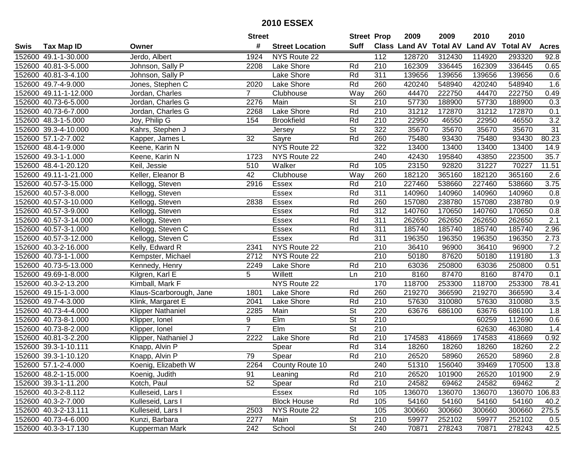| #<br><b>Suff</b><br><b>Total AV</b><br><b>Land AV</b><br>Class Land AV<br><b>Total AV</b><br><b>Tax Map ID</b><br><b>Street Location</b><br><b>Acres</b><br>Swis<br>Owner<br>114920<br>152600 49.1-1-30.000<br>Jerdo, Albert<br>1924<br>NYS Route 22<br>112<br>128720<br>312430<br>293320<br>92.8<br>152600 40.81-3-5.000<br>Johnson, Sally P<br>Lake Shore<br>210<br>162309<br>336445<br>162309<br>336445<br>0.65<br>2208<br>Rd<br>152600 40.81-3-4.100<br>Johnson, Sally P<br>Lake Shore<br>Rd<br>311<br>139656<br>139656<br>139656<br>139656<br>0.6<br>Jones, Stephen C<br>2020<br>Rd<br>260<br>420240<br>548940<br>420240<br>1.6<br>152600 49.7-4-9.000<br>Lake Shore<br>548940<br>152600 49.11-1-12.000<br>Jordan, Charles<br>Way<br>260<br>44470<br>222750<br>44470<br>222750<br>0.49<br>$7^{\circ}$<br>Clubhouse<br>$\overline{210}$<br>57730<br>0.3<br>152600 40.73-6-5.000<br>Jordan, Charles G<br>2276<br>Main<br><b>St</b><br>188900<br>57730<br>188900<br>152600 40.73-6-7.000<br>Jordan, Charles G<br>Lake Shore<br>Rd<br>210<br>31212<br>172870<br>31212<br>0.1<br>2268<br>172870<br>3.2<br>Joy, Philip G<br>Rd<br>$\overline{210}$<br>22950<br>22950<br>46550<br>152600 48.3-1-5.000<br>154<br><b>Brookfield</b><br>46550<br>$\overline{\mathsf{St}}$<br>322<br>35670<br>35670<br>31<br>152600 39.3-4-10.000<br>Kahrs, Stephen J<br>35670<br>35670<br>Jersey<br>32<br>Rd<br>75480<br>93430<br>80.23<br>152600 57.1-2-7.002<br>Sayre<br>260<br>93430<br>75480<br>Kapper, James L<br>NYS Route 22<br>322<br>13400<br>13400<br>152600 48.4-1-9.000<br>13400<br>13400<br>14.9<br>Keene, Karin N<br>152600 49.3-1-1.000<br>Keene, Karin N<br>NYS Route 22<br>240<br>42430<br>195840<br>43850<br>223500<br>35.7<br>1723<br>152600 48.4-1-20.120<br>Walker<br>Rd<br>105<br>23150<br>92820<br>31227<br>70227<br>11.51<br>Keil, Jessie<br>510<br>42<br>152600 49.11-1-21.000<br>Keller, Eleanor B<br>Clubhouse<br>Way<br>260<br>182120<br>365160<br>182120<br>365160<br>2.6<br>Rd<br>3.75<br>152600 40.57-3-15.000<br>Kellogg, Steven<br>2916<br>Essex<br>210<br>227460<br>538660<br>227460<br>538660<br>Rd<br>152600 40.57-3-8.000<br>Kellogg, Steven<br>Essex<br>311<br>140960<br>140960<br>140960<br>140960<br>0.8<br>Rd<br>260<br>0.9<br>152600 40.57-3-10.000<br>Kellogg, Steven<br>2838<br>Essex<br>157080<br>238780<br>157080<br>238780<br>Rd<br>312<br>152600 40.57-3-9.000<br><b>Essex</b><br>140760<br>170650<br>140760<br>0.8<br>Kellogg, Steven<br>170650<br>2.1<br>Rd<br>152600 40.57-3-14.000<br><b>Essex</b><br>311<br>262650<br>262650<br>262650<br>262650<br>Kellogg, Steven<br>152600 40.57-3-1.000<br>Kellogg, Steven C<br>Essex<br>Rd<br>311<br>185740<br>185740<br>185740<br>185740<br>2.96<br><b>Essex</b><br>Rd<br>311<br>196350<br>196350<br>196350<br>2.73<br>152600 40.57-3-12.000<br>Kellogg, Steven C<br>196350<br>NYS Route 22<br>36410<br>7.2<br>152600 40.3-2-16.000<br>Kelly, Edward R<br>2341<br>210<br>96900<br>36410<br>96900<br>210<br>1.3<br>152600 40.73-1-1.000<br>NYS Route 22<br>50180<br>87620<br>50180<br>119180<br>Kempster, Michael<br>2712<br>152600 40.73-5-13.000<br>Kennedy, Henry<br>Rd<br>210<br>63036<br>250800<br>63036<br>250800<br>0.51<br>2249<br>Lake Shore<br>5<br>152600 49.69-1-8.000<br>Willett<br>210<br>8160<br>87470<br>8160<br>87470<br>0.1<br>Kilgren, Karl E<br>Ln<br>NYS Route 22<br>170<br>118700<br>253300<br>118700<br>253300<br>152600 40.3-2-13.200<br>Kimball, Mark F<br>78.41<br>Rd<br>260<br>219270<br>366590<br>152600 49.15-1-3.000<br>1801<br>Lake Shore<br>219270<br>366590<br>Klaus-Scarborough, Jane<br>3.4<br>Rd<br>152600 49.7-4-3.000<br>Klink, Margaret E<br>Lake Shore<br>210<br>57630<br>310080<br>57630<br>310080<br>3.5<br>2041<br>$\overline{\mathsf{St}}$<br>152600 40.73-4-4.000<br>220<br>63676<br>686100<br>1.8<br>Klipper Nathaniel<br>2285<br>Main<br>686100<br>63676<br>$\overline{\mathsf{St}}$<br>$\overline{210}$<br>152600 40.73-8-1.000<br>9<br>Elm<br>60259<br>112690<br>0.6<br>Klipper, Ionel<br>$\overline{7}$<br>$\overline{\mathsf{St}}$<br>210<br>152600 40.73-8-2.000<br>EIm<br>62630<br>463080<br>1.4<br>Klipper, Ionel<br>Rd<br>152600 40.81-3-2.200<br>2222<br>Lake Shore<br>210<br>174583<br>418669<br>174583<br>418669<br>0.92<br>Klipper, Nathaniel J<br>Rd<br>$\overline{314}$<br>18260<br>$\overline{2.2}$<br>152600 39.3-1-10.111<br>Knapp, Alvin P<br>Spear<br>18260<br>18260<br>18260<br>Rd<br>2.8<br>79<br>$\overline{210}$<br>152600 39.3-1-10.120<br>Spear<br>26520<br>58960<br>26520<br>58960<br>Knapp, Alvin P<br>152600 57.1-2-4.000<br>Koenig, Elizabeth W<br>2264<br>County Route 10<br>240<br>51310<br>156040<br>39469<br>170500<br>13.8<br>152600 48.2-1-15.000<br>Koenig, Judith<br>91<br>Rd<br>210<br>26520<br>101900<br>26520<br>101900<br>2.9<br>Leaning<br>52<br>Rd<br>210<br>24582<br>69462<br>$\overline{2}$<br>152600 39.3-1-11.200<br>Kotch, Paul<br>Spear<br>69462<br>24582<br>Rd<br>152600 40.3-2-8.112<br>105<br>136070<br>136070<br>136070 106.83<br>Kulleseid, Lars I<br>Essex<br>136070<br>152600 40.3-2-7.000<br>Kulleseid, Lars I<br>Rd<br>105<br>54160<br>54160<br>54160<br><b>Block House</b><br>54160<br>40.2<br>NYS Route 22<br>105<br>275.5<br>152600 40.3-2-13.111<br>Kulleseid, Lars I<br>2503<br>300660<br>300660<br>300660<br>300660<br><b>St</b><br>252102<br>152600 40.73-4-6.000<br>Kunzi, Barbara<br>2277<br>Main<br>210<br>59977<br>59977<br>252102<br>0.5<br>$\overline{\mathsf{St}}$<br>240<br>42.5<br>152600 40.3-3-17.130<br>242<br>School<br>70871<br>278243<br>70871<br>278243<br>Kupperman Mark |  | <b>Street</b> | <b>Street Prop</b> | 2009 | 2009 | 2010 | 2010 |  |
|--------------------------------------------------------------------------------------------------------------------------------------------------------------------------------------------------------------------------------------------------------------------------------------------------------------------------------------------------------------------------------------------------------------------------------------------------------------------------------------------------------------------------------------------------------------------------------------------------------------------------------------------------------------------------------------------------------------------------------------------------------------------------------------------------------------------------------------------------------------------------------------------------------------------------------------------------------------------------------------------------------------------------------------------------------------------------------------------------------------------------------------------------------------------------------------------------------------------------------------------------------------------------------------------------------------------------------------------------------------------------------------------------------------------------------------------------------------------------------------------------------------------------------------------------------------------------------------------------------------------------------------------------------------------------------------------------------------------------------------------------------------------------------------------------------------------------------------------------------------------------------------------------------------------------------------------------------------------------------------------------------------------------------------------------------------------------------------------------------------------------------------------------------------------------------------------------------------------------------------------------------------------------------------------------------------------------------------------------------------------------------------------------------------------------------------------------------------------------------------------------------------------------------------------------------------------------------------------------------------------------------------------------------------------------------------------------------------------------------------------------------------------------------------------------------------------------------------------------------------------------------------------------------------------------------------------------------------------------------------------------------------------------------------------------------------------------------------------------------------------------------------------------------------------------------------------------------------------------------------------------------------------------------------------------------------------------------------------------------------------------------------------------------------------------------------------------------------------------------------------------------------------------------------------------------------------------------------------------------------------------------------------------------------------------------------------------------------------------------------------------------------------------------------------------------------------------------------------------------------------------------------------------------------------------------------------------------------------------------------------------------------------------------------------------------------------------------------------------------------------------------------------------------------------------------------------------------------------------------------------------------------------------------------------------------------------------------------------------------------------------------------------------------------------------------------------------------------------------------------------------------------------------------------------------------------------------------------------------------------------------------------------------------------------------------------------------------------------------------------------------------------------------------------------------------------------------------------------------------------------------------------------------------------------------------------------------------------------------------------------------------------------------------------------------------------------------------------------------------------------------------------------------------------------------------------------------------------------------------------------------------------------------------------------------------------------------------------------------------------------------------------------------------------------------------------------------------------------------------------------------------------------------------------------------------------------------------|--|---------------|--------------------|------|------|------|------|--|
|                                                                                                                                                                                                                                                                                                                                                                                                                                                                                                                                                                                                                                                                                                                                                                                                                                                                                                                                                                                                                                                                                                                                                                                                                                                                                                                                                                                                                                                                                                                                                                                                                                                                                                                                                                                                                                                                                                                                                                                                                                                                                                                                                                                                                                                                                                                                                                                                                                                                                                                                                                                                                                                                                                                                                                                                                                                                                                                                                                                                                                                                                                                                                                                                                                                                                                                                                                                                                                                                                                                                                                                                                                                                                                                                                                                                                                                                                                                                                                                                                                                                                                                                                                                                                                                                                                                                                                                                                                                                                                                                                                                                                                                                                                                                                                                                                                                                                                                                                                                                                                                                                                                                                                                                                                                                                                                                                                                                                                                                                                                                                                                |  |               |                    |      |      |      |      |  |
|                                                                                                                                                                                                                                                                                                                                                                                                                                                                                                                                                                                                                                                                                                                                                                                                                                                                                                                                                                                                                                                                                                                                                                                                                                                                                                                                                                                                                                                                                                                                                                                                                                                                                                                                                                                                                                                                                                                                                                                                                                                                                                                                                                                                                                                                                                                                                                                                                                                                                                                                                                                                                                                                                                                                                                                                                                                                                                                                                                                                                                                                                                                                                                                                                                                                                                                                                                                                                                                                                                                                                                                                                                                                                                                                                                                                                                                                                                                                                                                                                                                                                                                                                                                                                                                                                                                                                                                                                                                                                                                                                                                                                                                                                                                                                                                                                                                                                                                                                                                                                                                                                                                                                                                                                                                                                                                                                                                                                                                                                                                                                                                |  |               |                    |      |      |      |      |  |
|                                                                                                                                                                                                                                                                                                                                                                                                                                                                                                                                                                                                                                                                                                                                                                                                                                                                                                                                                                                                                                                                                                                                                                                                                                                                                                                                                                                                                                                                                                                                                                                                                                                                                                                                                                                                                                                                                                                                                                                                                                                                                                                                                                                                                                                                                                                                                                                                                                                                                                                                                                                                                                                                                                                                                                                                                                                                                                                                                                                                                                                                                                                                                                                                                                                                                                                                                                                                                                                                                                                                                                                                                                                                                                                                                                                                                                                                                                                                                                                                                                                                                                                                                                                                                                                                                                                                                                                                                                                                                                                                                                                                                                                                                                                                                                                                                                                                                                                                                                                                                                                                                                                                                                                                                                                                                                                                                                                                                                                                                                                                                                                |  |               |                    |      |      |      |      |  |
|                                                                                                                                                                                                                                                                                                                                                                                                                                                                                                                                                                                                                                                                                                                                                                                                                                                                                                                                                                                                                                                                                                                                                                                                                                                                                                                                                                                                                                                                                                                                                                                                                                                                                                                                                                                                                                                                                                                                                                                                                                                                                                                                                                                                                                                                                                                                                                                                                                                                                                                                                                                                                                                                                                                                                                                                                                                                                                                                                                                                                                                                                                                                                                                                                                                                                                                                                                                                                                                                                                                                                                                                                                                                                                                                                                                                                                                                                                                                                                                                                                                                                                                                                                                                                                                                                                                                                                                                                                                                                                                                                                                                                                                                                                                                                                                                                                                                                                                                                                                                                                                                                                                                                                                                                                                                                                                                                                                                                                                                                                                                                                                |  |               |                    |      |      |      |      |  |
|                                                                                                                                                                                                                                                                                                                                                                                                                                                                                                                                                                                                                                                                                                                                                                                                                                                                                                                                                                                                                                                                                                                                                                                                                                                                                                                                                                                                                                                                                                                                                                                                                                                                                                                                                                                                                                                                                                                                                                                                                                                                                                                                                                                                                                                                                                                                                                                                                                                                                                                                                                                                                                                                                                                                                                                                                                                                                                                                                                                                                                                                                                                                                                                                                                                                                                                                                                                                                                                                                                                                                                                                                                                                                                                                                                                                                                                                                                                                                                                                                                                                                                                                                                                                                                                                                                                                                                                                                                                                                                                                                                                                                                                                                                                                                                                                                                                                                                                                                                                                                                                                                                                                                                                                                                                                                                                                                                                                                                                                                                                                                                                |  |               |                    |      |      |      |      |  |
|                                                                                                                                                                                                                                                                                                                                                                                                                                                                                                                                                                                                                                                                                                                                                                                                                                                                                                                                                                                                                                                                                                                                                                                                                                                                                                                                                                                                                                                                                                                                                                                                                                                                                                                                                                                                                                                                                                                                                                                                                                                                                                                                                                                                                                                                                                                                                                                                                                                                                                                                                                                                                                                                                                                                                                                                                                                                                                                                                                                                                                                                                                                                                                                                                                                                                                                                                                                                                                                                                                                                                                                                                                                                                                                                                                                                                                                                                                                                                                                                                                                                                                                                                                                                                                                                                                                                                                                                                                                                                                                                                                                                                                                                                                                                                                                                                                                                                                                                                                                                                                                                                                                                                                                                                                                                                                                                                                                                                                                                                                                                                                                |  |               |                    |      |      |      |      |  |
|                                                                                                                                                                                                                                                                                                                                                                                                                                                                                                                                                                                                                                                                                                                                                                                                                                                                                                                                                                                                                                                                                                                                                                                                                                                                                                                                                                                                                                                                                                                                                                                                                                                                                                                                                                                                                                                                                                                                                                                                                                                                                                                                                                                                                                                                                                                                                                                                                                                                                                                                                                                                                                                                                                                                                                                                                                                                                                                                                                                                                                                                                                                                                                                                                                                                                                                                                                                                                                                                                                                                                                                                                                                                                                                                                                                                                                                                                                                                                                                                                                                                                                                                                                                                                                                                                                                                                                                                                                                                                                                                                                                                                                                                                                                                                                                                                                                                                                                                                                                                                                                                                                                                                                                                                                                                                                                                                                                                                                                                                                                                                                                |  |               |                    |      |      |      |      |  |
|                                                                                                                                                                                                                                                                                                                                                                                                                                                                                                                                                                                                                                                                                                                                                                                                                                                                                                                                                                                                                                                                                                                                                                                                                                                                                                                                                                                                                                                                                                                                                                                                                                                                                                                                                                                                                                                                                                                                                                                                                                                                                                                                                                                                                                                                                                                                                                                                                                                                                                                                                                                                                                                                                                                                                                                                                                                                                                                                                                                                                                                                                                                                                                                                                                                                                                                                                                                                                                                                                                                                                                                                                                                                                                                                                                                                                                                                                                                                                                                                                                                                                                                                                                                                                                                                                                                                                                                                                                                                                                                                                                                                                                                                                                                                                                                                                                                                                                                                                                                                                                                                                                                                                                                                                                                                                                                                                                                                                                                                                                                                                                                |  |               |                    |      |      |      |      |  |
|                                                                                                                                                                                                                                                                                                                                                                                                                                                                                                                                                                                                                                                                                                                                                                                                                                                                                                                                                                                                                                                                                                                                                                                                                                                                                                                                                                                                                                                                                                                                                                                                                                                                                                                                                                                                                                                                                                                                                                                                                                                                                                                                                                                                                                                                                                                                                                                                                                                                                                                                                                                                                                                                                                                                                                                                                                                                                                                                                                                                                                                                                                                                                                                                                                                                                                                                                                                                                                                                                                                                                                                                                                                                                                                                                                                                                                                                                                                                                                                                                                                                                                                                                                                                                                                                                                                                                                                                                                                                                                                                                                                                                                                                                                                                                                                                                                                                                                                                                                                                                                                                                                                                                                                                                                                                                                                                                                                                                                                                                                                                                                                |  |               |                    |      |      |      |      |  |
|                                                                                                                                                                                                                                                                                                                                                                                                                                                                                                                                                                                                                                                                                                                                                                                                                                                                                                                                                                                                                                                                                                                                                                                                                                                                                                                                                                                                                                                                                                                                                                                                                                                                                                                                                                                                                                                                                                                                                                                                                                                                                                                                                                                                                                                                                                                                                                                                                                                                                                                                                                                                                                                                                                                                                                                                                                                                                                                                                                                                                                                                                                                                                                                                                                                                                                                                                                                                                                                                                                                                                                                                                                                                                                                                                                                                                                                                                                                                                                                                                                                                                                                                                                                                                                                                                                                                                                                                                                                                                                                                                                                                                                                                                                                                                                                                                                                                                                                                                                                                                                                                                                                                                                                                                                                                                                                                                                                                                                                                                                                                                                                |  |               |                    |      |      |      |      |  |
|                                                                                                                                                                                                                                                                                                                                                                                                                                                                                                                                                                                                                                                                                                                                                                                                                                                                                                                                                                                                                                                                                                                                                                                                                                                                                                                                                                                                                                                                                                                                                                                                                                                                                                                                                                                                                                                                                                                                                                                                                                                                                                                                                                                                                                                                                                                                                                                                                                                                                                                                                                                                                                                                                                                                                                                                                                                                                                                                                                                                                                                                                                                                                                                                                                                                                                                                                                                                                                                                                                                                                                                                                                                                                                                                                                                                                                                                                                                                                                                                                                                                                                                                                                                                                                                                                                                                                                                                                                                                                                                                                                                                                                                                                                                                                                                                                                                                                                                                                                                                                                                                                                                                                                                                                                                                                                                                                                                                                                                                                                                                                                                |  |               |                    |      |      |      |      |  |
|                                                                                                                                                                                                                                                                                                                                                                                                                                                                                                                                                                                                                                                                                                                                                                                                                                                                                                                                                                                                                                                                                                                                                                                                                                                                                                                                                                                                                                                                                                                                                                                                                                                                                                                                                                                                                                                                                                                                                                                                                                                                                                                                                                                                                                                                                                                                                                                                                                                                                                                                                                                                                                                                                                                                                                                                                                                                                                                                                                                                                                                                                                                                                                                                                                                                                                                                                                                                                                                                                                                                                                                                                                                                                                                                                                                                                                                                                                                                                                                                                                                                                                                                                                                                                                                                                                                                                                                                                                                                                                                                                                                                                                                                                                                                                                                                                                                                                                                                                                                                                                                                                                                                                                                                                                                                                                                                                                                                                                                                                                                                                                                |  |               |                    |      |      |      |      |  |
|                                                                                                                                                                                                                                                                                                                                                                                                                                                                                                                                                                                                                                                                                                                                                                                                                                                                                                                                                                                                                                                                                                                                                                                                                                                                                                                                                                                                                                                                                                                                                                                                                                                                                                                                                                                                                                                                                                                                                                                                                                                                                                                                                                                                                                                                                                                                                                                                                                                                                                                                                                                                                                                                                                                                                                                                                                                                                                                                                                                                                                                                                                                                                                                                                                                                                                                                                                                                                                                                                                                                                                                                                                                                                                                                                                                                                                                                                                                                                                                                                                                                                                                                                                                                                                                                                                                                                                                                                                                                                                                                                                                                                                                                                                                                                                                                                                                                                                                                                                                                                                                                                                                                                                                                                                                                                                                                                                                                                                                                                                                                                                                |  |               |                    |      |      |      |      |  |
|                                                                                                                                                                                                                                                                                                                                                                                                                                                                                                                                                                                                                                                                                                                                                                                                                                                                                                                                                                                                                                                                                                                                                                                                                                                                                                                                                                                                                                                                                                                                                                                                                                                                                                                                                                                                                                                                                                                                                                                                                                                                                                                                                                                                                                                                                                                                                                                                                                                                                                                                                                                                                                                                                                                                                                                                                                                                                                                                                                                                                                                                                                                                                                                                                                                                                                                                                                                                                                                                                                                                                                                                                                                                                                                                                                                                                                                                                                                                                                                                                                                                                                                                                                                                                                                                                                                                                                                                                                                                                                                                                                                                                                                                                                                                                                                                                                                                                                                                                                                                                                                                                                                                                                                                                                                                                                                                                                                                                                                                                                                                                                                |  |               |                    |      |      |      |      |  |
|                                                                                                                                                                                                                                                                                                                                                                                                                                                                                                                                                                                                                                                                                                                                                                                                                                                                                                                                                                                                                                                                                                                                                                                                                                                                                                                                                                                                                                                                                                                                                                                                                                                                                                                                                                                                                                                                                                                                                                                                                                                                                                                                                                                                                                                                                                                                                                                                                                                                                                                                                                                                                                                                                                                                                                                                                                                                                                                                                                                                                                                                                                                                                                                                                                                                                                                                                                                                                                                                                                                                                                                                                                                                                                                                                                                                                                                                                                                                                                                                                                                                                                                                                                                                                                                                                                                                                                                                                                                                                                                                                                                                                                                                                                                                                                                                                                                                                                                                                                                                                                                                                                                                                                                                                                                                                                                                                                                                                                                                                                                                                                                |  |               |                    |      |      |      |      |  |
|                                                                                                                                                                                                                                                                                                                                                                                                                                                                                                                                                                                                                                                                                                                                                                                                                                                                                                                                                                                                                                                                                                                                                                                                                                                                                                                                                                                                                                                                                                                                                                                                                                                                                                                                                                                                                                                                                                                                                                                                                                                                                                                                                                                                                                                                                                                                                                                                                                                                                                                                                                                                                                                                                                                                                                                                                                                                                                                                                                                                                                                                                                                                                                                                                                                                                                                                                                                                                                                                                                                                                                                                                                                                                                                                                                                                                                                                                                                                                                                                                                                                                                                                                                                                                                                                                                                                                                                                                                                                                                                                                                                                                                                                                                                                                                                                                                                                                                                                                                                                                                                                                                                                                                                                                                                                                                                                                                                                                                                                                                                                                                                |  |               |                    |      |      |      |      |  |
|                                                                                                                                                                                                                                                                                                                                                                                                                                                                                                                                                                                                                                                                                                                                                                                                                                                                                                                                                                                                                                                                                                                                                                                                                                                                                                                                                                                                                                                                                                                                                                                                                                                                                                                                                                                                                                                                                                                                                                                                                                                                                                                                                                                                                                                                                                                                                                                                                                                                                                                                                                                                                                                                                                                                                                                                                                                                                                                                                                                                                                                                                                                                                                                                                                                                                                                                                                                                                                                                                                                                                                                                                                                                                                                                                                                                                                                                                                                                                                                                                                                                                                                                                                                                                                                                                                                                                                                                                                                                                                                                                                                                                                                                                                                                                                                                                                                                                                                                                                                                                                                                                                                                                                                                                                                                                                                                                                                                                                                                                                                                                                                |  |               |                    |      |      |      |      |  |
|                                                                                                                                                                                                                                                                                                                                                                                                                                                                                                                                                                                                                                                                                                                                                                                                                                                                                                                                                                                                                                                                                                                                                                                                                                                                                                                                                                                                                                                                                                                                                                                                                                                                                                                                                                                                                                                                                                                                                                                                                                                                                                                                                                                                                                                                                                                                                                                                                                                                                                                                                                                                                                                                                                                                                                                                                                                                                                                                                                                                                                                                                                                                                                                                                                                                                                                                                                                                                                                                                                                                                                                                                                                                                                                                                                                                                                                                                                                                                                                                                                                                                                                                                                                                                                                                                                                                                                                                                                                                                                                                                                                                                                                                                                                                                                                                                                                                                                                                                                                                                                                                                                                                                                                                                                                                                                                                                                                                                                                                                                                                                                                |  |               |                    |      |      |      |      |  |
|                                                                                                                                                                                                                                                                                                                                                                                                                                                                                                                                                                                                                                                                                                                                                                                                                                                                                                                                                                                                                                                                                                                                                                                                                                                                                                                                                                                                                                                                                                                                                                                                                                                                                                                                                                                                                                                                                                                                                                                                                                                                                                                                                                                                                                                                                                                                                                                                                                                                                                                                                                                                                                                                                                                                                                                                                                                                                                                                                                                                                                                                                                                                                                                                                                                                                                                                                                                                                                                                                                                                                                                                                                                                                                                                                                                                                                                                                                                                                                                                                                                                                                                                                                                                                                                                                                                                                                                                                                                                                                                                                                                                                                                                                                                                                                                                                                                                                                                                                                                                                                                                                                                                                                                                                                                                                                                                                                                                                                                                                                                                                                                |  |               |                    |      |      |      |      |  |
|                                                                                                                                                                                                                                                                                                                                                                                                                                                                                                                                                                                                                                                                                                                                                                                                                                                                                                                                                                                                                                                                                                                                                                                                                                                                                                                                                                                                                                                                                                                                                                                                                                                                                                                                                                                                                                                                                                                                                                                                                                                                                                                                                                                                                                                                                                                                                                                                                                                                                                                                                                                                                                                                                                                                                                                                                                                                                                                                                                                                                                                                                                                                                                                                                                                                                                                                                                                                                                                                                                                                                                                                                                                                                                                                                                                                                                                                                                                                                                                                                                                                                                                                                                                                                                                                                                                                                                                                                                                                                                                                                                                                                                                                                                                                                                                                                                                                                                                                                                                                                                                                                                                                                                                                                                                                                                                                                                                                                                                                                                                                                                                |  |               |                    |      |      |      |      |  |
|                                                                                                                                                                                                                                                                                                                                                                                                                                                                                                                                                                                                                                                                                                                                                                                                                                                                                                                                                                                                                                                                                                                                                                                                                                                                                                                                                                                                                                                                                                                                                                                                                                                                                                                                                                                                                                                                                                                                                                                                                                                                                                                                                                                                                                                                                                                                                                                                                                                                                                                                                                                                                                                                                                                                                                                                                                                                                                                                                                                                                                                                                                                                                                                                                                                                                                                                                                                                                                                                                                                                                                                                                                                                                                                                                                                                                                                                                                                                                                                                                                                                                                                                                                                                                                                                                                                                                                                                                                                                                                                                                                                                                                                                                                                                                                                                                                                                                                                                                                                                                                                                                                                                                                                                                                                                                                                                                                                                                                                                                                                                                                                |  |               |                    |      |      |      |      |  |
|                                                                                                                                                                                                                                                                                                                                                                                                                                                                                                                                                                                                                                                                                                                                                                                                                                                                                                                                                                                                                                                                                                                                                                                                                                                                                                                                                                                                                                                                                                                                                                                                                                                                                                                                                                                                                                                                                                                                                                                                                                                                                                                                                                                                                                                                                                                                                                                                                                                                                                                                                                                                                                                                                                                                                                                                                                                                                                                                                                                                                                                                                                                                                                                                                                                                                                                                                                                                                                                                                                                                                                                                                                                                                                                                                                                                                                                                                                                                                                                                                                                                                                                                                                                                                                                                                                                                                                                                                                                                                                                                                                                                                                                                                                                                                                                                                                                                                                                                                                                                                                                                                                                                                                                                                                                                                                                                                                                                                                                                                                                                                                                |  |               |                    |      |      |      |      |  |
|                                                                                                                                                                                                                                                                                                                                                                                                                                                                                                                                                                                                                                                                                                                                                                                                                                                                                                                                                                                                                                                                                                                                                                                                                                                                                                                                                                                                                                                                                                                                                                                                                                                                                                                                                                                                                                                                                                                                                                                                                                                                                                                                                                                                                                                                                                                                                                                                                                                                                                                                                                                                                                                                                                                                                                                                                                                                                                                                                                                                                                                                                                                                                                                                                                                                                                                                                                                                                                                                                                                                                                                                                                                                                                                                                                                                                                                                                                                                                                                                                                                                                                                                                                                                                                                                                                                                                                                                                                                                                                                                                                                                                                                                                                                                                                                                                                                                                                                                                                                                                                                                                                                                                                                                                                                                                                                                                                                                                                                                                                                                                                                |  |               |                    |      |      |      |      |  |
|                                                                                                                                                                                                                                                                                                                                                                                                                                                                                                                                                                                                                                                                                                                                                                                                                                                                                                                                                                                                                                                                                                                                                                                                                                                                                                                                                                                                                                                                                                                                                                                                                                                                                                                                                                                                                                                                                                                                                                                                                                                                                                                                                                                                                                                                                                                                                                                                                                                                                                                                                                                                                                                                                                                                                                                                                                                                                                                                                                                                                                                                                                                                                                                                                                                                                                                                                                                                                                                                                                                                                                                                                                                                                                                                                                                                                                                                                                                                                                                                                                                                                                                                                                                                                                                                                                                                                                                                                                                                                                                                                                                                                                                                                                                                                                                                                                                                                                                                                                                                                                                                                                                                                                                                                                                                                                                                                                                                                                                                                                                                                                                |  |               |                    |      |      |      |      |  |
|                                                                                                                                                                                                                                                                                                                                                                                                                                                                                                                                                                                                                                                                                                                                                                                                                                                                                                                                                                                                                                                                                                                                                                                                                                                                                                                                                                                                                                                                                                                                                                                                                                                                                                                                                                                                                                                                                                                                                                                                                                                                                                                                                                                                                                                                                                                                                                                                                                                                                                                                                                                                                                                                                                                                                                                                                                                                                                                                                                                                                                                                                                                                                                                                                                                                                                                                                                                                                                                                                                                                                                                                                                                                                                                                                                                                                                                                                                                                                                                                                                                                                                                                                                                                                                                                                                                                                                                                                                                                                                                                                                                                                                                                                                                                                                                                                                                                                                                                                                                                                                                                                                                                                                                                                                                                                                                                                                                                                                                                                                                                                                                |  |               |                    |      |      |      |      |  |
|                                                                                                                                                                                                                                                                                                                                                                                                                                                                                                                                                                                                                                                                                                                                                                                                                                                                                                                                                                                                                                                                                                                                                                                                                                                                                                                                                                                                                                                                                                                                                                                                                                                                                                                                                                                                                                                                                                                                                                                                                                                                                                                                                                                                                                                                                                                                                                                                                                                                                                                                                                                                                                                                                                                                                                                                                                                                                                                                                                                                                                                                                                                                                                                                                                                                                                                                                                                                                                                                                                                                                                                                                                                                                                                                                                                                                                                                                                                                                                                                                                                                                                                                                                                                                                                                                                                                                                                                                                                                                                                                                                                                                                                                                                                                                                                                                                                                                                                                                                                                                                                                                                                                                                                                                                                                                                                                                                                                                                                                                                                                                                                |  |               |                    |      |      |      |      |  |
|                                                                                                                                                                                                                                                                                                                                                                                                                                                                                                                                                                                                                                                                                                                                                                                                                                                                                                                                                                                                                                                                                                                                                                                                                                                                                                                                                                                                                                                                                                                                                                                                                                                                                                                                                                                                                                                                                                                                                                                                                                                                                                                                                                                                                                                                                                                                                                                                                                                                                                                                                                                                                                                                                                                                                                                                                                                                                                                                                                                                                                                                                                                                                                                                                                                                                                                                                                                                                                                                                                                                                                                                                                                                                                                                                                                                                                                                                                                                                                                                                                                                                                                                                                                                                                                                                                                                                                                                                                                                                                                                                                                                                                                                                                                                                                                                                                                                                                                                                                                                                                                                                                                                                                                                                                                                                                                                                                                                                                                                                                                                                                                |  |               |                    |      |      |      |      |  |
|                                                                                                                                                                                                                                                                                                                                                                                                                                                                                                                                                                                                                                                                                                                                                                                                                                                                                                                                                                                                                                                                                                                                                                                                                                                                                                                                                                                                                                                                                                                                                                                                                                                                                                                                                                                                                                                                                                                                                                                                                                                                                                                                                                                                                                                                                                                                                                                                                                                                                                                                                                                                                                                                                                                                                                                                                                                                                                                                                                                                                                                                                                                                                                                                                                                                                                                                                                                                                                                                                                                                                                                                                                                                                                                                                                                                                                                                                                                                                                                                                                                                                                                                                                                                                                                                                                                                                                                                                                                                                                                                                                                                                                                                                                                                                                                                                                                                                                                                                                                                                                                                                                                                                                                                                                                                                                                                                                                                                                                                                                                                                                                |  |               |                    |      |      |      |      |  |
|                                                                                                                                                                                                                                                                                                                                                                                                                                                                                                                                                                                                                                                                                                                                                                                                                                                                                                                                                                                                                                                                                                                                                                                                                                                                                                                                                                                                                                                                                                                                                                                                                                                                                                                                                                                                                                                                                                                                                                                                                                                                                                                                                                                                                                                                                                                                                                                                                                                                                                                                                                                                                                                                                                                                                                                                                                                                                                                                                                                                                                                                                                                                                                                                                                                                                                                                                                                                                                                                                                                                                                                                                                                                                                                                                                                                                                                                                                                                                                                                                                                                                                                                                                                                                                                                                                                                                                                                                                                                                                                                                                                                                                                                                                                                                                                                                                                                                                                                                                                                                                                                                                                                                                                                                                                                                                                                                                                                                                                                                                                                                                                |  |               |                    |      |      |      |      |  |
|                                                                                                                                                                                                                                                                                                                                                                                                                                                                                                                                                                                                                                                                                                                                                                                                                                                                                                                                                                                                                                                                                                                                                                                                                                                                                                                                                                                                                                                                                                                                                                                                                                                                                                                                                                                                                                                                                                                                                                                                                                                                                                                                                                                                                                                                                                                                                                                                                                                                                                                                                                                                                                                                                                                                                                                                                                                                                                                                                                                                                                                                                                                                                                                                                                                                                                                                                                                                                                                                                                                                                                                                                                                                                                                                                                                                                                                                                                                                                                                                                                                                                                                                                                                                                                                                                                                                                                                                                                                                                                                                                                                                                                                                                                                                                                                                                                                                                                                                                                                                                                                                                                                                                                                                                                                                                                                                                                                                                                                                                                                                                                                |  |               |                    |      |      |      |      |  |
|                                                                                                                                                                                                                                                                                                                                                                                                                                                                                                                                                                                                                                                                                                                                                                                                                                                                                                                                                                                                                                                                                                                                                                                                                                                                                                                                                                                                                                                                                                                                                                                                                                                                                                                                                                                                                                                                                                                                                                                                                                                                                                                                                                                                                                                                                                                                                                                                                                                                                                                                                                                                                                                                                                                                                                                                                                                                                                                                                                                                                                                                                                                                                                                                                                                                                                                                                                                                                                                                                                                                                                                                                                                                                                                                                                                                                                                                                                                                                                                                                                                                                                                                                                                                                                                                                                                                                                                                                                                                                                                                                                                                                                                                                                                                                                                                                                                                                                                                                                                                                                                                                                                                                                                                                                                                                                                                                                                                                                                                                                                                                                                |  |               |                    |      |      |      |      |  |
|                                                                                                                                                                                                                                                                                                                                                                                                                                                                                                                                                                                                                                                                                                                                                                                                                                                                                                                                                                                                                                                                                                                                                                                                                                                                                                                                                                                                                                                                                                                                                                                                                                                                                                                                                                                                                                                                                                                                                                                                                                                                                                                                                                                                                                                                                                                                                                                                                                                                                                                                                                                                                                                                                                                                                                                                                                                                                                                                                                                                                                                                                                                                                                                                                                                                                                                                                                                                                                                                                                                                                                                                                                                                                                                                                                                                                                                                                                                                                                                                                                                                                                                                                                                                                                                                                                                                                                                                                                                                                                                                                                                                                                                                                                                                                                                                                                                                                                                                                                                                                                                                                                                                                                                                                                                                                                                                                                                                                                                                                                                                                                                |  |               |                    |      |      |      |      |  |
|                                                                                                                                                                                                                                                                                                                                                                                                                                                                                                                                                                                                                                                                                                                                                                                                                                                                                                                                                                                                                                                                                                                                                                                                                                                                                                                                                                                                                                                                                                                                                                                                                                                                                                                                                                                                                                                                                                                                                                                                                                                                                                                                                                                                                                                                                                                                                                                                                                                                                                                                                                                                                                                                                                                                                                                                                                                                                                                                                                                                                                                                                                                                                                                                                                                                                                                                                                                                                                                                                                                                                                                                                                                                                                                                                                                                                                                                                                                                                                                                                                                                                                                                                                                                                                                                                                                                                                                                                                                                                                                                                                                                                                                                                                                                                                                                                                                                                                                                                                                                                                                                                                                                                                                                                                                                                                                                                                                                                                                                                                                                                                                |  |               |                    |      |      |      |      |  |
|                                                                                                                                                                                                                                                                                                                                                                                                                                                                                                                                                                                                                                                                                                                                                                                                                                                                                                                                                                                                                                                                                                                                                                                                                                                                                                                                                                                                                                                                                                                                                                                                                                                                                                                                                                                                                                                                                                                                                                                                                                                                                                                                                                                                                                                                                                                                                                                                                                                                                                                                                                                                                                                                                                                                                                                                                                                                                                                                                                                                                                                                                                                                                                                                                                                                                                                                                                                                                                                                                                                                                                                                                                                                                                                                                                                                                                                                                                                                                                                                                                                                                                                                                                                                                                                                                                                                                                                                                                                                                                                                                                                                                                                                                                                                                                                                                                                                                                                                                                                                                                                                                                                                                                                                                                                                                                                                                                                                                                                                                                                                                                                |  |               |                    |      |      |      |      |  |
|                                                                                                                                                                                                                                                                                                                                                                                                                                                                                                                                                                                                                                                                                                                                                                                                                                                                                                                                                                                                                                                                                                                                                                                                                                                                                                                                                                                                                                                                                                                                                                                                                                                                                                                                                                                                                                                                                                                                                                                                                                                                                                                                                                                                                                                                                                                                                                                                                                                                                                                                                                                                                                                                                                                                                                                                                                                                                                                                                                                                                                                                                                                                                                                                                                                                                                                                                                                                                                                                                                                                                                                                                                                                                                                                                                                                                                                                                                                                                                                                                                                                                                                                                                                                                                                                                                                                                                                                                                                                                                                                                                                                                                                                                                                                                                                                                                                                                                                                                                                                                                                                                                                                                                                                                                                                                                                                                                                                                                                                                                                                                                                |  |               |                    |      |      |      |      |  |
|                                                                                                                                                                                                                                                                                                                                                                                                                                                                                                                                                                                                                                                                                                                                                                                                                                                                                                                                                                                                                                                                                                                                                                                                                                                                                                                                                                                                                                                                                                                                                                                                                                                                                                                                                                                                                                                                                                                                                                                                                                                                                                                                                                                                                                                                                                                                                                                                                                                                                                                                                                                                                                                                                                                                                                                                                                                                                                                                                                                                                                                                                                                                                                                                                                                                                                                                                                                                                                                                                                                                                                                                                                                                                                                                                                                                                                                                                                                                                                                                                                                                                                                                                                                                                                                                                                                                                                                                                                                                                                                                                                                                                                                                                                                                                                                                                                                                                                                                                                                                                                                                                                                                                                                                                                                                                                                                                                                                                                                                                                                                                                                |  |               |                    |      |      |      |      |  |
|                                                                                                                                                                                                                                                                                                                                                                                                                                                                                                                                                                                                                                                                                                                                                                                                                                                                                                                                                                                                                                                                                                                                                                                                                                                                                                                                                                                                                                                                                                                                                                                                                                                                                                                                                                                                                                                                                                                                                                                                                                                                                                                                                                                                                                                                                                                                                                                                                                                                                                                                                                                                                                                                                                                                                                                                                                                                                                                                                                                                                                                                                                                                                                                                                                                                                                                                                                                                                                                                                                                                                                                                                                                                                                                                                                                                                                                                                                                                                                                                                                                                                                                                                                                                                                                                                                                                                                                                                                                                                                                                                                                                                                                                                                                                                                                                                                                                                                                                                                                                                                                                                                                                                                                                                                                                                                                                                                                                                                                                                                                                                                                |  |               |                    |      |      |      |      |  |
|                                                                                                                                                                                                                                                                                                                                                                                                                                                                                                                                                                                                                                                                                                                                                                                                                                                                                                                                                                                                                                                                                                                                                                                                                                                                                                                                                                                                                                                                                                                                                                                                                                                                                                                                                                                                                                                                                                                                                                                                                                                                                                                                                                                                                                                                                                                                                                                                                                                                                                                                                                                                                                                                                                                                                                                                                                                                                                                                                                                                                                                                                                                                                                                                                                                                                                                                                                                                                                                                                                                                                                                                                                                                                                                                                                                                                                                                                                                                                                                                                                                                                                                                                                                                                                                                                                                                                                                                                                                                                                                                                                                                                                                                                                                                                                                                                                                                                                                                                                                                                                                                                                                                                                                                                                                                                                                                                                                                                                                                                                                                                                                |  |               |                    |      |      |      |      |  |
|                                                                                                                                                                                                                                                                                                                                                                                                                                                                                                                                                                                                                                                                                                                                                                                                                                                                                                                                                                                                                                                                                                                                                                                                                                                                                                                                                                                                                                                                                                                                                                                                                                                                                                                                                                                                                                                                                                                                                                                                                                                                                                                                                                                                                                                                                                                                                                                                                                                                                                                                                                                                                                                                                                                                                                                                                                                                                                                                                                                                                                                                                                                                                                                                                                                                                                                                                                                                                                                                                                                                                                                                                                                                                                                                                                                                                                                                                                                                                                                                                                                                                                                                                                                                                                                                                                                                                                                                                                                                                                                                                                                                                                                                                                                                                                                                                                                                                                                                                                                                                                                                                                                                                                                                                                                                                                                                                                                                                                                                                                                                                                                |  |               |                    |      |      |      |      |  |
|                                                                                                                                                                                                                                                                                                                                                                                                                                                                                                                                                                                                                                                                                                                                                                                                                                                                                                                                                                                                                                                                                                                                                                                                                                                                                                                                                                                                                                                                                                                                                                                                                                                                                                                                                                                                                                                                                                                                                                                                                                                                                                                                                                                                                                                                                                                                                                                                                                                                                                                                                                                                                                                                                                                                                                                                                                                                                                                                                                                                                                                                                                                                                                                                                                                                                                                                                                                                                                                                                                                                                                                                                                                                                                                                                                                                                                                                                                                                                                                                                                                                                                                                                                                                                                                                                                                                                                                                                                                                                                                                                                                                                                                                                                                                                                                                                                                                                                                                                                                                                                                                                                                                                                                                                                                                                                                                                                                                                                                                                                                                                                                |  |               |                    |      |      |      |      |  |
|                                                                                                                                                                                                                                                                                                                                                                                                                                                                                                                                                                                                                                                                                                                                                                                                                                                                                                                                                                                                                                                                                                                                                                                                                                                                                                                                                                                                                                                                                                                                                                                                                                                                                                                                                                                                                                                                                                                                                                                                                                                                                                                                                                                                                                                                                                                                                                                                                                                                                                                                                                                                                                                                                                                                                                                                                                                                                                                                                                                                                                                                                                                                                                                                                                                                                                                                                                                                                                                                                                                                                                                                                                                                                                                                                                                                                                                                                                                                                                                                                                                                                                                                                                                                                                                                                                                                                                                                                                                                                                                                                                                                                                                                                                                                                                                                                                                                                                                                                                                                                                                                                                                                                                                                                                                                                                                                                                                                                                                                                                                                                                                |  |               |                    |      |      |      |      |  |
|                                                                                                                                                                                                                                                                                                                                                                                                                                                                                                                                                                                                                                                                                                                                                                                                                                                                                                                                                                                                                                                                                                                                                                                                                                                                                                                                                                                                                                                                                                                                                                                                                                                                                                                                                                                                                                                                                                                                                                                                                                                                                                                                                                                                                                                                                                                                                                                                                                                                                                                                                                                                                                                                                                                                                                                                                                                                                                                                                                                                                                                                                                                                                                                                                                                                                                                                                                                                                                                                                                                                                                                                                                                                                                                                                                                                                                                                                                                                                                                                                                                                                                                                                                                                                                                                                                                                                                                                                                                                                                                                                                                                                                                                                                                                                                                                                                                                                                                                                                                                                                                                                                                                                                                                                                                                                                                                                                                                                                                                                                                                                                                |  |               |                    |      |      |      |      |  |
|                                                                                                                                                                                                                                                                                                                                                                                                                                                                                                                                                                                                                                                                                                                                                                                                                                                                                                                                                                                                                                                                                                                                                                                                                                                                                                                                                                                                                                                                                                                                                                                                                                                                                                                                                                                                                                                                                                                                                                                                                                                                                                                                                                                                                                                                                                                                                                                                                                                                                                                                                                                                                                                                                                                                                                                                                                                                                                                                                                                                                                                                                                                                                                                                                                                                                                                                                                                                                                                                                                                                                                                                                                                                                                                                                                                                                                                                                                                                                                                                                                                                                                                                                                                                                                                                                                                                                                                                                                                                                                                                                                                                                                                                                                                                                                                                                                                                                                                                                                                                                                                                                                                                                                                                                                                                                                                                                                                                                                                                                                                                                                                |  |               |                    |      |      |      |      |  |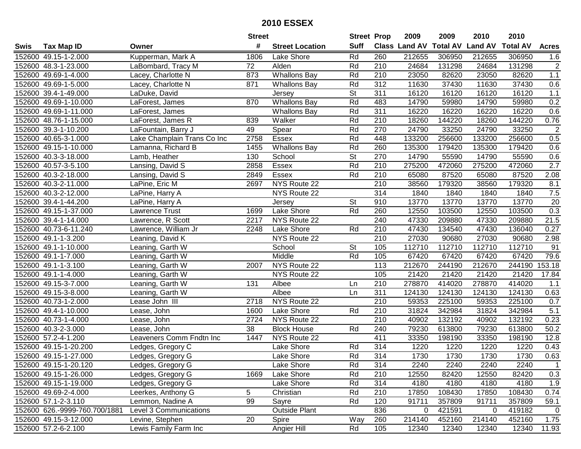| #<br><b>Suff</b><br><b>Total AV</b><br>Class Land AV<br><b>Land AV</b><br><b>Total AV</b><br><b>Tax Map ID</b><br><b>Street Location</b><br><b>Acres</b><br>Swis<br>Owner<br>Rd<br>260<br>152600 49.15-1-2.000<br>Kupperman, Mark A<br>1806<br>Lake Shore<br>212655<br>306950<br>212655<br>306950<br>1.6<br>$\sqrt{2}$<br>152600 48.3-1-23.000<br>72<br>Alden<br>Rd<br>210<br>24684<br>131298<br>24684<br>131298<br>LaBombard, Tracy M<br>152600 49.69-1-4.000<br>Lacey, Charlotte N<br>873<br><b>Whallons Bay</b><br>Rd<br>210<br>23050<br>82620<br>23050<br>82620<br>1.1<br>Rd<br>312<br>11630<br>37430<br>0.6<br>152600 49.69-1-5.000<br>Lacey, Charlotte N<br>871<br>Whallons Bay<br>37430<br>11630<br>152600 39.4-1-49.000<br><b>St</b><br>311<br>16120<br>16120<br>16120<br>16120<br>1.1<br>LaDuke, David<br>Jersey<br>870<br><b>Whallons Bay</b><br>Rd<br>0.2<br>152600 49.69-1-10.000<br>483<br>14790<br>59980<br>14790<br>59980<br>LaForest, James<br><b>Whallons Bay</b><br>Rd<br>311<br>16220<br>0.6<br>152600 49.69-1-11.000<br>16220<br>16220<br>16220<br>LaForest, James<br>Rd<br>$\overline{210}$<br>144220<br>0.76<br>152600 48.76-1-15.000<br>839<br>Walker<br>18260<br>144220<br>18260<br>LaForest, James R<br>Spear<br>Rd<br>270<br>33250<br>$\overline{2}$<br>152600 39.3-1-10.200<br>LaFountain, Barry J<br>49<br>24790<br>33250<br>24790<br>Rd<br>448<br>133200<br>256600<br>133200<br>256600<br>0.5<br>152600 40.65-3-1.000<br>Lake Champlain Trans Co Inc<br>2758<br>Essex<br>260<br>152600 49.15-1-10.000<br><b>Whallons Bay</b><br>Rd<br>135300<br>179420<br>135300<br>179420<br>0.6<br>Lamanna, Richard B<br>1455<br><b>St</b><br>152600 40.3-3-18.000<br>130<br>School<br>270<br>14790<br>55590<br>14790<br>55590<br>0.6<br>Lamb, Heather<br>Rd<br>2.7<br>210<br>275200<br>472060<br>275200<br>472060<br>152600 40.57-3-5.100<br>2858<br>Essex<br>Lansing, David S<br>Rd<br>152600 40.3-2-18.000<br>210<br>65080<br>87520<br>65080<br>87520<br>2.08<br>Lansing, David S<br>2849<br>Essex<br>210<br>152600 40.3-2-11.000<br>NYS Route 22<br>38560<br>179320<br>38560<br>179320<br>8.1<br>LaPine, Eric M<br>2697<br>$7.5$<br>NYS Route 22<br>314<br>1840<br>1840<br>1840<br>152600 40.3-2-12.000<br>1840<br>LaPine, Harry A<br>St<br>20<br>152600 39.4-1-44.200<br>910<br>13770<br>13770<br>13770<br>13770<br>LaPine, Harry A<br>Jersey<br>0.3<br>Rd<br>152600 49.15-1-37.000<br>Lake Shore<br>260<br>12550<br>Lawrence Trust<br>1699<br>103500<br>12550<br>103500<br>21.5<br>152600 39.4-1-14.000<br>2217<br>NYS Route 22<br>240<br>47330<br>209880<br>47330<br>209880<br>Lawrence, R Scott<br>152600 40.73-6-11.240<br>Lake Shore<br>Rd<br>210<br>47430<br>134540<br>47430<br>136040<br>0.27<br>Lawrence, William Jr<br>2248<br>210<br>27030<br>27030<br>2.98<br>152600 49.1-1-3.200<br>Leaning, David K<br>NYS Route 22<br>90680<br>90680<br>112710<br>112710<br><b>St</b><br>105<br>112710<br>112710<br>91<br>152600 49.1-1-10.000<br>Leaning, Garth W<br>School<br>Rd<br>79.6<br>152600 49.1-1-7.000<br>Middle<br>105<br>67420<br>67420<br>67420<br>67420<br>Leaning, Garth W<br>NYS Route 22<br>153.18<br>152600 49.1-1-3.100<br>Leaning, Garth W<br>113<br>212670<br>244190<br>212670<br>244190<br>2007<br>NYS Route 22<br>105<br>21420<br>21420<br>21420<br>21420<br>17.84<br>152600 49.1-1-4.000<br>Leaning, Garth W<br>210<br>278870<br>414020<br>278870<br>152600 49.15-3-7.000<br>Leaning, Garth W<br>131<br>Albee<br>414020<br>1.1<br>Ln<br>Albee<br>311<br>124130<br>124130<br>124130<br>152600 49.15-3-8.000<br>Leaning, Garth W<br>Ln<br>124130<br>0.63<br>210<br>225100<br>152600 40.73-1-2.000<br>2718<br>NYS Route 22<br>59353<br>59353<br>225100<br>0.7<br>Lease John III<br>5.1<br>Rd<br>210<br>31824<br>342984<br>31824<br>342984<br>152600 49.4-1-10.000<br>Lake Shore<br>Lease, John<br>1600<br>$\overline{210}$<br>40902<br>132192<br>152600 40.73-1-4.000<br>2724<br>NYS Route 22<br>40902<br>132192<br>0.23<br>Lease, John<br>152600 40.3-2-3.000<br>$\overline{38}$<br><b>Block House</b><br>Rd<br>79230<br>79230<br>240<br>613800<br>613800<br>50.2<br>Lease, John<br>152600 57.2-4-1.200<br>NYS Route 22<br>411<br>33350<br>198190<br>33350<br>Leaveners Comm Fndtn Inc<br>1447<br>198190<br>12.8<br>1220<br>152600 49.15-1-20.200<br>Lake Shore<br>Rd<br>314<br>1220<br>1220<br>1220<br>0.43<br>Ledges, Gregory C<br>Rd<br>314<br>0.63<br>152600 49.15-1-27.000<br>Ledges, Gregory G<br>Lake Shore<br>1730<br>1730<br>1730<br>1730<br>152600 49.15-1-20.120<br>Ledges, Gregory G<br>Lake Shore<br>Rd<br>314<br>2240<br>2240<br>2240<br>2240<br>0.3<br>152600 49.15-1-26.000<br>Ledges, Gregory G<br>Lake Shore<br>Rd<br>210<br>12550<br>82420<br>12550<br>82420<br>1669<br>152600 49.15-1-19.000<br>Rd<br>314<br>4180<br>1.9<br>Ledges, Gregory G<br>Lake Shore<br>4180<br>4180<br>4180<br>210<br>152600 49.69-2-4.000<br>5<br>Christian<br>Rd<br>17850<br>108430<br>17850<br>108430<br>0.74<br>Leerkes, Anthony G<br>152600 57.1-2-3.110<br>Lemmon, Nadine A<br>99<br>Rd<br>120<br>91711<br>357809<br>91711<br>357809<br>Sayre<br>59.1<br><b>Outside Plant</b><br>152600 626.-9999-760.700/1881<br>836<br>421591<br>419182<br>Level 3 Communications<br>0<br>$\mathbf 0$<br>0<br>152600 49.15-3-12.000<br>20<br>260<br>214140<br>452160<br>214140<br>Levine, Stephen<br>Way<br>452160<br>1.75<br>Spire<br>152600 57.2-6-2.100<br>Angier Hill<br>Rd<br>105<br>11.93<br>Lewis Family Farm Inc<br>12340<br>12340<br>12340<br>12340 |  | <b>Street</b> | <b>Street Prop</b> | 2009 | 2009 | 2010 | 2010 |  |
|-------------------------------------------------------------------------------------------------------------------------------------------------------------------------------------------------------------------------------------------------------------------------------------------------------------------------------------------------------------------------------------------------------------------------------------------------------------------------------------------------------------------------------------------------------------------------------------------------------------------------------------------------------------------------------------------------------------------------------------------------------------------------------------------------------------------------------------------------------------------------------------------------------------------------------------------------------------------------------------------------------------------------------------------------------------------------------------------------------------------------------------------------------------------------------------------------------------------------------------------------------------------------------------------------------------------------------------------------------------------------------------------------------------------------------------------------------------------------------------------------------------------------------------------------------------------------------------------------------------------------------------------------------------------------------------------------------------------------------------------------------------------------------------------------------------------------------------------------------------------------------------------------------------------------------------------------------------------------------------------------------------------------------------------------------------------------------------------------------------------------------------------------------------------------------------------------------------------------------------------------------------------------------------------------------------------------------------------------------------------------------------------------------------------------------------------------------------------------------------------------------------------------------------------------------------------------------------------------------------------------------------------------------------------------------------------------------------------------------------------------------------------------------------------------------------------------------------------------------------------------------------------------------------------------------------------------------------------------------------------------------------------------------------------------------------------------------------------------------------------------------------------------------------------------------------------------------------------------------------------------------------------------------------------------------------------------------------------------------------------------------------------------------------------------------------------------------------------------------------------------------------------------------------------------------------------------------------------------------------------------------------------------------------------------------------------------------------------------------------------------------------------------------------------------------------------------------------------------------------------------------------------------------------------------------------------------------------------------------------------------------------------------------------------------------------------------------------------------------------------------------------------------------------------------------------------------------------------------------------------------------------------------------------------------------------------------------------------------------------------------------------------------------------------------------------------------------------------------------------------------------------------------------------------------------------------------------------------------------------------------------------------------------------------------------------------------------------------------------------------------------------------------------------------------------------------------------------------------------------------------------------------------------------------------------------------------------------------------------------------------------------------------------------------------------------------------------------------------------------------------------------------------------------------------------------------------------------------------------------------------------------------------------------------------------------------------------------------------------------------------------------------------------------------------------------------------------------------------------------------|--|---------------|--------------------|------|------|------|------|--|
|                                                                                                                                                                                                                                                                                                                                                                                                                                                                                                                                                                                                                                                                                                                                                                                                                                                                                                                                                                                                                                                                                                                                                                                                                                                                                                                                                                                                                                                                                                                                                                                                                                                                                                                                                                                                                                                                                                                                                                                                                                                                                                                                                                                                                                                                                                                                                                                                                                                                                                                                                                                                                                                                                                                                                                                                                                                                                                                                                                                                                                                                                                                                                                                                                                                                                                                                                                                                                                                                                                                                                                                                                                                                                                                                                                                                                                                                                                                                                                                                                                                                                                                                                                                                                                                                                                                                                                                                                                                                                                                                                                                                                                                                                                                                                                                                                                                                                                                                                                                                                                                                                                                                                                                                                                                                                                                                                                                                                                                                                           |  |               |                    |      |      |      |      |  |
|                                                                                                                                                                                                                                                                                                                                                                                                                                                                                                                                                                                                                                                                                                                                                                                                                                                                                                                                                                                                                                                                                                                                                                                                                                                                                                                                                                                                                                                                                                                                                                                                                                                                                                                                                                                                                                                                                                                                                                                                                                                                                                                                                                                                                                                                                                                                                                                                                                                                                                                                                                                                                                                                                                                                                                                                                                                                                                                                                                                                                                                                                                                                                                                                                                                                                                                                                                                                                                                                                                                                                                                                                                                                                                                                                                                                                                                                                                                                                                                                                                                                                                                                                                                                                                                                                                                                                                                                                                                                                                                                                                                                                                                                                                                                                                                                                                                                                                                                                                                                                                                                                                                                                                                                                                                                                                                                                                                                                                                                                           |  |               |                    |      |      |      |      |  |
|                                                                                                                                                                                                                                                                                                                                                                                                                                                                                                                                                                                                                                                                                                                                                                                                                                                                                                                                                                                                                                                                                                                                                                                                                                                                                                                                                                                                                                                                                                                                                                                                                                                                                                                                                                                                                                                                                                                                                                                                                                                                                                                                                                                                                                                                                                                                                                                                                                                                                                                                                                                                                                                                                                                                                                                                                                                                                                                                                                                                                                                                                                                                                                                                                                                                                                                                                                                                                                                                                                                                                                                                                                                                                                                                                                                                                                                                                                                                                                                                                                                                                                                                                                                                                                                                                                                                                                                                                                                                                                                                                                                                                                                                                                                                                                                                                                                                                                                                                                                                                                                                                                                                                                                                                                                                                                                                                                                                                                                                                           |  |               |                    |      |      |      |      |  |
|                                                                                                                                                                                                                                                                                                                                                                                                                                                                                                                                                                                                                                                                                                                                                                                                                                                                                                                                                                                                                                                                                                                                                                                                                                                                                                                                                                                                                                                                                                                                                                                                                                                                                                                                                                                                                                                                                                                                                                                                                                                                                                                                                                                                                                                                                                                                                                                                                                                                                                                                                                                                                                                                                                                                                                                                                                                                                                                                                                                                                                                                                                                                                                                                                                                                                                                                                                                                                                                                                                                                                                                                                                                                                                                                                                                                                                                                                                                                                                                                                                                                                                                                                                                                                                                                                                                                                                                                                                                                                                                                                                                                                                                                                                                                                                                                                                                                                                                                                                                                                                                                                                                                                                                                                                                                                                                                                                                                                                                                                           |  |               |                    |      |      |      |      |  |
|                                                                                                                                                                                                                                                                                                                                                                                                                                                                                                                                                                                                                                                                                                                                                                                                                                                                                                                                                                                                                                                                                                                                                                                                                                                                                                                                                                                                                                                                                                                                                                                                                                                                                                                                                                                                                                                                                                                                                                                                                                                                                                                                                                                                                                                                                                                                                                                                                                                                                                                                                                                                                                                                                                                                                                                                                                                                                                                                                                                                                                                                                                                                                                                                                                                                                                                                                                                                                                                                                                                                                                                                                                                                                                                                                                                                                                                                                                                                                                                                                                                                                                                                                                                                                                                                                                                                                                                                                                                                                                                                                                                                                                                                                                                                                                                                                                                                                                                                                                                                                                                                                                                                                                                                                                                                                                                                                                                                                                                                                           |  |               |                    |      |      |      |      |  |
|                                                                                                                                                                                                                                                                                                                                                                                                                                                                                                                                                                                                                                                                                                                                                                                                                                                                                                                                                                                                                                                                                                                                                                                                                                                                                                                                                                                                                                                                                                                                                                                                                                                                                                                                                                                                                                                                                                                                                                                                                                                                                                                                                                                                                                                                                                                                                                                                                                                                                                                                                                                                                                                                                                                                                                                                                                                                                                                                                                                                                                                                                                                                                                                                                                                                                                                                                                                                                                                                                                                                                                                                                                                                                                                                                                                                                                                                                                                                                                                                                                                                                                                                                                                                                                                                                                                                                                                                                                                                                                                                                                                                                                                                                                                                                                                                                                                                                                                                                                                                                                                                                                                                                                                                                                                                                                                                                                                                                                                                                           |  |               |                    |      |      |      |      |  |
|                                                                                                                                                                                                                                                                                                                                                                                                                                                                                                                                                                                                                                                                                                                                                                                                                                                                                                                                                                                                                                                                                                                                                                                                                                                                                                                                                                                                                                                                                                                                                                                                                                                                                                                                                                                                                                                                                                                                                                                                                                                                                                                                                                                                                                                                                                                                                                                                                                                                                                                                                                                                                                                                                                                                                                                                                                                                                                                                                                                                                                                                                                                                                                                                                                                                                                                                                                                                                                                                                                                                                                                                                                                                                                                                                                                                                                                                                                                                                                                                                                                                                                                                                                                                                                                                                                                                                                                                                                                                                                                                                                                                                                                                                                                                                                                                                                                                                                                                                                                                                                                                                                                                                                                                                                                                                                                                                                                                                                                                                           |  |               |                    |      |      |      |      |  |
|                                                                                                                                                                                                                                                                                                                                                                                                                                                                                                                                                                                                                                                                                                                                                                                                                                                                                                                                                                                                                                                                                                                                                                                                                                                                                                                                                                                                                                                                                                                                                                                                                                                                                                                                                                                                                                                                                                                                                                                                                                                                                                                                                                                                                                                                                                                                                                                                                                                                                                                                                                                                                                                                                                                                                                                                                                                                                                                                                                                                                                                                                                                                                                                                                                                                                                                                                                                                                                                                                                                                                                                                                                                                                                                                                                                                                                                                                                                                                                                                                                                                                                                                                                                                                                                                                                                                                                                                                                                                                                                                                                                                                                                                                                                                                                                                                                                                                                                                                                                                                                                                                                                                                                                                                                                                                                                                                                                                                                                                                           |  |               |                    |      |      |      |      |  |
|                                                                                                                                                                                                                                                                                                                                                                                                                                                                                                                                                                                                                                                                                                                                                                                                                                                                                                                                                                                                                                                                                                                                                                                                                                                                                                                                                                                                                                                                                                                                                                                                                                                                                                                                                                                                                                                                                                                                                                                                                                                                                                                                                                                                                                                                                                                                                                                                                                                                                                                                                                                                                                                                                                                                                                                                                                                                                                                                                                                                                                                                                                                                                                                                                                                                                                                                                                                                                                                                                                                                                                                                                                                                                                                                                                                                                                                                                                                                                                                                                                                                                                                                                                                                                                                                                                                                                                                                                                                                                                                                                                                                                                                                                                                                                                                                                                                                                                                                                                                                                                                                                                                                                                                                                                                                                                                                                                                                                                                                                           |  |               |                    |      |      |      |      |  |
|                                                                                                                                                                                                                                                                                                                                                                                                                                                                                                                                                                                                                                                                                                                                                                                                                                                                                                                                                                                                                                                                                                                                                                                                                                                                                                                                                                                                                                                                                                                                                                                                                                                                                                                                                                                                                                                                                                                                                                                                                                                                                                                                                                                                                                                                                                                                                                                                                                                                                                                                                                                                                                                                                                                                                                                                                                                                                                                                                                                                                                                                                                                                                                                                                                                                                                                                                                                                                                                                                                                                                                                                                                                                                                                                                                                                                                                                                                                                                                                                                                                                                                                                                                                                                                                                                                                                                                                                                                                                                                                                                                                                                                                                                                                                                                                                                                                                                                                                                                                                                                                                                                                                                                                                                                                                                                                                                                                                                                                                                           |  |               |                    |      |      |      |      |  |
|                                                                                                                                                                                                                                                                                                                                                                                                                                                                                                                                                                                                                                                                                                                                                                                                                                                                                                                                                                                                                                                                                                                                                                                                                                                                                                                                                                                                                                                                                                                                                                                                                                                                                                                                                                                                                                                                                                                                                                                                                                                                                                                                                                                                                                                                                                                                                                                                                                                                                                                                                                                                                                                                                                                                                                                                                                                                                                                                                                                                                                                                                                                                                                                                                                                                                                                                                                                                                                                                                                                                                                                                                                                                                                                                                                                                                                                                                                                                                                                                                                                                                                                                                                                                                                                                                                                                                                                                                                                                                                                                                                                                                                                                                                                                                                                                                                                                                                                                                                                                                                                                                                                                                                                                                                                                                                                                                                                                                                                                                           |  |               |                    |      |      |      |      |  |
|                                                                                                                                                                                                                                                                                                                                                                                                                                                                                                                                                                                                                                                                                                                                                                                                                                                                                                                                                                                                                                                                                                                                                                                                                                                                                                                                                                                                                                                                                                                                                                                                                                                                                                                                                                                                                                                                                                                                                                                                                                                                                                                                                                                                                                                                                                                                                                                                                                                                                                                                                                                                                                                                                                                                                                                                                                                                                                                                                                                                                                                                                                                                                                                                                                                                                                                                                                                                                                                                                                                                                                                                                                                                                                                                                                                                                                                                                                                                                                                                                                                                                                                                                                                                                                                                                                                                                                                                                                                                                                                                                                                                                                                                                                                                                                                                                                                                                                                                                                                                                                                                                                                                                                                                                                                                                                                                                                                                                                                                                           |  |               |                    |      |      |      |      |  |
|                                                                                                                                                                                                                                                                                                                                                                                                                                                                                                                                                                                                                                                                                                                                                                                                                                                                                                                                                                                                                                                                                                                                                                                                                                                                                                                                                                                                                                                                                                                                                                                                                                                                                                                                                                                                                                                                                                                                                                                                                                                                                                                                                                                                                                                                                                                                                                                                                                                                                                                                                                                                                                                                                                                                                                                                                                                                                                                                                                                                                                                                                                                                                                                                                                                                                                                                                                                                                                                                                                                                                                                                                                                                                                                                                                                                                                                                                                                                                                                                                                                                                                                                                                                                                                                                                                                                                                                                                                                                                                                                                                                                                                                                                                                                                                                                                                                                                                                                                                                                                                                                                                                                                                                                                                                                                                                                                                                                                                                                                           |  |               |                    |      |      |      |      |  |
|                                                                                                                                                                                                                                                                                                                                                                                                                                                                                                                                                                                                                                                                                                                                                                                                                                                                                                                                                                                                                                                                                                                                                                                                                                                                                                                                                                                                                                                                                                                                                                                                                                                                                                                                                                                                                                                                                                                                                                                                                                                                                                                                                                                                                                                                                                                                                                                                                                                                                                                                                                                                                                                                                                                                                                                                                                                                                                                                                                                                                                                                                                                                                                                                                                                                                                                                                                                                                                                                                                                                                                                                                                                                                                                                                                                                                                                                                                                                                                                                                                                                                                                                                                                                                                                                                                                                                                                                                                                                                                                                                                                                                                                                                                                                                                                                                                                                                                                                                                                                                                                                                                                                                                                                                                                                                                                                                                                                                                                                                           |  |               |                    |      |      |      |      |  |
|                                                                                                                                                                                                                                                                                                                                                                                                                                                                                                                                                                                                                                                                                                                                                                                                                                                                                                                                                                                                                                                                                                                                                                                                                                                                                                                                                                                                                                                                                                                                                                                                                                                                                                                                                                                                                                                                                                                                                                                                                                                                                                                                                                                                                                                                                                                                                                                                                                                                                                                                                                                                                                                                                                                                                                                                                                                                                                                                                                                                                                                                                                                                                                                                                                                                                                                                                                                                                                                                                                                                                                                                                                                                                                                                                                                                                                                                                                                                                                                                                                                                                                                                                                                                                                                                                                                                                                                                                                                                                                                                                                                                                                                                                                                                                                                                                                                                                                                                                                                                                                                                                                                                                                                                                                                                                                                                                                                                                                                                                           |  |               |                    |      |      |      |      |  |
|                                                                                                                                                                                                                                                                                                                                                                                                                                                                                                                                                                                                                                                                                                                                                                                                                                                                                                                                                                                                                                                                                                                                                                                                                                                                                                                                                                                                                                                                                                                                                                                                                                                                                                                                                                                                                                                                                                                                                                                                                                                                                                                                                                                                                                                                                                                                                                                                                                                                                                                                                                                                                                                                                                                                                                                                                                                                                                                                                                                                                                                                                                                                                                                                                                                                                                                                                                                                                                                                                                                                                                                                                                                                                                                                                                                                                                                                                                                                                                                                                                                                                                                                                                                                                                                                                                                                                                                                                                                                                                                                                                                                                                                                                                                                                                                                                                                                                                                                                                                                                                                                                                                                                                                                                                                                                                                                                                                                                                                                                           |  |               |                    |      |      |      |      |  |
|                                                                                                                                                                                                                                                                                                                                                                                                                                                                                                                                                                                                                                                                                                                                                                                                                                                                                                                                                                                                                                                                                                                                                                                                                                                                                                                                                                                                                                                                                                                                                                                                                                                                                                                                                                                                                                                                                                                                                                                                                                                                                                                                                                                                                                                                                                                                                                                                                                                                                                                                                                                                                                                                                                                                                                                                                                                                                                                                                                                                                                                                                                                                                                                                                                                                                                                                                                                                                                                                                                                                                                                                                                                                                                                                                                                                                                                                                                                                                                                                                                                                                                                                                                                                                                                                                                                                                                                                                                                                                                                                                                                                                                                                                                                                                                                                                                                                                                                                                                                                                                                                                                                                                                                                                                                                                                                                                                                                                                                                                           |  |               |                    |      |      |      |      |  |
|                                                                                                                                                                                                                                                                                                                                                                                                                                                                                                                                                                                                                                                                                                                                                                                                                                                                                                                                                                                                                                                                                                                                                                                                                                                                                                                                                                                                                                                                                                                                                                                                                                                                                                                                                                                                                                                                                                                                                                                                                                                                                                                                                                                                                                                                                                                                                                                                                                                                                                                                                                                                                                                                                                                                                                                                                                                                                                                                                                                                                                                                                                                                                                                                                                                                                                                                                                                                                                                                                                                                                                                                                                                                                                                                                                                                                                                                                                                                                                                                                                                                                                                                                                                                                                                                                                                                                                                                                                                                                                                                                                                                                                                                                                                                                                                                                                                                                                                                                                                                                                                                                                                                                                                                                                                                                                                                                                                                                                                                                           |  |               |                    |      |      |      |      |  |
|                                                                                                                                                                                                                                                                                                                                                                                                                                                                                                                                                                                                                                                                                                                                                                                                                                                                                                                                                                                                                                                                                                                                                                                                                                                                                                                                                                                                                                                                                                                                                                                                                                                                                                                                                                                                                                                                                                                                                                                                                                                                                                                                                                                                                                                                                                                                                                                                                                                                                                                                                                                                                                                                                                                                                                                                                                                                                                                                                                                                                                                                                                                                                                                                                                                                                                                                                                                                                                                                                                                                                                                                                                                                                                                                                                                                                                                                                                                                                                                                                                                                                                                                                                                                                                                                                                                                                                                                                                                                                                                                                                                                                                                                                                                                                                                                                                                                                                                                                                                                                                                                                                                                                                                                                                                                                                                                                                                                                                                                                           |  |               |                    |      |      |      |      |  |
|                                                                                                                                                                                                                                                                                                                                                                                                                                                                                                                                                                                                                                                                                                                                                                                                                                                                                                                                                                                                                                                                                                                                                                                                                                                                                                                                                                                                                                                                                                                                                                                                                                                                                                                                                                                                                                                                                                                                                                                                                                                                                                                                                                                                                                                                                                                                                                                                                                                                                                                                                                                                                                                                                                                                                                                                                                                                                                                                                                                                                                                                                                                                                                                                                                                                                                                                                                                                                                                                                                                                                                                                                                                                                                                                                                                                                                                                                                                                                                                                                                                                                                                                                                                                                                                                                                                                                                                                                                                                                                                                                                                                                                                                                                                                                                                                                                                                                                                                                                                                                                                                                                                                                                                                                                                                                                                                                                                                                                                                                           |  |               |                    |      |      |      |      |  |
|                                                                                                                                                                                                                                                                                                                                                                                                                                                                                                                                                                                                                                                                                                                                                                                                                                                                                                                                                                                                                                                                                                                                                                                                                                                                                                                                                                                                                                                                                                                                                                                                                                                                                                                                                                                                                                                                                                                                                                                                                                                                                                                                                                                                                                                                                                                                                                                                                                                                                                                                                                                                                                                                                                                                                                                                                                                                                                                                                                                                                                                                                                                                                                                                                                                                                                                                                                                                                                                                                                                                                                                                                                                                                                                                                                                                                                                                                                                                                                                                                                                                                                                                                                                                                                                                                                                                                                                                                                                                                                                                                                                                                                                                                                                                                                                                                                                                                                                                                                                                                                                                                                                                                                                                                                                                                                                                                                                                                                                                                           |  |               |                    |      |      |      |      |  |
|                                                                                                                                                                                                                                                                                                                                                                                                                                                                                                                                                                                                                                                                                                                                                                                                                                                                                                                                                                                                                                                                                                                                                                                                                                                                                                                                                                                                                                                                                                                                                                                                                                                                                                                                                                                                                                                                                                                                                                                                                                                                                                                                                                                                                                                                                                                                                                                                                                                                                                                                                                                                                                                                                                                                                                                                                                                                                                                                                                                                                                                                                                                                                                                                                                                                                                                                                                                                                                                                                                                                                                                                                                                                                                                                                                                                                                                                                                                                                                                                                                                                                                                                                                                                                                                                                                                                                                                                                                                                                                                                                                                                                                                                                                                                                                                                                                                                                                                                                                                                                                                                                                                                                                                                                                                                                                                                                                                                                                                                                           |  |               |                    |      |      |      |      |  |
|                                                                                                                                                                                                                                                                                                                                                                                                                                                                                                                                                                                                                                                                                                                                                                                                                                                                                                                                                                                                                                                                                                                                                                                                                                                                                                                                                                                                                                                                                                                                                                                                                                                                                                                                                                                                                                                                                                                                                                                                                                                                                                                                                                                                                                                                                                                                                                                                                                                                                                                                                                                                                                                                                                                                                                                                                                                                                                                                                                                                                                                                                                                                                                                                                                                                                                                                                                                                                                                                                                                                                                                                                                                                                                                                                                                                                                                                                                                                                                                                                                                                                                                                                                                                                                                                                                                                                                                                                                                                                                                                                                                                                                                                                                                                                                                                                                                                                                                                                                                                                                                                                                                                                                                                                                                                                                                                                                                                                                                                                           |  |               |                    |      |      |      |      |  |
|                                                                                                                                                                                                                                                                                                                                                                                                                                                                                                                                                                                                                                                                                                                                                                                                                                                                                                                                                                                                                                                                                                                                                                                                                                                                                                                                                                                                                                                                                                                                                                                                                                                                                                                                                                                                                                                                                                                                                                                                                                                                                                                                                                                                                                                                                                                                                                                                                                                                                                                                                                                                                                                                                                                                                                                                                                                                                                                                                                                                                                                                                                                                                                                                                                                                                                                                                                                                                                                                                                                                                                                                                                                                                                                                                                                                                                                                                                                                                                                                                                                                                                                                                                                                                                                                                                                                                                                                                                                                                                                                                                                                                                                                                                                                                                                                                                                                                                                                                                                                                                                                                                                                                                                                                                                                                                                                                                                                                                                                                           |  |               |                    |      |      |      |      |  |
|                                                                                                                                                                                                                                                                                                                                                                                                                                                                                                                                                                                                                                                                                                                                                                                                                                                                                                                                                                                                                                                                                                                                                                                                                                                                                                                                                                                                                                                                                                                                                                                                                                                                                                                                                                                                                                                                                                                                                                                                                                                                                                                                                                                                                                                                                                                                                                                                                                                                                                                                                                                                                                                                                                                                                                                                                                                                                                                                                                                                                                                                                                                                                                                                                                                                                                                                                                                                                                                                                                                                                                                                                                                                                                                                                                                                                                                                                                                                                                                                                                                                                                                                                                                                                                                                                                                                                                                                                                                                                                                                                                                                                                                                                                                                                                                                                                                                                                                                                                                                                                                                                                                                                                                                                                                                                                                                                                                                                                                                                           |  |               |                    |      |      |      |      |  |
|                                                                                                                                                                                                                                                                                                                                                                                                                                                                                                                                                                                                                                                                                                                                                                                                                                                                                                                                                                                                                                                                                                                                                                                                                                                                                                                                                                                                                                                                                                                                                                                                                                                                                                                                                                                                                                                                                                                                                                                                                                                                                                                                                                                                                                                                                                                                                                                                                                                                                                                                                                                                                                                                                                                                                                                                                                                                                                                                                                                                                                                                                                                                                                                                                                                                                                                                                                                                                                                                                                                                                                                                                                                                                                                                                                                                                                                                                                                                                                                                                                                                                                                                                                                                                                                                                                                                                                                                                                                                                                                                                                                                                                                                                                                                                                                                                                                                                                                                                                                                                                                                                                                                                                                                                                                                                                                                                                                                                                                                                           |  |               |                    |      |      |      |      |  |
|                                                                                                                                                                                                                                                                                                                                                                                                                                                                                                                                                                                                                                                                                                                                                                                                                                                                                                                                                                                                                                                                                                                                                                                                                                                                                                                                                                                                                                                                                                                                                                                                                                                                                                                                                                                                                                                                                                                                                                                                                                                                                                                                                                                                                                                                                                                                                                                                                                                                                                                                                                                                                                                                                                                                                                                                                                                                                                                                                                                                                                                                                                                                                                                                                                                                                                                                                                                                                                                                                                                                                                                                                                                                                                                                                                                                                                                                                                                                                                                                                                                                                                                                                                                                                                                                                                                                                                                                                                                                                                                                                                                                                                                                                                                                                                                                                                                                                                                                                                                                                                                                                                                                                                                                                                                                                                                                                                                                                                                                                           |  |               |                    |      |      |      |      |  |
|                                                                                                                                                                                                                                                                                                                                                                                                                                                                                                                                                                                                                                                                                                                                                                                                                                                                                                                                                                                                                                                                                                                                                                                                                                                                                                                                                                                                                                                                                                                                                                                                                                                                                                                                                                                                                                                                                                                                                                                                                                                                                                                                                                                                                                                                                                                                                                                                                                                                                                                                                                                                                                                                                                                                                                                                                                                                                                                                                                                                                                                                                                                                                                                                                                                                                                                                                                                                                                                                                                                                                                                                                                                                                                                                                                                                                                                                                                                                                                                                                                                                                                                                                                                                                                                                                                                                                                                                                                                                                                                                                                                                                                                                                                                                                                                                                                                                                                                                                                                                                                                                                                                                                                                                                                                                                                                                                                                                                                                                                           |  |               |                    |      |      |      |      |  |
|                                                                                                                                                                                                                                                                                                                                                                                                                                                                                                                                                                                                                                                                                                                                                                                                                                                                                                                                                                                                                                                                                                                                                                                                                                                                                                                                                                                                                                                                                                                                                                                                                                                                                                                                                                                                                                                                                                                                                                                                                                                                                                                                                                                                                                                                                                                                                                                                                                                                                                                                                                                                                                                                                                                                                                                                                                                                                                                                                                                                                                                                                                                                                                                                                                                                                                                                                                                                                                                                                                                                                                                                                                                                                                                                                                                                                                                                                                                                                                                                                                                                                                                                                                                                                                                                                                                                                                                                                                                                                                                                                                                                                                                                                                                                                                                                                                                                                                                                                                                                                                                                                                                                                                                                                                                                                                                                                                                                                                                                                           |  |               |                    |      |      |      |      |  |
|                                                                                                                                                                                                                                                                                                                                                                                                                                                                                                                                                                                                                                                                                                                                                                                                                                                                                                                                                                                                                                                                                                                                                                                                                                                                                                                                                                                                                                                                                                                                                                                                                                                                                                                                                                                                                                                                                                                                                                                                                                                                                                                                                                                                                                                                                                                                                                                                                                                                                                                                                                                                                                                                                                                                                                                                                                                                                                                                                                                                                                                                                                                                                                                                                                                                                                                                                                                                                                                                                                                                                                                                                                                                                                                                                                                                                                                                                                                                                                                                                                                                                                                                                                                                                                                                                                                                                                                                                                                                                                                                                                                                                                                                                                                                                                                                                                                                                                                                                                                                                                                                                                                                                                                                                                                                                                                                                                                                                                                                                           |  |               |                    |      |      |      |      |  |
|                                                                                                                                                                                                                                                                                                                                                                                                                                                                                                                                                                                                                                                                                                                                                                                                                                                                                                                                                                                                                                                                                                                                                                                                                                                                                                                                                                                                                                                                                                                                                                                                                                                                                                                                                                                                                                                                                                                                                                                                                                                                                                                                                                                                                                                                                                                                                                                                                                                                                                                                                                                                                                                                                                                                                                                                                                                                                                                                                                                                                                                                                                                                                                                                                                                                                                                                                                                                                                                                                                                                                                                                                                                                                                                                                                                                                                                                                                                                                                                                                                                                                                                                                                                                                                                                                                                                                                                                                                                                                                                                                                                                                                                                                                                                                                                                                                                                                                                                                                                                                                                                                                                                                                                                                                                                                                                                                                                                                                                                                           |  |               |                    |      |      |      |      |  |
|                                                                                                                                                                                                                                                                                                                                                                                                                                                                                                                                                                                                                                                                                                                                                                                                                                                                                                                                                                                                                                                                                                                                                                                                                                                                                                                                                                                                                                                                                                                                                                                                                                                                                                                                                                                                                                                                                                                                                                                                                                                                                                                                                                                                                                                                                                                                                                                                                                                                                                                                                                                                                                                                                                                                                                                                                                                                                                                                                                                                                                                                                                                                                                                                                                                                                                                                                                                                                                                                                                                                                                                                                                                                                                                                                                                                                                                                                                                                                                                                                                                                                                                                                                                                                                                                                                                                                                                                                                                                                                                                                                                                                                                                                                                                                                                                                                                                                                                                                                                                                                                                                                                                                                                                                                                                                                                                                                                                                                                                                           |  |               |                    |      |      |      |      |  |
|                                                                                                                                                                                                                                                                                                                                                                                                                                                                                                                                                                                                                                                                                                                                                                                                                                                                                                                                                                                                                                                                                                                                                                                                                                                                                                                                                                                                                                                                                                                                                                                                                                                                                                                                                                                                                                                                                                                                                                                                                                                                                                                                                                                                                                                                                                                                                                                                                                                                                                                                                                                                                                                                                                                                                                                                                                                                                                                                                                                                                                                                                                                                                                                                                                                                                                                                                                                                                                                                                                                                                                                                                                                                                                                                                                                                                                                                                                                                                                                                                                                                                                                                                                                                                                                                                                                                                                                                                                                                                                                                                                                                                                                                                                                                                                                                                                                                                                                                                                                                                                                                                                                                                                                                                                                                                                                                                                                                                                                                                           |  |               |                    |      |      |      |      |  |
|                                                                                                                                                                                                                                                                                                                                                                                                                                                                                                                                                                                                                                                                                                                                                                                                                                                                                                                                                                                                                                                                                                                                                                                                                                                                                                                                                                                                                                                                                                                                                                                                                                                                                                                                                                                                                                                                                                                                                                                                                                                                                                                                                                                                                                                                                                                                                                                                                                                                                                                                                                                                                                                                                                                                                                                                                                                                                                                                                                                                                                                                                                                                                                                                                                                                                                                                                                                                                                                                                                                                                                                                                                                                                                                                                                                                                                                                                                                                                                                                                                                                                                                                                                                                                                                                                                                                                                                                                                                                                                                                                                                                                                                                                                                                                                                                                                                                                                                                                                                                                                                                                                                                                                                                                                                                                                                                                                                                                                                                                           |  |               |                    |      |      |      |      |  |
|                                                                                                                                                                                                                                                                                                                                                                                                                                                                                                                                                                                                                                                                                                                                                                                                                                                                                                                                                                                                                                                                                                                                                                                                                                                                                                                                                                                                                                                                                                                                                                                                                                                                                                                                                                                                                                                                                                                                                                                                                                                                                                                                                                                                                                                                                                                                                                                                                                                                                                                                                                                                                                                                                                                                                                                                                                                                                                                                                                                                                                                                                                                                                                                                                                                                                                                                                                                                                                                                                                                                                                                                                                                                                                                                                                                                                                                                                                                                                                                                                                                                                                                                                                                                                                                                                                                                                                                                                                                                                                                                                                                                                                                                                                                                                                                                                                                                                                                                                                                                                                                                                                                                                                                                                                                                                                                                                                                                                                                                                           |  |               |                    |      |      |      |      |  |
|                                                                                                                                                                                                                                                                                                                                                                                                                                                                                                                                                                                                                                                                                                                                                                                                                                                                                                                                                                                                                                                                                                                                                                                                                                                                                                                                                                                                                                                                                                                                                                                                                                                                                                                                                                                                                                                                                                                                                                                                                                                                                                                                                                                                                                                                                                                                                                                                                                                                                                                                                                                                                                                                                                                                                                                                                                                                                                                                                                                                                                                                                                                                                                                                                                                                                                                                                                                                                                                                                                                                                                                                                                                                                                                                                                                                                                                                                                                                                                                                                                                                                                                                                                                                                                                                                                                                                                                                                                                                                                                                                                                                                                                                                                                                                                                                                                                                                                                                                                                                                                                                                                                                                                                                                                                                                                                                                                                                                                                                                           |  |               |                    |      |      |      |      |  |
|                                                                                                                                                                                                                                                                                                                                                                                                                                                                                                                                                                                                                                                                                                                                                                                                                                                                                                                                                                                                                                                                                                                                                                                                                                                                                                                                                                                                                                                                                                                                                                                                                                                                                                                                                                                                                                                                                                                                                                                                                                                                                                                                                                                                                                                                                                                                                                                                                                                                                                                                                                                                                                                                                                                                                                                                                                                                                                                                                                                                                                                                                                                                                                                                                                                                                                                                                                                                                                                                                                                                                                                                                                                                                                                                                                                                                                                                                                                                                                                                                                                                                                                                                                                                                                                                                                                                                                                                                                                                                                                                                                                                                                                                                                                                                                                                                                                                                                                                                                                                                                                                                                                                                                                                                                                                                                                                                                                                                                                                                           |  |               |                    |      |      |      |      |  |
|                                                                                                                                                                                                                                                                                                                                                                                                                                                                                                                                                                                                                                                                                                                                                                                                                                                                                                                                                                                                                                                                                                                                                                                                                                                                                                                                                                                                                                                                                                                                                                                                                                                                                                                                                                                                                                                                                                                                                                                                                                                                                                                                                                                                                                                                                                                                                                                                                                                                                                                                                                                                                                                                                                                                                                                                                                                                                                                                                                                                                                                                                                                                                                                                                                                                                                                                                                                                                                                                                                                                                                                                                                                                                                                                                                                                                                                                                                                                                                                                                                                                                                                                                                                                                                                                                                                                                                                                                                                                                                                                                                                                                                                                                                                                                                                                                                                                                                                                                                                                                                                                                                                                                                                                                                                                                                                                                                                                                                                                                           |  |               |                    |      |      |      |      |  |
|                                                                                                                                                                                                                                                                                                                                                                                                                                                                                                                                                                                                                                                                                                                                                                                                                                                                                                                                                                                                                                                                                                                                                                                                                                                                                                                                                                                                                                                                                                                                                                                                                                                                                                                                                                                                                                                                                                                                                                                                                                                                                                                                                                                                                                                                                                                                                                                                                                                                                                                                                                                                                                                                                                                                                                                                                                                                                                                                                                                                                                                                                                                                                                                                                                                                                                                                                                                                                                                                                                                                                                                                                                                                                                                                                                                                                                                                                                                                                                                                                                                                                                                                                                                                                                                                                                                                                                                                                                                                                                                                                                                                                                                                                                                                                                                                                                                                                                                                                                                                                                                                                                                                                                                                                                                                                                                                                                                                                                                                                           |  |               |                    |      |      |      |      |  |
|                                                                                                                                                                                                                                                                                                                                                                                                                                                                                                                                                                                                                                                                                                                                                                                                                                                                                                                                                                                                                                                                                                                                                                                                                                                                                                                                                                                                                                                                                                                                                                                                                                                                                                                                                                                                                                                                                                                                                                                                                                                                                                                                                                                                                                                                                                                                                                                                                                                                                                                                                                                                                                                                                                                                                                                                                                                                                                                                                                                                                                                                                                                                                                                                                                                                                                                                                                                                                                                                                                                                                                                                                                                                                                                                                                                                                                                                                                                                                                                                                                                                                                                                                                                                                                                                                                                                                                                                                                                                                                                                                                                                                                                                                                                                                                                                                                                                                                                                                                                                                                                                                                                                                                                                                                                                                                                                                                                                                                                                                           |  |               |                    |      |      |      |      |  |
|                                                                                                                                                                                                                                                                                                                                                                                                                                                                                                                                                                                                                                                                                                                                                                                                                                                                                                                                                                                                                                                                                                                                                                                                                                                                                                                                                                                                                                                                                                                                                                                                                                                                                                                                                                                                                                                                                                                                                                                                                                                                                                                                                                                                                                                                                                                                                                                                                                                                                                                                                                                                                                                                                                                                                                                                                                                                                                                                                                                                                                                                                                                                                                                                                                                                                                                                                                                                                                                                                                                                                                                                                                                                                                                                                                                                                                                                                                                                                                                                                                                                                                                                                                                                                                                                                                                                                                                                                                                                                                                                                                                                                                                                                                                                                                                                                                                                                                                                                                                                                                                                                                                                                                                                                                                                                                                                                                                                                                                                                           |  |               |                    |      |      |      |      |  |
|                                                                                                                                                                                                                                                                                                                                                                                                                                                                                                                                                                                                                                                                                                                                                                                                                                                                                                                                                                                                                                                                                                                                                                                                                                                                                                                                                                                                                                                                                                                                                                                                                                                                                                                                                                                                                                                                                                                                                                                                                                                                                                                                                                                                                                                                                                                                                                                                                                                                                                                                                                                                                                                                                                                                                                                                                                                                                                                                                                                                                                                                                                                                                                                                                                                                                                                                                                                                                                                                                                                                                                                                                                                                                                                                                                                                                                                                                                                                                                                                                                                                                                                                                                                                                                                                                                                                                                                                                                                                                                                                                                                                                                                                                                                                                                                                                                                                                                                                                                                                                                                                                                                                                                                                                                                                                                                                                                                                                                                                                           |  |               |                    |      |      |      |      |  |
|                                                                                                                                                                                                                                                                                                                                                                                                                                                                                                                                                                                                                                                                                                                                                                                                                                                                                                                                                                                                                                                                                                                                                                                                                                                                                                                                                                                                                                                                                                                                                                                                                                                                                                                                                                                                                                                                                                                                                                                                                                                                                                                                                                                                                                                                                                                                                                                                                                                                                                                                                                                                                                                                                                                                                                                                                                                                                                                                                                                                                                                                                                                                                                                                                                                                                                                                                                                                                                                                                                                                                                                                                                                                                                                                                                                                                                                                                                                                                                                                                                                                                                                                                                                                                                                                                                                                                                                                                                                                                                                                                                                                                                                                                                                                                                                                                                                                                                                                                                                                                                                                                                                                                                                                                                                                                                                                                                                                                                                                                           |  |               |                    |      |      |      |      |  |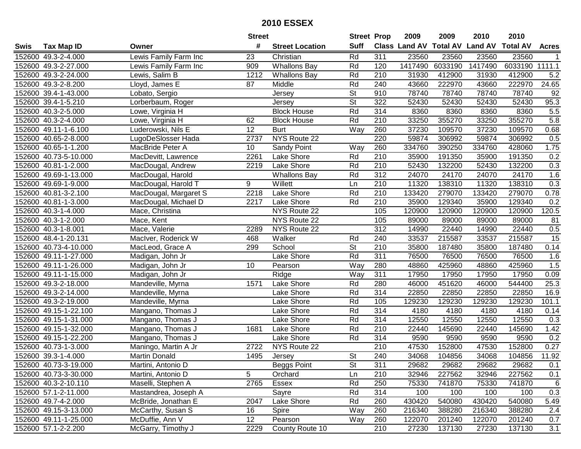|      |                       |                       | <b>Street</b>   |                        | <b>Street Prop</b>       |                  | 2009    | 2009    | 2010                           | 2010            |              |
|------|-----------------------|-----------------------|-----------------|------------------------|--------------------------|------------------|---------|---------|--------------------------------|-----------------|--------------|
| Swis | <b>Tax Map ID</b>     | Owner                 | #               | <b>Street Location</b> | <b>Suff</b>              |                  |         |         | Class Land AV Total AV Land AV | <b>Total AV</b> | <b>Acres</b> |
|      | 152600 49.3-2-4.000   | Lewis Family Farm Inc | 23              | Christian              | Rd                       | 311              | 23560   | 23560   | 23560                          | 23560           |              |
|      | 152600 49.3-2-27.000  | Lewis Family Farm Inc | 909             | <b>Whallons Bay</b>    | Rd                       | 120              | 1417490 | 6033190 | 1417490                        | 6033190         | 1111.1       |
|      | 152600 49.3-2-24.000  | Lewis, Salim B        | 1212            | <b>Whallons Bay</b>    | Rd                       | 210              | 31930   | 412900  | 31930                          | 412900          | 5.2          |
|      | 152600 49.3-2-8.200   | Lloyd, James E        | 87              | Middle                 | Rd                       | 240              | 43660   | 222970  | 43660                          | 222970          | 24.65        |
|      | 152600 39.4-1-43.000  | Lobato, Sergio        |                 | Jersey                 | <b>St</b>                | 910              | 78740   | 78740   | 78740                          | 78740           | 92           |
|      | 152600 39.4-1-5.210   | Lorberbaum, Roger     |                 | Jersey                 | $\overline{\mathsf{St}}$ | 322              | 52430   | 52430   | 52430                          | 52430           | 95.3         |
|      | 152600 40.3-2-5.000   | Lowe, Virginia H      |                 | <b>Block House</b>     | Rd                       | 314              | 8360    | 8360    | 8360                           | 8360            | 5.5          |
|      | 152600 40.3-2-4.000   | Lowe, Virginia H      | 62              | <b>Block House</b>     | Rd                       | 210              | 33250   | 355270  | 33250                          | 355270          | 5.8          |
|      | 152600 49.11-1-6.100  | Luderowski, Nils E    | $\overline{12}$ | <b>Burt</b>            | Way                      | 260              | 37230   | 109570  | 37230                          | 109570          | 0.68         |
|      | 152600 40.65-2-8.000  | LugoDeSlosser Hada    | 2737            | NYS Route 22           |                          | 220              | 59874   | 306992  | 59874                          | 306992          | 0.5          |
|      | 152600 40.65-1-1.200  | MacBride Peter A      | 10              | Sandy Point            | Way                      | 260              | 334760  | 390250  | 334760                         | 428060          | 1.75         |
|      | 152600 40.73-5-10.000 | MacDevitt, Lawrence   | 2261            | Lake Shore             | Rd                       | 210              | 35900   | 191350  | 35900                          | 191350          | 0.2          |
|      | 152600 40.81-1-2.000  | MacDougal, Andrew     | 2219            | Lake Shore             | Rd                       | 210              | 52430   | 132200  | 52430                          | 132200          | 0.3          |
|      | 152600 49.69-1-13.000 | MacDougal, Harold     |                 | <b>Whallons Bay</b>    | Rd                       | 312              | 24070   | 24170   | 24070                          | 24170           | 1.6          |
|      | 152600 49.69-1-9.000  | MacDougal, Harold T   | 9               | Willett                | Ln                       | 210              | 11320   | 138310  | 11320                          | 138310          | 0.3          |
|      | 152600 40.81-3-2.100  | MacDougal, Margaret S | 2218            | Lake Shore             | Rd                       | 210              | 133420  | 279070  | 133420                         | 279070          | 0.78         |
|      | 152600 40.81-1-3.000  | MacDougal, Michael D  | 2217            | Lake Shore             | Rd                       | 210              | 35900   | 129340  | 35900                          | 129340          | 0.2          |
|      | 152600 40.3-1-4.000   | Mace, Christina       |                 | NYS Route 22           |                          | 105              | 120900  | 120900  | 120900                         | 120900          | 120.5        |
|      | 152600 40.3-1-2.000   | Mace, Kent            |                 | NYS Route 22           |                          | 105              | 89000   | 89000   | 89000                          | 89000           | 81           |
|      | 152600 40.3-1-8.001   | Mace, Valerie         | 2289            | NYS Route 22           |                          | 312              | 14990   | 22440   | 14990                          | 22440           | 0.5          |
|      | 152600 48.4-1-20.131  | MacIver, Roderick W   | 468             | Walker                 | Rd                       | 240              | 33537   | 215587  | 33537                          | 215587          | 15           |
|      | 152600 40.73-4-10.000 | MacLeod, Grace A      | 299             | School                 | <b>St</b>                | 210              | 35800   | 187480  | 35800                          | 187480          | 0.14         |
|      | 152600 49.11-1-27.000 | Madigan, John Jr      |                 | Lake Shore             | Rd                       | 311              | 76500   | 76500   | 76500                          | 76500           | 1.6          |
|      | 152600 49.11-1-26.000 | Madigan, John Jr      | 10              | Pearson                | Way                      | 280              | 48860   | 425960  | 48860                          | 425960          | 1.5          |
|      | 152600 49.11-1-15.000 | Madigan, John Jr      |                 | Ridge                  | Way                      | 311              | 17950   | 17950   | 17950                          | 17950           | 0.09         |
|      | 152600 49.3-2-18.000  | Mandeville, Myrna     | 1571            | Lake Shore             | Rd                       | 280              | 46000   | 451620  | 46000                          | 544400          | 25.3         |
|      | 152600 49.3-2-14.000  | Mandeville, Myrna     |                 | Lake Shore             | Rd                       | 314              | 22850   | 22850   | 22850                          | 22850           | 16.9         |
|      | 152600 49.3-2-19.000  | Mandeville, Myrna     |                 | Lake Shore             | Rd                       | 105              | 129230  | 129230  | 129230                         | 129230          | 101.1        |
|      | 152600 49.15-1-22.100 | Mangano, Thomas J     |                 | Lake Shore             | Rd                       | $\overline{314}$ | 4180    | 4180    | 4180                           | 4180            | 0.14         |
|      | 152600 49.15-1-31.000 | Mangano, Thomas J     |                 | Lake Shore             | Rd                       | 314              | 12550   | 12550   | 12550                          | 12550           | 0.3          |
|      | 152600 49.15-1-32.000 | Mangano, Thomas J     | 1681            | Lake Shore             | Rd                       | $\overline{210}$ | 22440   | 145690  | 22440                          | 145690          | 1.42         |
|      | 152600 49.15-1-22.200 | Mangano, Thomas J     |                 | Lake Shore             | Rd                       | 314              | 9590    | 9590    | 9590                           | 9590            | 0.2          |
|      | 152600 40.73-1-3.000  | Maningo, Martin A Jr  | 2722            | NYS Route 22           |                          | 210              | 47530   | 152800  | 47530                          | 152800          | 0.27         |
|      | 152600 39.3-1-4.000   | <b>Martin Donald</b>  | 1495            | Jersey                 | $\overline{\mathsf{St}}$ | 240              | 34068   | 104856  | 34068                          | 104856          | 11.92        |
|      | 152600 40.73-3-19.000 | Martini, Antonio D    |                 | Beggs Point            | <b>St</b>                | 311              | 29682   | 29682   | 29682                          | 29682           | 0.1          |
|      | 152600 40.73-3-30.000 | Martini, Antonio D    | 5               | Orchard                | Ln                       | 210              | 32946   | 227562  | 32946                          | 227562          | 0.1          |
|      | 152600 40.3-2-10.110  | Maselli, Stephen A    | 2765            | Essex                  | Rd                       | 250              | 75330   | 741870  | 75330                          | 741870          | 6            |
|      | 152600 57.1-2-11.000  | Mastandrea, Joseph A  |                 | Sayre                  | Rd                       | 314              | 100     | 100     | 100                            | 100             | 0.3          |
|      | 152600 49.7-4-2.000   | McBride, Jonathan E   | 2047            | Lake Shore             | Rd                       | 260              | 430420  | 540080  | 430420                         | 540080          | 5.49         |
|      | 152600 49.15-3-13.000 | McCarthy, Susan S     | 16              | Spire                  | Way                      | 260              | 216340  | 388280  | 216340                         | 388280          | 2.4          |
|      | 152600 49.11-1-25.000 | McDuffie, Ann V       | 12              | Pearson                | Way                      | 260              | 122070  | 201240  | 122070                         | 201240          | 0.7          |
|      | 152600 57.1-2-2.200   | McGarry, Timothy J    | 2229            | County Route 10        |                          | 210              | 27230   | 137130  | 27230                          | 137130          | 3.1          |
|      |                       |                       |                 |                        |                          |                  |         |         |                                |                 |              |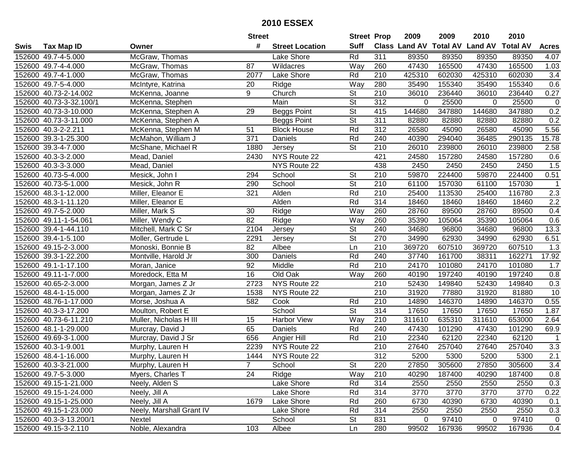|      |                         |                          | <b>Street</b> |                        | <b>Street Prop</b>       |                  | 2009                          | 2009   | 2010           | 2010            |                |
|------|-------------------------|--------------------------|---------------|------------------------|--------------------------|------------------|-------------------------------|--------|----------------|-----------------|----------------|
| Swis | <b>Tax Map ID</b>       | Owner                    | #             | <b>Street Location</b> | <b>Suff</b>              |                  | <b>Class Land AV Total AV</b> |        | <b>Land AV</b> | <b>Total AV</b> | <b>Acres</b>   |
|      | 152600 49.7-4-5.000     | McGraw, Thomas           |               | Lake Shore             | Rd                       | 311              | 89350                         | 89350  | 89350          | 89350           | 4.07           |
|      | 152600 49.7-4-4.000     | McGraw, Thomas           | 87            | Wildacres              | Way                      | 260              | 47430                         | 165500 | 47430          | 165500          | 1.03           |
|      | 152600 49.7-4-1.000     | McGraw, Thomas           | 2077          | Lake Shore             | Rd                       | 210              | 425310                        | 602030 | 425310         | 602030          | 3.4            |
|      | 152600 49.7-5-4.000     | McIntyre, Katrina        | 20            | Ridge                  | Way                      | 280              | 35490                         | 155340 | 35490          | 155340          | 0.6            |
|      | 152600 40.73-2-14.002   | McKenna, Joanne          | 9             | Church                 | <b>St</b>                | 210              | 36010                         | 236440 | 36010          | 236440          | 0.27           |
|      | 152600 40.73-3-32.100/1 | McKenna, Stephen         |               | Main                   | $\overline{\mathsf{St}}$ | $\overline{312}$ | 0                             | 25500  | 0              | 25500           | $\overline{0}$ |
|      | 152600 40.73-3-10.000   | McKenna, Stephen A       | 29            | <b>Beggs Point</b>     | $\overline{\mathsf{St}}$ | 415              | 144680                        | 347880 | 144680         | 347880          | 0.2            |
|      | 152600 40.73-3-11.000   | McKenna, Stephen A       |               | <b>Beggs Point</b>     | $\overline{\mathsf{St}}$ | 311              | 82880                         | 82880  | 82880          | 82880           | 0.2            |
|      | 152600 40.3-2-2.211     | McKenna, Stephen M       | 51            | <b>Block House</b>     | Rd                       | $\overline{312}$ | 26580                         | 45090  | 26580          | 45090           | 5.56           |
|      | 152600 39.3-1-25.300    | McMahon, William J       | 371           | Daniels                | Rd                       | 240              | 40390                         | 294040 | 36485          | 290135          | 15.78          |
|      | 152600 39.3-4-7.000     | McShane, Michael R       | 1880          | Jersey                 | <b>St</b>                | 210              | 26010                         | 239800 | 26010          | 239800          | 2.58           |
|      | 152600 40.3-3-2.000     | Mead, Daniel             | 2430          | NYS Route 22           |                          | 421              | 24580                         | 157280 | 24580          | 157280          | 0.6            |
|      | 152600 40.3-3-3.000     | Mead, Daniel             |               | NYS Route 22           |                          | 438              | 2450                          | 2450   | 2450           | 2450            | 1.5            |
|      | 152600 40.73-5-4.000    | Mesick, John I           | 294           | School                 | <b>St</b>                | 210              | 59870                         | 224400 | 59870          | 224400          | 0.51           |
|      | 152600 40.73-5-1.000    | Mesick, John R           | 290           | School                 | $\overline{\mathsf{St}}$ | 210              | 61100                         | 157030 | 61100          | 157030          | $\mathbf 1$    |
|      | 152600 48.3-1-12.000    | Miller, Eleanor E        | 321           | Alden                  | Rd                       | 210              | 25400                         | 113530 | 25400          | 116780          | 2.3            |
|      | 152600 48.3-1-11.120    | Miller, Eleanor E        |               | Alden                  | Rd                       | 314              | 18460                         | 18460  | 18460          | 18460           | 2.2            |
|      | 152600 49.7-5-2.000     | Miller, Mark S           | 30            | Ridge                  | Way                      | 260              | 28760                         | 89500  | 28760          | 89500           | 0.4            |
|      | 152600 49.11-1-54.061   | Miller, Wendy C          | 82            | Ridge                  | Way                      | 260              | 35390                         | 105064 | 35390          | 105064          | 0.6            |
|      | 152600 39.4-1-44.110    | Mitchell, Mark C Sr      | 2104          | Jersey                 | <b>St</b>                | 240              | 34680                         | 96800  | 34680          | 96800           | 13.3           |
|      | 152600 39.4-1-5.100     | Moller, Gertrude L       | 2291          | Jersey                 | <b>St</b>                | 270              | 34990                         | 62930  | 34990          | 62930           | 6.51           |
|      | 152600 49.15-2-3.000    | Monoski, Bonnie B        | 82            | Albee                  | Ln                       | 210              | 369720                        | 607510 | 369720         | 607510          | 1.3            |
|      | 152600 39.3-1-22.200    | Montville, Harold Jr     | 300           | Daniels                | Rd                       | 240              | 37740                         | 161700 | 38311          | 162271          | 17.92          |
|      | 152600 49.1-1-17.100    | Moran, Janice            | 92            | Middle                 | Rd                       | 210              | 24170                         | 101080 | 24170          | 101080          | 1.7            |
|      | 152600 49.11-1-7.000    | Moredock, Etta M         | 16            | Old Oak                | Way                      | 260              | 40190                         | 197240 | 40190          | 197240          | 0.8            |
|      | 152600 40.65-2-3.000    | Morgan, James Z Jr       | 2723          | NYS Route 22           |                          | 210              | 52430                         | 149840 | 52430          | 149840          | 0.3            |
|      | 152600 48.4-1-15.000    | Morgan, James Z Jr       | 1538          | NYS Route 22           |                          | 210              | 31920                         | 77880  | 31920          | 81880           | 10             |
|      | 152600 48.76-1-17.000   | Morse, Joshua A          | 582           | Cook                   | Rd                       | 210              | 14890                         | 146370 | 14890          | 146370          | 0.55           |
|      | 152600 40.3-3-17.200    | Moulton, Robert E        |               | School                 | $\overline{\mathsf{St}}$ | 314              | 17650                         | 17650  | 17650          | 17650           | 1.87           |
|      | 152600 40.73-6-11.210   | Muller, Nicholas H III   | 15            | <b>Harbor View</b>     | Way                      | $\overline{210}$ | 311610                        | 635310 | 311610         | 653000          | 2.64           |
|      | 152600 48.1-1-29.000    | Murcray, David J         | 65            | Daniels                | Rd                       | 240              | 47430                         | 101290 | 47430          | 101290          | 69.9           |
|      | 152600 49.69-3-1.000    | Murcray, David J Sr      | 656           | Angier Hill            | Rd                       | 210              | 22340                         | 62120  | 22340          | 62120           | -1             |
|      | 152600 40.3-1-9.001     | Murphy, Lauren H         | 2239          | NYS Route 22           |                          | $\overline{210}$ | 27640                         | 257040 | 27640          | 257040          | 3.3            |
|      | 152600 48.4-1-16.000    | Murphy, Lauren H         | 1444          | NYS Route 22           |                          | $\overline{312}$ | 5200                          | 5300   | 5200           | 5300            | 2.1            |
|      | 152600 40.3-3-21.000    | Murphy, Lauren H         |               | School                 | St                       | 220              | 27850                         | 305600 | 27850          | 305600          | 3.4            |
|      | 152600 49.7-5-3.000     | Myers, Charles T         | 24            | Ridge                  | Way                      | 210              | 40290                         | 187400 | 40290          | 187400          | 0.8            |
|      | 152600 49.15-1-21.000   | Neely, Alden S           |               | Lake Shore             | Rd                       | 314              | 2550                          | 2550   | 2550           | 2550            | 0.3            |
|      | 152600 49.15-1-24.000   | Neely, Jill A            |               | Lake Shore             | Rd                       | 314              | 3770                          | 3770   | 3770           | 3770            | 0.22           |
|      | 152600 49.15-1-25.000   | Neely, Jill A            | 1679          | Lake Shore             | Rd                       | 260              | 6730                          | 40390  | 6730           | 40390           | 0.1            |
|      | 152600 49.15-1-23.000   | Neely, Marshall Grant IV |               | Lake Shore             | Rd                       | 314              | 2550                          | 2550   | 2550           | 2550            | 0.3            |
|      | 152600 40.3-3-13.200/1  | Nextel                   |               | School                 | <b>St</b>                | 831              | 0                             | 97410  | 0              | 97410           | $\mathbf 0$    |
|      | 152600 49.15-3-2.110    | Noble, Alexandra         | 103           | Albee                  | Ln                       | 280              | 99502                         | 167936 | 99502          | 167936          | 0.4            |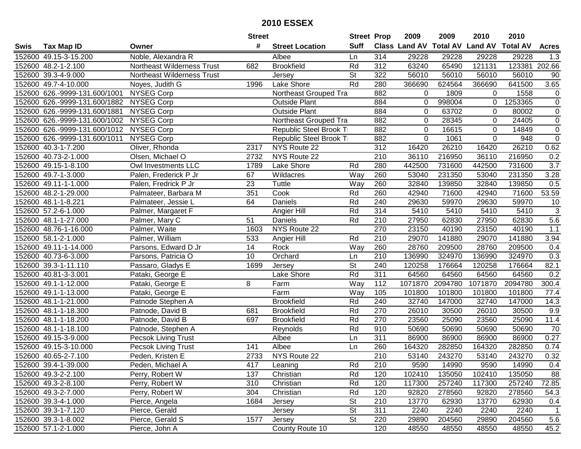|      |                               |                            | <b>Street</b> |                        | <b>Street Prop</b> |                  | 2009                          | 2009    | 2010           | 2010            |                     |
|------|-------------------------------|----------------------------|---------------|------------------------|--------------------|------------------|-------------------------------|---------|----------------|-----------------|---------------------|
| Swis | <b>Tax Map ID</b>             | Owner                      | #             | <b>Street Location</b> | <b>Suff</b>        |                  | <b>Class Land AV Total AV</b> |         | <b>Land AV</b> | <b>Total AV</b> | <b>Acres</b>        |
|      | 152600 49.15-3-15.200         | Noble, Alexandra R         |               | Albee                  | Ln                 | 314              | 29228                         | 29228   | 29228          | 29228           | 1.3                 |
|      | 152600 48.2-1-2.100           | Northeast Wilderness Trust | 682           | <b>Brookfield</b>      | Rd                 | 312              | 63240                         | 65490   | 121131         | 123381          | $\overline{2}02.66$ |
|      | 152600 39.3-4-9.000           | Northeast Wilderness Trust |               | Jersey                 | St                 | 322              | 56010                         | 56010   | 56010          | 56010           | 90                  |
|      | 152600 49.7-4-10.000          | Noyes, Judith G            | 1996          | Lake Shore             | Rd                 | 280              | 366690                        | 624564  | 366690         | 641500          | 3.65                |
|      | 152600 626.-9999-131.600/1001 | <b>NYSEG Corp</b>          |               | Northeast Grouped Tra  |                    | 882              | 0                             | 1809    | 0              | 1558            | $\mathbf 0$         |
|      | 152600 626.-9999-131.600/1882 | NYSEG Corp                 |               | <b>Outside Plant</b>   |                    | 884              | 0                             | 998004  | 0              | 1253365         | $\overline{0}$      |
|      | 152600 626.-9999-131.600/1881 | <b>NYSEG Corp</b>          |               | <b>Outside Plant</b>   |                    | 884              | 0                             | 63702   | $\Omega$       | 80002           | $\mathbf 0$         |
|      | 152600 626.-9999-131.600/1002 | NYSEG Corp                 |               | Northeast Grouped Tra  |                    | 882              | 0                             | 28345   | $\Omega$       | 24405           | $\overline{0}$      |
|      | 152600 626.-9999-131.600/1012 | <b>NYSEG Corp</b>          |               | Republic Steel Brook T |                    | 882              | 0                             | 16615   | $\Omega$       | 14849           | $\overline{0}$      |
|      | 152600 626.-9999-131.600/1011 | <b>NYSEG Corp</b>          |               | Republic Steel Brook T |                    | 882              | $\mathbf 0$                   | 1061    | $\mathbf 0$    | 948             | $\mathbf 0$         |
|      | 152600 40.3-1-7.200           | Oliver, Rhonda             | 2317          | NYS Route 22           |                    | 312              | 16420                         | 26210   | 16420          | 26210           | 0.62                |
|      | 152600 40.73-2-1.000          | Olsen, Michael O           | 2732          | NYS Route 22           |                    | 210              | 36110                         | 216950  | 36110          | 216950          | 0.2                 |
|      | 152600 49.15-1-8.100          | Owl Investments LLC        | 1789          | Lake Shore             | Rd                 | 280              | 442500                        | 731600  | 442500         | 731600          | $\overline{3.7}$    |
|      | 152600 49.7-1-3.000           | Palen, Frederick P Jr      | 67            | Wildacres              | Way                | 260              | 53040                         | 231350  | 53040          | 231350          | 3.28                |
|      | 152600 49.11-1-1.000          | Palen, Fredrick P Jr       | 23            | Tuttle                 | Way                | 260              | 32840                         | 139850  | 32840          | 139850          | 0.5                 |
|      | 152600 48.2-1-29.000          | Palmateer, Barbara M       | 351           | Cook                   | Rd                 | 260              | 42940                         | 71600   | 42940          | 71600           | 53.59               |
|      | 152600 48.1-1-8.221           | Palmateer, Jessie L        | 64            | Daniels                | Rd                 | 240              | 29630                         | 59970   | 29630          | 59970           | 10                  |
|      | 152600 57.2-6-1.000           | Palmer, Margaret F         |               | Angier Hill            | Rd                 | 314              | 5410                          | 5410    | 5410           | 5410            | $\sqrt{3}$          |
|      | 152600 48.1-1-27.000          | Palmer, Mary C             | 51            | Daniels                | Rd                 | 210              | 27950                         | 62830   | 27950          | 62830           | 5.6                 |
|      | 152600 48.76-1-16.000         | Palmer, Waite              | 1603          | NYS Route 22           |                    | 270              | 23150                         | 40190   | 23150          | 40190           | 1.1                 |
|      | 152600 58.1-2-1.000           | Palmer, William            | 533           | Angier Hill            | Rd                 | 210              | 29070                         | 141880  | 29070          | 141880          | 3.94                |
|      | 152600 49.11-1-14.000         | Parsons, Edward D Jr       | 14            | Rock                   | Way                | 260              | 28760                         | 209500  | 28760          | 209500          | 0.4                 |
|      | 152600 40.73-6-3.000          | Parsons, Patricia O        | 10            | Orchard                | Ln                 | 210              | 136990                        | 324970  | 136990         | 324970          | 0.3                 |
|      | 152600 39.3-1-11.110          | Passaro, Gladys E          | 1699          | Jersey                 | <b>St</b>          | 240              | 120258                        | 176664  | 120258         | 176664          | 82.1                |
|      | 152600 40.81-3-3.001          | Pataki, George E           |               | Lake Shore             | Rd                 | $\overline{311}$ | 64560                         | 64560   | 64560          | 64560           | 0.2                 |
|      | 152600 49.1-1-12.000          | Pataki, George E           | 8             | Farm                   | Way                | 112              | 1071870                       | 2094780 | 1071870        | 2094780         | 300.4               |
|      | 152600 49.1-1-13.000          | Pataki, George E           |               | Farm                   | Way                | 105              | 101800                        | 101800  | 101800         | 101800          | 77.4                |
|      | 152600 48.1-1-21.000          | Patnode Stephen A          |               | <b>Brookfield</b>      | Rd                 | 240              | 32740                         | 147000  | 32740          | 147000          | 14.3                |
|      | 152600 48.1-1-18.300          | Patnode, David B           | 681           | <b>Brookfield</b>      | Rd                 | 270              | 26010                         | 30500   | 26010          | 30500           | 9.9                 |
|      | 152600 48.1-1-18.200          | Patnode, David B           | 697           | <b>Brookfield</b>      | Rd                 | 270              | 23560                         | 25090   | 23560          | 25090           | 11.4                |
|      | 152600 48.1-1-18.100          | Patnode, Stephen A         |               | Reynolds               | Rd                 | 910              | 50690                         | 50690   | 50690          | 50690           | $\overline{70}$     |
|      | 152600 49.15-3-9.000          | <b>Pecsok Living Trust</b> |               | Albee                  | Ln                 | 311              | 86900                         | 86900   | 86900          | 86900           | 0.27                |
|      | 152600 49.15-3-10.000         | Pecsok Living Trust        | 141           | Albee                  | Ln                 | 260              | 164320                        | 282850  | 164320         | 282850          | 0.74                |
|      | 152600 40.65-2-7.100          | Peden, Kristen E           | 2733          | NYS Route 22           |                    | $\overline{210}$ | 53140                         | 243270  | 53140          | 243270          | 0.32                |
|      | 152600 39.4-1-39.000          | Peden, Michael A           | 417           | Leaning                | Rd                 | 210              | 9590                          | 14990   | 9590           | 14990           | 0.4                 |
|      | 152600 49.3-2-2.100           | Perry, Robert W            | 137           | Christian              | Rd                 | 120              | 102410                        | 135050  | 102410         | 135050          | 88                  |
|      | 152600 49.3-2-8.100           | Perry, Robert W            | 310           | Christian              | Rd                 | 120              | 117300                        | 257240  | 117300         | 257240          | 72.85               |
|      | 152600 49.3-2-7.000           | Perry, Robert W            | 304           | Christian              | Rd                 | 120              | 92820                         | 278560  | 92820          | 278560          | 54.3                |
|      | 152600 39.3-4-1.000           | Pierce, Angela             | 1684          | Jersey                 | <b>St</b>          | 210              | 13770                         | 62930   | 13770          | 62930           | 0.4                 |
|      | 152600 39.3-1-7.120           | Pierce, Gerald             |               | Jersey                 | St                 | 311              | 2240                          | 2240    | 2240           | 2240            | $\mathbf{1}$        |
|      | 152600 39.3-1-8.002           | Pierce, Gerald S           | 1577          | Jersey                 | St                 | 220              | 29890                         | 204560  | 29890          | 204560          | 5.6                 |
|      | 152600 57.1-2-1.000           | Pierce, John A             |               | County Route 10        |                    | 120              | 48550                         | 48550   | 48550          | 48550           | 45.2                |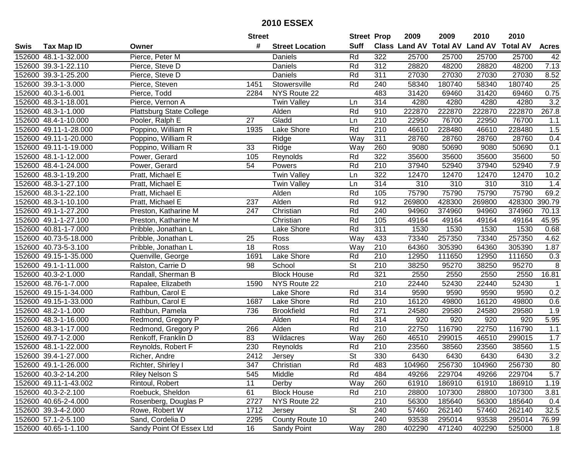|      |                       |                          | <b>Street</b>   |                        | <b>Street Prop</b>       |                  | 2009   | 2009   | 2010                           | 2010            |                  |
|------|-----------------------|--------------------------|-----------------|------------------------|--------------------------|------------------|--------|--------|--------------------------------|-----------------|------------------|
| Swis | <b>Tax Map ID</b>     | Owner                    | #               | <b>Street Location</b> | <b>Suff</b>              |                  |        |        | Class Land AV Total AV Land AV | <b>Total AV</b> | <b>Acres</b>     |
|      | 152600 48.1-1-32.000  | Pierce, Peter M          |                 | Daniels                | Rd                       | 322              | 25700  | 25700  | 25700                          | 25700           | 42               |
|      | 152600 39.3-1-22.110  | Pierce, Steve D          |                 | Daniels                | Rd                       | 312              | 28820  | 48200  | 28820                          | 48200           | 7.13             |
|      | 152600 39.3-1-25.200  | Pierce, Steve D          |                 | Daniels                | Rd                       | 311              | 27030  | 27030  | 27030                          | 27030           | 8.52             |
|      | 152600 39.3-1-3.000   | Pierce, Steven           | 1451            | Stowersville           | Rd                       | 240              | 58340  | 180740 | 58340                          | 180740          | 25               |
|      | 152600 40.3-1-6.001   | Pierce, Todd             | 2284            | NYS Route 22           |                          | 483              | 31420  | 69460  | 31420                          | 69460           | 0.75             |
|      | 152600 48.3-1-18.001  | Pierce, Vernon A         |                 | <b>Twin Valley</b>     | Ln                       | 314              | 4280   | 4280   | 4280                           | 4280            | $\overline{3.2}$ |
|      | 152600 48.3-1-1.000   | Plattsburg State College |                 | Alden                  | Rd                       | 910              | 222870 | 222870 | 222870                         | 222870          | 267.8            |
|      | 152600 48.4-1-10.000  | Pooler, Ralph E          | $\overline{27}$ | Gladd                  | Ln                       | 210              | 22950  | 76700  | 22950                          | 76700           | 1.1              |
|      | 152600 49.11-1-28.000 | Poppino, William R       | 1935            | Lake Shore             | Rd                       | $\overline{210}$ | 46610  | 228480 | 46610                          | 228480          | 1.5              |
|      | 152600 49.11-1-20.000 | Poppino, William R       |                 | Ridge                  | Way                      | 311              | 28760  | 28760  | 28760                          | 28760           | 0.4              |
|      | 152600 49.11-1-19.000 | Poppino, William R       | 33              | Ridge                  | Way                      | 260              | 9080   | 50690  | 9080                           | 50690           | 0.1              |
|      | 152600 48.1-1-12.000  | Power, Gerard            | 105             | Reynolds               | Rd                       | 322              | 35600  | 35600  | 35600                          | 35600           | 50               |
|      | 152600 48.4-1-24.000  | Power, Gerard            | 54              | Powers                 | Rd                       | 210              | 37940  | 52940  | 37940                          | 52940           | 7.9              |
|      | 152600 48.3-1-19.200  | Pratt, Michael E         |                 | <b>Twin Valley</b>     | Ln                       | 322              | 12470  | 12470  | 12470                          | 12470           | 10.2             |
|      | 152600 48.3-1-27.100  | Pratt, Michael E         |                 | <b>Twin Valley</b>     | Ln                       | 314              | 310    | 310    | 310                            | 310             | 1.4              |
|      | 152600 48.3-1-22.100  | Pratt, Michael E         |                 | Alden                  | Rd                       | 105              | 75790  | 75790  | 75790                          | 75790           | 69.2             |
|      | 152600 48.3-1-10.100  | Pratt, Michael E         | 237             | Alden                  | Rd                       | 912              | 269800 | 428300 | 269800                         | 428300          | 390.79           |
|      | 152600 49.1-1-27.200  | Preston, Katharine M     | 247             | Christian              | Rd                       | 240              | 94960  | 374960 | 94960                          | 374960          | 70.13            |
|      | 152600 49.1-1-27.100  | Preston, Katharine M     |                 | Christian              | Rd                       | 105              | 49164  | 49164  | 49164                          | 49164           | 45.95            |
|      | 152600 40.81-1-7.000  | Pribble, Jonathan L      |                 | Lake Shore             | Rd                       | 311              | 1530   | 1530   | 1530                           | 1530            | 0.68             |
|      | 152600 40.73-5-18.000 | Pribble, Jonathan L      | 25              | Ross                   | Way                      | 433              | 73340  | 257350 | 73340                          | 257350          | 4.62             |
|      | 152600 40.73-5-3.100  | Pribble, Jonathan L      | 18              | Ross                   | Way                      | 210              | 64360  | 305390 | 64360                          | 305390          | 1.87             |
|      | 152600 49.15-1-35.000 | Quenville, George        | 1691            | Lake Shore             | Rd                       | 210              | 12950  | 111650 | 12950                          | 111650          | 0.3              |
|      | 152600 49.1-1-11.000  | Ralston, Carrie D        | 98              | School                 | <b>St</b>                | 210              | 38250  | 95270  | 38250                          | 95270           | 8                |
|      | 152600 40.3-2-1.000   | Randall, Sherman B       |                 | <b>Block House</b>     | Rd                       | 321              | 2550   | 2550   | 2550                           | 2550            | 16.81            |
|      | 152600 48.76-1-7.000  | Rapalee, Elizabeth       | 1590            | NYS Route 22           |                          | 210              | 22440  | 52430  | 22440                          | 52430           | $\mathbf 1$      |
|      | 152600 49.15-1-34.000 | Rathbun, Carol E         |                 | Lake Shore             | Rd                       | 314              | 9590   | 9590   | 9590                           | 9590            | 0.2              |
|      | 152600 49.15-1-33.000 | Rathbun, Carol E         | 1687            | Lake Shore             | Rd                       | 210              | 16120  | 49800  | 16120                          | 49800           | 0.6              |
|      | 152600 48.2-1-1.000   | Rathbun, Pamela          | 736             | <b>Brookfield</b>      | Rd                       | $\overline{271}$ | 24580  | 29580  | 24580                          | 29580           | 1.9              |
|      | 152600 48.3-1-16.000  | Redmond, Gregory P       |                 | Alden                  | Rd                       | 314              | 920    | 920    | 920                            | 920             | 5.95             |
|      | 152600 48.3-1-17.000  | Redmond, Gregory P       | 266             | Alden                  | Rd                       | $\overline{210}$ | 22750  | 116790 | 22750                          | 116790          | 1.1              |
|      | 152600 49.7-1-2.000   | Renkoff, Franklin D      | 83              | Wildacres              | Way                      | 260              | 46510  | 299015 | 46510                          | 299015          | 1.7              |
|      | 152600 48.1-1-22.000  | Reynolds, Robert F       | 230             | Reynolds               | Rd                       | $\overline{210}$ | 23560  | 38560  | 23560                          | 38560           | 1.5              |
|      | 152600 39.4-1-27.000  | Richer, Andre            | 2412            | Jersey                 | $\overline{\mathsf{St}}$ | 330              | 6430   | 6430   | 6430                           | 6430            | 3.2              |
|      | 152600 49.1-1-26.000  | Richter, Shirley I       | 347             | Christian              | Rd                       | 483              | 104960 | 256730 | 104960                         | 256730          | 80               |
|      | 152600 40.3-2-14.200  | Riley Nelson S           | 545             | Middle                 | Rd                       | 484              | 49266  | 229704 | 49266                          | 229704          | 5.7              |
|      | 152600 49.11-1-43.002 | Rintoul, Robert          | 11              | Derby                  | Way                      | 260              | 61910  | 186910 | 61910                          | 186910          | 1.19             |
|      | 152600 40.3-2-2.100   | Roebuck, Sheldon         | 61              | <b>Block House</b>     | Rd                       | 210              | 28800  | 107300 | 28800                          | 107300          | 3.81             |
|      | 152600 40.65-2-4.000  | Rosenberg, Douglas P     | 2727            | NYS Route 22           |                          | 210              | 56300  | 185640 | 56300                          | 185640          | 0.4              |
|      | 152600 39.3-4-2.000   | Rowe, Robert W           | 1712            | Jersey                 | <b>St</b>                | 240              | 57460  | 262140 | 57460                          | 262140          | 32.5             |
|      | 152600 57.1-2-5.100   | Sand, Cordelia D         | 2295            | County Route 10        |                          | 240              | 93538  | 295014 | 93538                          | 295014          | 76.99            |
|      | 152600 40.65-1-1.100  | Sandy Point Of Essex Ltd | 16              | Sandy Point            | Way                      | 280              | 402290 | 471240 | 402290                         | 525000          | 1.8              |
|      |                       |                          |                 |                        |                          |                  |        |        |                                |                 |                  |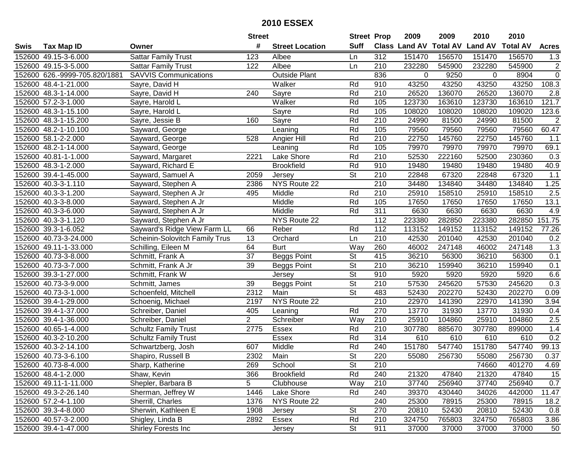|        |                               |                                | <b>Street</b>  |                        | <b>Street Prop</b>       |                  | 2009                 | 2009            | 2010           | 2010            |                |
|--------|-------------------------------|--------------------------------|----------------|------------------------|--------------------------|------------------|----------------------|-----------------|----------------|-----------------|----------------|
| Swis   | <b>Tax Map ID</b>             | Owner                          | #              | <b>Street Location</b> | <b>Suff</b>              |                  | <b>Class Land AV</b> | <b>Total AV</b> | <b>Land AV</b> | <b>Total AV</b> | <b>Acres</b>   |
|        | 152600 49.15-3-6.000          | <b>Sattar Family Trust</b>     | 123            | Albee                  | Ln                       | 312              | 151470               | 156570          | 151470         | 156570          | 1.3            |
|        | 152600 49.15-3-5.000          | <b>Sattar Family Trust</b>     | 122            | Albee                  | Ln                       | 210              | 232280               | 545900          | 232280         | 545900          | $\overline{2}$ |
|        | 152600 626.-9999-705.820/1881 | <b>SAVVIS Communications</b>   |                | <b>Outside Plant</b>   |                          | 836              | $\Omega$             | 9250            | $\Omega$       | 8904            | $\overline{0}$ |
|        | 152600 48.4-1-21.000          | Sayre, David H                 |                | Walker                 | Rd                       | 910              | 43250                | 43250           | 43250          | 43250           | 108.3          |
|        | 152600 48.3-1-14.000          | Sayre, David H                 | 240            | Sayre                  | Rd                       | 210              | 26520                | 136070          | 26520          | 136070          | 2.8            |
|        | 152600 57.2-3-1.000           | Sayre, Harold L                |                | Walker                 | Rd                       | 105              | 123730               | 163610          | 123730         | 163610          | 121.7          |
|        | 152600 48.3-1-15.100          | Sayre, Harold L                |                | Sayre                  | Rd                       | 105              | 108020               | 108020          | 108020         | 109020          | 123.6          |
|        | 152600 48.3-1-15.200          | Sayre, Jessie B                | 160            | Sayre                  | Rd                       | $\overline{210}$ | 24990                | 81500           | 24990          | 81500           | 2              |
|        | 152600 48.2-1-10.100          | Sayward, George                |                | Leaning                | Rd                       | 105              | 79560                | 79560           | 79560          | 79560           | 60.47          |
|        | 152600 58.1-2-2.000           | Sayward, George                | 528            | Angier Hill            | Rd                       | 210              | 22750                | 145760          | 22750          | 145760          | 1.1            |
|        | 152600 48.2-1-14.000          | Sayward, George                |                | Leaning                | Rd                       | 105              | 79970                | 79970           | 79970          | 79970           | 69.1           |
|        | 152600 40.81-1-1.000          | Sayward, Margaret              | 2221           | Lake Shore             | Rd                       | 210              | 52530                | 222160          | 52500          | 230360          | 0.3            |
|        | 152600 48.3-1-2.000           | Sayward, Richard E             |                | <b>Brookfield</b>      | Rd                       | 910              | 19480                | 19480           | 19480          | 19480           | 40.9           |
|        | 152600 39.4-1-45.000          | Sayward, Samuel A              | 2059           | Jersey                 | <b>St</b>                | 210              | 22848                | 67320           | 22848          | 67320           | 1.1            |
|        | 152600 40.3-3-1.110           | Sayward, Stephen A             | 2386           | NYS Route 22           |                          | 210              | 34480                | 134840          | 34480          | 134840          | 1.25           |
|        | 152600 40.3-3-1.200           | Sayward, Stephen A Jr          | 495            | Middle                 | Rd                       | 210              | 25910                | 158510          | 25910          | 158510          | 2.5            |
|        | 152600 40.3-3-8.000           | Sayward, Stephen A Jr          |                | Middle                 | Rd                       | 105              | 17650                | 17650           | 17650          | 17650           | 13.1           |
|        | 152600 40.3-3-6.000           | Sayward, Stephen A Jr          |                | Middle                 | Rd                       | 311              | 6630                 | 6630            | 6630           | 6630            | 4.9            |
|        | 152600 40.3-3-1.120           | Sayward, Stephen A Jr          |                | NYS Route 22           |                          | 112              | 223380               | 282850          | 223380         | 282850          | 151.75         |
|        | 152600 39.3-1-6.052           | Sayward's Ridge View Farm LL   | 66             | Reber                  | Rd                       | 112              | 113152               | 149152          | 113152         | 149152          | 77.26          |
|        | 152600 40.73-3-24.000         | Scheinin-Solovitch Family Trus | 13             | Orchard                | Ln                       | 210              | 42530                | 201040          | 42530          | 201040          | 0.2            |
| 152600 | 49.11-1-33.000                | Schilling, Eileen M            | 64             | <b>Burt</b>            | Way                      | 260              | 46002                | 247148          | 46002          | 247148          | 1.3            |
|        | 152600 40.73-3-8.000          | Schmitt, Frank A               | 37             | <b>Beggs Point</b>     | St                       | 415              | 36210                | 56300           | 36210          | 56300           | 0.1            |
|        | 152600 40.73-3-7.000          | Schmitt, Frank A Jr            | 39             | <b>Beggs Point</b>     | St                       | 210              | 36210                | 159940          | 36210          | 159940          | 0.1            |
|        | 152600 39.3-1-27.000          | Schmitt, Frank W               |                | Jersey                 | $\overline{St}$          | 910              | 5920                 | 5920            | 5920           | 5920            | 6.6            |
|        | 152600 40.73-3-9.000          | Schmitt, James                 | 39             | <b>Beggs Point</b>     | $\overline{\mathsf{St}}$ | 210              | 57530                | 245620          | 57530          | 245620          | 0.3            |
|        | 152600 40.73-3-1.000          | Schoenfeld, Mitchell           | 2312           | Main                   | $\overline{\mathsf{St}}$ | 483              | 52430                | 202270          | 52430          | 202270          | 0.09           |
|        | 152600 39.4-1-29.000          | Schoenig, Michael              | 2197           | NYS Route 22           |                          | 210              | 22970                | 141390          | 22970          | 141390          | 3.94           |
|        | 152600 39.4-1-37.000          | Schreiber, Daniel              | 405            | Leaning                | Rd                       | 270              | 13770                | 31930           | 13770          | 31930           | 0.4            |
|        | 152600 39.4-1-36.000          | Schreiber, Daniel              | $\overline{2}$ | Schreiber              | Way                      | 210              | 25910                | 104860          | 25910          | 104860          | 2.5            |
|        | 152600 40.65-1-4.000          | <b>Schultz Family Trust</b>    | 2775           | Essex                  | Rd                       | $\overline{210}$ | 307780               | 885670          | 307780         | 899000          | 1.4            |
|        | 152600 40.3-2-10.200          | <b>Schultz Family Trust</b>    |                | Essex                  | Rd                       | 314              | 610                  | 610             | 610            | 610             | 0.2            |
|        | 152600 40.3-2-14.100          | Schwartzberg, Josh             | 607            | Middle                 | Rd                       | 240              | 151780               | 547740          | 151780         | 547740          | 99.13          |
|        | 152600 40.73-3-6.100          | Shapiro, Russell B             | 2302           | Main                   | $\overline{\mathsf{St}}$ | 220              | 55080                | 256730          | 55080          | 256730          | 0.37           |
|        | 152600 40.73-8-4.000          | Sharp, Katherine               | 269            | School                 | St                       | 210              |                      |                 | 74660          | 401270          | 4.69           |
|        | 152600 48.4-1-2.000           | Shaw, Kevin                    | 366            | <b>Brookfield</b>      | Rd                       | 240              | 21320                | 47840           | 21320          | 47840           | 15             |
|        | 152600 49.11-1-11.000         | Shepler, Barbara B             | 5              | Clubhouse              | Way                      | 210              | 37740                | 256940          | 37740          | 256940          | 0.7            |
|        | 152600 49.3-2-26.140          | Sherman, Jeffrey W             | 1446           | Lake Shore             | Rd                       | 240              | 39370                | 430440          | 34026          | 442000          | 11.47          |
|        | 152600 57.2-4-1.100           | Sherrill, Charles              | 1376           | NYS Route 22           |                          | 240              | 25300                | 78915           | 25300          | 78915           | 18.2           |
|        | 152600 39.3-4-8.000           | Sherwin, Kathleen E            | 1908           | Jersey                 | <b>St</b>                | 270              | 20810                | 52430           | 20810          | 52430           | 0.8            |
|        | 152600 40.57-3-2.000          | Shigley, Linda B               | 2892           | Essex                  | Rd                       | 210              | 324750               | 765803          | 324750         | 765803          | 3.86           |
|        | 152600 39.4-1-47.000          | Shirley Forests Inc            |                | Jersey                 | St                       | 911              | 37000                | 37000           | 37000          | 37000           | 50             |
|        |                               |                                |                |                        |                          |                  |                      |                 |                |                 |                |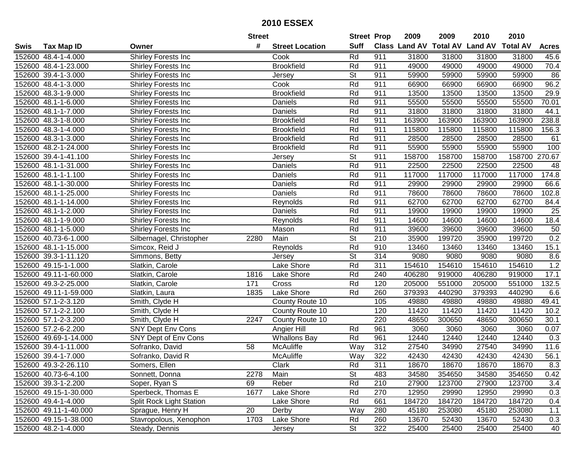|      |                       |                                 | <b>Street</b> |                        | <b>Street Prop</b> |     | 2009   | 2009   | 2010                           | 2010            |              |
|------|-----------------------|---------------------------------|---------------|------------------------|--------------------|-----|--------|--------|--------------------------------|-----------------|--------------|
| Swis | <b>Tax Map ID</b>     | Owner                           | #             | <b>Street Location</b> | <b>Suff</b>        |     |        |        | Class Land AV Total AV Land AV | <b>Total AV</b> | <b>Acres</b> |
|      | 152600 48.4-1-4.000   | Shirley Forests Inc             |               | Cook                   | Rd                 | 911 | 31800  | 31800  | 31800                          | 31800           | 45.6         |
|      | 152600 48.4-1-23.000  | Shirley Forests Inc             |               | <b>Brookfield</b>      | Rd                 | 911 | 49000  | 49000  | 49000                          | 49000           | 70.4         |
|      | 152600 39.4-1-3.000   | Shirley Forests Inc             |               | Jersey                 | <b>St</b>          | 911 | 59900  | 59900  | 59900                          | 59900           | 86           |
|      | 152600 48.4-1-3.000   | Shirley Forests Inc             |               | Cook                   | Rd                 | 911 | 66900  | 66900  | 66900                          | 66900           | 96.2         |
|      | 152600 48.3-1-9.000   | Shirley Forests Inc             |               | <b>Brookfield</b>      | Rd                 | 911 | 13500  | 13500  | 13500                          | 13500           | 29.9         |
|      | 152600 48.1-1-6.000   | Shirley Forests Inc             |               | Daniels                | Rd                 | 911 | 55500  | 55500  | 55500                          | 55500           | 70.01        |
|      | 152600 48.1-1-7.000   | Shirley Forests Inc             |               | Daniels                | Rd                 | 911 | 31800  | 31800  | 31800                          | 31800           | 44.1         |
|      | 152600 48.3-1-8.000   | Shirley Forests Inc             |               | <b>Brookfield</b>      | Rd                 | 911 | 163900 | 163900 | 163900                         | 163900          | 238.8        |
|      | 152600 48.3-1-4.000   | Shirley Forests Inc             |               | <b>Brookfield</b>      | Rd                 | 911 | 115800 | 115800 | 115800                         | 115800          | 156.3        |
|      | 152600 48.3-1-3.000   | Shirley Forests Inc             |               | <b>Brookfield</b>      | Rd                 | 911 | 28500  | 28500  | 28500                          | 28500           | 61           |
|      | 152600 48.2-1-24.000  | Shirley Forests Inc             |               | <b>Brookfield</b>      | Rd                 | 911 | 55900  | 55900  | 55900                          | 55900           | 100          |
|      | 152600 39.4-1-41.100  | Shirley Forests Inc             |               | Jersey                 | <b>St</b>          | 911 | 158700 | 158700 | 158700                         | 158700          | 270.67       |
|      | 152600 48.1-1-31.000  | Shirley Forests Inc             |               | Daniels                | Rd                 | 911 | 22500  | 22500  | 22500                          | 22500           | 48           |
|      | 152600 48.1-1-1.100   | Shirley Forests Inc             |               | Daniels                | Rd                 | 911 | 117000 | 117000 | 117000                         | 117000          | 174.8        |
|      | 152600 48.1-1-30.000  | Shirley Forests Inc             |               | Daniels                | Rd                 | 911 | 29900  | 29900  | 29900                          | 29900           | 66.6         |
|      | 152600 48.1-1-25.000  | Shirley Forests Inc             |               | Daniels                | Rd                 | 911 | 78600  | 78600  | 78600                          | 78600           | 102.8        |
|      | 152600 48.1-1-14.000  | Shirley Forests Inc             |               | Reynolds               | Rd                 | 911 | 62700  | 62700  | 62700                          | 62700           | 84.4         |
|      | 152600 48.1-1-2.000   | Shirley Forests Inc             |               | Daniels                | Rd                 | 911 | 19900  | 19900  | 19900                          | 19900           | 25           |
|      | 152600 48.1-1-9.000   | Shirley Forests Inc             |               | Reynolds               | Rd                 | 911 | 14600  | 14600  | 14600                          | 14600           | 18.4         |
|      | 152600 48.1-1-5.000   | Shirley Forests Inc             |               | Mason                  | Rd                 | 911 | 39600  | 39600  | 39600                          | 39600           | 50           |
|      | 152600 40.73-6-1.000  | Silbernagel, Christopher        | 2280          | Main                   | <b>St</b>          | 210 | 35900  | 199720 | 35900                          | 199720          | 0.2          |
|      | 152600 48.1-1-15.000  | Simcox, Reid J                  |               | Reynolds               | Rd                 | 910 | 13460  | 13460  | 13460                          | 13460           | 15.1         |
|      | 152600 39.3-1-11.120  | Simmons, Betty                  |               | Jersey                 | St                 | 314 | 9080   | 9080   | 9080                           | 9080            | 8.6          |
|      | 152600 49.15-1-1.000  | Slatkin, Carole                 |               | Lake Shore             | Rd                 | 311 | 154610 | 154610 | 154610                         | 154610          | 1.2          |
|      | 152600 49.11-1-60.000 | Slatkin, Carole                 | 1816          | Lake Shore             | Rd                 | 240 | 406280 | 919000 | 406280                         | 919000          | 17.1         |
|      | 152600 49.3-2-25.000  | Slatkin, Carole                 | 171           | Cross                  | Rd                 | 120 | 205000 | 551000 | 205000                         | 551000          | 132.5        |
|      | 152600 49.11-1-59.000 | Slatkin, Laura                  | 1835          | Lake Shore             | Rd                 | 260 | 379393 | 440290 | 379393                         | 440290          | 6.6          |
|      | 152600 57.1-2-3.120   | Smith, Clyde H                  |               | County Route 10        |                    | 105 | 49880  | 49880  | 49880                          | 49880           | 49.41        |
|      | 152600 57.1-2-2.100   | Smith, Clyde H                  |               | County Route 10        |                    | 120 | 11420  | 11420  | 11420                          | 11420           | 10.2         |
|      | 152600 57.1-2-3.200   | Smith, Clyde H                  | 2247          | County Route 10        |                    | 220 | 48650  | 300650 | 48650                          | 300650          | 30.1         |
|      | 152600 57.2-6-2.200   | <b>SNY Dept Env Cons</b>        |               | Angier Hill            | Rd                 | 961 | 3060   | 3060   | 3060                           | 3060            | 0.07         |
|      | 152600 49.69-1-14.000 | SNY Dept of Env Cons            |               | <b>Whallons Bay</b>    | Rd                 | 961 | 12440  | 12440  | 12440                          | 12440           | 0.3          |
|      | 152600 39.4-1-11.000  | Sofranko, David                 | 58            | <b>McAuliffe</b>       | $\overline{Way}$   | 312 | 27540  | 34990  | 27540                          | 34990           | 11.6         |
|      | 152600 39.4-1-7.000   | Sofranko, David R               |               | McAuliffe              | Way                | 322 | 42430  | 42430  | 42430                          | 42430           | 56.1         |
|      | 152600 49.3-2-26.110  | Somers, Ellen                   |               | Clark                  | Rd                 | 311 | 18670  | 18670  | 18670                          | 18670           | 8.3          |
|      | 152600 40.73-6-4.100  | Sonnett, Donna                  | 2278          | Main                   | <b>St</b>          | 483 | 34580  | 354650 | 34580                          | 354650          | 0.42         |
|      | 152600 39.3-1-2.200   | Soper, Ryan S                   | 69            | Reber                  | Rd                 | 210 | 27900  | 123700 | 27900                          | 123700          | 3.4          |
|      | 152600 49.15-1-30.000 | Sperbeck, Thomas E              | 1677          | Lake Shore             | Rd                 | 270 | 12950  | 29990  | 12950                          | 29990           | 0.3          |
|      | 152600 49.4-1-4.000   | <b>Split Rock Light Station</b> |               | Lake Shore             | Rd                 | 661 | 184720 | 184720 | 184720                         | 184720          | 0.4          |
|      | 152600 49.11-1-40.000 | Sprague, Henry H                | 20            | Derby                  | Way                | 280 | 45180  | 253080 | 45180                          | 253080          | 1.1          |
|      | 152600 49.15-1-38.000 | Stavropolous, Xenophon          | 1703          | Lake Shore             | Rd                 | 260 | 13670  | 52430  | 13670                          | 52430           | 0.3          |
|      | 152600 48.2-1-4.000   | Steady, Dennis                  |               | Jersey                 | St                 | 322 | 25400  | 25400  | 25400                          | 25400           | 40           |
|      |                       |                                 |               |                        |                    |     |        |        |                                |                 |              |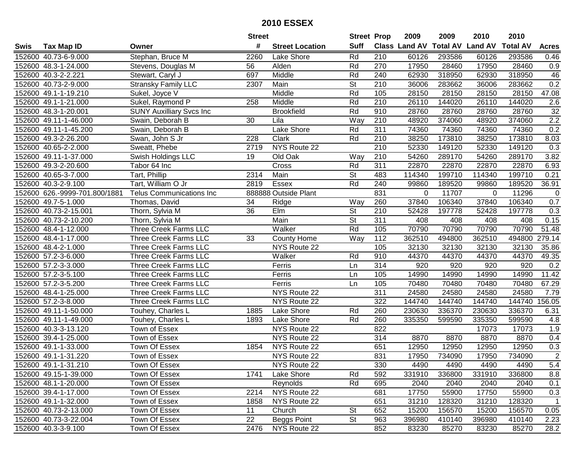| #<br><b>Suff</b><br><b>Total AV</b><br><b>Land AV</b><br><b>Class Land AV</b><br><b>Total AV</b><br><b>Tax Map ID</b><br><b>Street Location</b><br><b>Acres</b><br>Swis<br>Owner<br>Stephan, Bruce M<br>Rd<br>210<br>152600 40.73-6-9.000<br>2260<br>Lake Shore<br>60126<br>293586<br>60126<br>293586<br>0.46<br>152600 48.3-1-24.000<br>56<br>Alden<br>Rd<br>270<br>17950<br>28460<br>17950<br>28460<br>0.9<br>Stevens, Douglas M<br>Middle<br>318950<br>152600 40.3-2-2.221<br>Stewart, Caryl J<br>697<br>Rd<br>240<br>62930<br>318950<br>62930<br>46<br><b>Stransky Family LLC</b><br>0.2<br>152600 40.73-2-9.000<br>Main<br><b>St</b><br>210<br>36006<br>283662<br>36006<br>2307<br>283662<br>152600 49.1-1-19.210<br>Sukel, Joyce V<br>Middle<br>Rd<br>105<br>28150<br>28150<br>28150<br>28150<br>47.08<br>Sukel, Raymond P<br>$\overline{210}$<br>144020<br>$\overline{2.6}$<br>152600 49.1-1-21.000<br>258<br>Middle<br>Rd<br>26110<br>144020<br>26110<br>32<br><b>SUNY Auxilliary Svcs Inc</b><br><b>Brookfield</b><br>Rd<br>910<br>28760<br>28760<br>28760<br>28760<br>152600 48.3-1-20.001<br>2.2<br>210<br>374060<br>152600 49.11-1-46.000<br>$\overline{30}$<br>Way<br>48920<br>48920<br>374060<br>Swain, Deborah B<br>Lila<br>311<br>0.2<br>Lake Shore<br>Rd<br>74360<br>74360<br>74360<br>152600 49.11-1-45.200<br>Swain, Deborah B<br>74360<br>152600 49.3-2-26.200<br>Clark<br>Rd<br>38250<br>173810<br>38250<br>Swan, John S Jr<br>228<br>210<br>173810<br>8.03<br>NYS Route 22<br>210<br>52330<br>149120<br>52330<br>0.3<br>152600 40.65-2-2.000<br>Sweatt, Phebe<br>149120<br>2719<br>Old Oak<br>152600 49.11-1-37.000<br>Swish Holdings LLC<br>19<br>210<br>54260<br>289170<br>54260<br>289170<br>3.82<br>Way<br>Rd<br>311<br>152600 49.3-2-20.600<br>Cross<br>22870<br>22870<br>22870<br>22870<br>6.93<br>Tabor 64 Inc<br>Main<br><b>St</b><br>199710<br>152600 40.65-3-7.000<br>Tart, Phillip<br>2314<br>483<br>114340<br>199710<br>114340<br>0.21<br>Tart, William O Jr<br>Essex<br>Rd<br>240<br>152600 40.3-2-9.100<br>2819<br>99860<br>189520<br>189520<br>36.91<br>99860<br>831<br>152600 626.-9999-701.800/1881<br>888888 Outside Plant<br>11707<br>11296<br><b>Telus Communications Inc</b><br>0<br>0<br>0<br>0.7<br>260<br>37840<br>106340<br>37840<br>152600 49.7-5-1.000<br>34<br>Way<br>106340<br>Thomas, David<br>Ridge<br>$\overline{\mathsf{St}}$<br>36<br>Elm<br>0.3<br>152600 40.73-2-15.001<br>210<br>52428<br>197778<br>52428<br>197778<br>Thorn, Sylvia M<br>Main<br><b>St</b><br>311<br>0.15<br>152600 40.73-2-10.200<br>Thorn, Sylvia M<br>408<br>408<br>408<br>408<br>Rd<br>70790<br>70790<br>51.48<br>152600 48.4-1-12.000<br>Three Creek Farms LLC<br>Walker<br>105<br>70790<br>70790<br>$\frac{11}{2}$<br>Three Creek Farms LLC<br>Way<br>362510<br>494800<br>362510<br>494800<br>279.14<br>152600 48.4-1-17.000<br>33<br><b>County Home</b><br>Three Creek Farms LLC<br>152600 48.4-2-1.000<br>NYS Route 22<br>105<br>32130<br>32130<br>32130<br>32130<br>35.86<br>910<br>44370<br>49.35<br>152600 57.2-3-6.000<br>Three Creek Farms LLC<br>Walker<br>Rd<br>44370<br>44370<br>44370<br>314<br>0.2<br>152600 57.2-3-3.000<br>Three Creek Farms LLC<br>920<br>920<br>920<br>920<br>Ferris<br>Ln<br>14990<br>11.42<br>152600 57.2-3-5.100<br>Ferris<br>105<br>14990<br>14990<br>14990<br>Three Creek Farms LLC<br>Ln<br>152600 57.2-3-5.200<br>Ferris<br>70480<br>70480<br>67.29<br>Three Creek Farms LLC<br>105<br>70480<br>70480<br>Ln<br>$\overline{311}$<br>NYS Route 22<br>24580<br>24580<br>24580<br>24580<br>152600 48.4-1-25.000<br>Three Creek Farms LLC<br>7.79<br>322<br>144740<br>144740<br>156.05<br>152600 57.2-3-8.000<br>Three Creek Farms LLC<br>NYS Route 22<br>144740<br>144740<br>Touhey, Charles L<br>Lake Shore<br>Rd<br>260<br>230630<br>336370<br>230630<br>336370<br>152600 49.11-1-50.000<br>1885<br>6.31<br>Lake Shore<br>Rd<br>152600 49.11-1-49.000<br>Touhey, Charles L<br>260<br>335350<br>599590<br>335350<br>599590<br>4.8<br>1893<br>152600 40.3-3-13.120<br>Town of Essex<br>NYS Route 22<br>822<br>17073<br>17073<br>1.9<br>152600 39.4-1-25.000<br>Town of Essex<br>NYS Route 22<br>314<br>8870<br>8870<br>8870<br>8870<br>0.4<br>651<br>12950<br>12950<br>0.3<br>152600 49.1-1-33.000<br>Town Of Essex<br>1854<br>NYS Route 22<br>12950<br>12950<br>$\overline{2}$<br>152600 49.1-1-31.220<br>NYS Route 22<br>831<br>17950<br>734090<br>17950<br>734090<br>Town of Essex<br>152600 49.1-1-31.210<br>Town Of Essex<br>NYS Route 22<br>330<br>4490<br>4490<br>4490<br>4490<br>5.4<br>152600 49.15-1-39.000<br>Lake Shore<br>592<br>331910<br>336800<br>331910<br>336800<br>8.8<br>Town Of Essex<br>1741<br>Rd<br>152600 48.1-1-20.000<br>Town Of Essex<br>Reynolds<br>Rd<br>695<br>2040<br>2040<br>2040<br>0.1<br>2040<br>NYS Route 22<br>681<br>17750<br>0.3<br>152600 39.4-1-17.000<br>Town Of Essex<br>2214<br>55900<br>17750<br>55900<br>NYS Route 22<br>31210<br>31210<br>152600 49.1-1-32.000<br>Town of Essex<br>1858<br>651<br>128320<br>128320<br>$\mathbf{1}$<br><b>St</b><br>152600 40.73-2-13.000<br>Town Of Essex<br>11<br>Church<br>652<br>15200<br>156570<br>15200<br>156570<br>0.05<br><b>St</b><br>152600 40.73-3-22.004<br>Town Of Essex<br>22<br><b>Beggs Point</b><br>963<br>396980<br>410140<br>396980<br>410140<br>2.23<br>NYS Route 22<br>28.2<br>152600 40.3-3-9.100<br>Town Of Essex<br>2476<br>852<br>83230<br>83230<br>85270<br>85270 |  | <b>Street</b> | <b>Street Prop</b> | 2009 | 2009 | 2010 | 2010 |  |
|--------------------------------------------------------------------------------------------------------------------------------------------------------------------------------------------------------------------------------------------------------------------------------------------------------------------------------------------------------------------------------------------------------------------------------------------------------------------------------------------------------------------------------------------------------------------------------------------------------------------------------------------------------------------------------------------------------------------------------------------------------------------------------------------------------------------------------------------------------------------------------------------------------------------------------------------------------------------------------------------------------------------------------------------------------------------------------------------------------------------------------------------------------------------------------------------------------------------------------------------------------------------------------------------------------------------------------------------------------------------------------------------------------------------------------------------------------------------------------------------------------------------------------------------------------------------------------------------------------------------------------------------------------------------------------------------------------------------------------------------------------------------------------------------------------------------------------------------------------------------------------------------------------------------------------------------------------------------------------------------------------------------------------------------------------------------------------------------------------------------------------------------------------------------------------------------------------------------------------------------------------------------------------------------------------------------------------------------------------------------------------------------------------------------------------------------------------------------------------------------------------------------------------------------------------------------------------------------------------------------------------------------------------------------------------------------------------------------------------------------------------------------------------------------------------------------------------------------------------------------------------------------------------------------------------------------------------------------------------------------------------------------------------------------------------------------------------------------------------------------------------------------------------------------------------------------------------------------------------------------------------------------------------------------------------------------------------------------------------------------------------------------------------------------------------------------------------------------------------------------------------------------------------------------------------------------------------------------------------------------------------------------------------------------------------------------------------------------------------------------------------------------------------------------------------------------------------------------------------------------------------------------------------------------------------------------------------------------------------------------------------------------------------------------------------------------------------------------------------------------------------------------------------------------------------------------------------------------------------------------------------------------------------------------------------------------------------------------------------------------------------------------------------------------------------------------------------------------------------------------------------------------------------------------------------------------------------------------------------------------------------------------------------------------------------------------------------------------------------------------------------------------------------------------------------------------------------------------------------------------------------------------------------------------------------------------------------------------------------------------------------------------------------------------------------------------------------------------------------------------------------------------------------------------------------------------------------------------------------------------------------------------------------------------------------------------------------------------------------------------------------------------------------------------------------------------------|--|---------------|--------------------|------|------|------|------|--|
|                                                                                                                                                                                                                                                                                                                                                                                                                                                                                                                                                                                                                                                                                                                                                                                                                                                                                                                                                                                                                                                                                                                                                                                                                                                                                                                                                                                                                                                                                                                                                                                                                                                                                                                                                                                                                                                                                                                                                                                                                                                                                                                                                                                                                                                                                                                                                                                                                                                                                                                                                                                                                                                                                                                                                                                                                                                                                                                                                                                                                                                                                                                                                                                                                                                                                                                                                                                                                                                                                                                                                                                                                                                                                                                                                                                                                                                                                                                                                                                                                                                                                                                                                                                                                                                                                                                                                                                                                                                                                                                                                                                                                                                                                                                                                                                                                                                                                                                                                                                                                                                                                                                                                                                                                                                                                                                                                                                                                                                  |  |               |                    |      |      |      |      |  |
|                                                                                                                                                                                                                                                                                                                                                                                                                                                                                                                                                                                                                                                                                                                                                                                                                                                                                                                                                                                                                                                                                                                                                                                                                                                                                                                                                                                                                                                                                                                                                                                                                                                                                                                                                                                                                                                                                                                                                                                                                                                                                                                                                                                                                                                                                                                                                                                                                                                                                                                                                                                                                                                                                                                                                                                                                                                                                                                                                                                                                                                                                                                                                                                                                                                                                                                                                                                                                                                                                                                                                                                                                                                                                                                                                                                                                                                                                                                                                                                                                                                                                                                                                                                                                                                                                                                                                                                                                                                                                                                                                                                                                                                                                                                                                                                                                                                                                                                                                                                                                                                                                                                                                                                                                                                                                                                                                                                                                                                  |  |               |                    |      |      |      |      |  |
|                                                                                                                                                                                                                                                                                                                                                                                                                                                                                                                                                                                                                                                                                                                                                                                                                                                                                                                                                                                                                                                                                                                                                                                                                                                                                                                                                                                                                                                                                                                                                                                                                                                                                                                                                                                                                                                                                                                                                                                                                                                                                                                                                                                                                                                                                                                                                                                                                                                                                                                                                                                                                                                                                                                                                                                                                                                                                                                                                                                                                                                                                                                                                                                                                                                                                                                                                                                                                                                                                                                                                                                                                                                                                                                                                                                                                                                                                                                                                                                                                                                                                                                                                                                                                                                                                                                                                                                                                                                                                                                                                                                                                                                                                                                                                                                                                                                                                                                                                                                                                                                                                                                                                                                                                                                                                                                                                                                                                                                  |  |               |                    |      |      |      |      |  |
|                                                                                                                                                                                                                                                                                                                                                                                                                                                                                                                                                                                                                                                                                                                                                                                                                                                                                                                                                                                                                                                                                                                                                                                                                                                                                                                                                                                                                                                                                                                                                                                                                                                                                                                                                                                                                                                                                                                                                                                                                                                                                                                                                                                                                                                                                                                                                                                                                                                                                                                                                                                                                                                                                                                                                                                                                                                                                                                                                                                                                                                                                                                                                                                                                                                                                                                                                                                                                                                                                                                                                                                                                                                                                                                                                                                                                                                                                                                                                                                                                                                                                                                                                                                                                                                                                                                                                                                                                                                                                                                                                                                                                                                                                                                                                                                                                                                                                                                                                                                                                                                                                                                                                                                                                                                                                                                                                                                                                                                  |  |               |                    |      |      |      |      |  |
|                                                                                                                                                                                                                                                                                                                                                                                                                                                                                                                                                                                                                                                                                                                                                                                                                                                                                                                                                                                                                                                                                                                                                                                                                                                                                                                                                                                                                                                                                                                                                                                                                                                                                                                                                                                                                                                                                                                                                                                                                                                                                                                                                                                                                                                                                                                                                                                                                                                                                                                                                                                                                                                                                                                                                                                                                                                                                                                                                                                                                                                                                                                                                                                                                                                                                                                                                                                                                                                                                                                                                                                                                                                                                                                                                                                                                                                                                                                                                                                                                                                                                                                                                                                                                                                                                                                                                                                                                                                                                                                                                                                                                                                                                                                                                                                                                                                                                                                                                                                                                                                                                                                                                                                                                                                                                                                                                                                                                                                  |  |               |                    |      |      |      |      |  |
|                                                                                                                                                                                                                                                                                                                                                                                                                                                                                                                                                                                                                                                                                                                                                                                                                                                                                                                                                                                                                                                                                                                                                                                                                                                                                                                                                                                                                                                                                                                                                                                                                                                                                                                                                                                                                                                                                                                                                                                                                                                                                                                                                                                                                                                                                                                                                                                                                                                                                                                                                                                                                                                                                                                                                                                                                                                                                                                                                                                                                                                                                                                                                                                                                                                                                                                                                                                                                                                                                                                                                                                                                                                                                                                                                                                                                                                                                                                                                                                                                                                                                                                                                                                                                                                                                                                                                                                                                                                                                                                                                                                                                                                                                                                                                                                                                                                                                                                                                                                                                                                                                                                                                                                                                                                                                                                                                                                                                                                  |  |               |                    |      |      |      |      |  |
|                                                                                                                                                                                                                                                                                                                                                                                                                                                                                                                                                                                                                                                                                                                                                                                                                                                                                                                                                                                                                                                                                                                                                                                                                                                                                                                                                                                                                                                                                                                                                                                                                                                                                                                                                                                                                                                                                                                                                                                                                                                                                                                                                                                                                                                                                                                                                                                                                                                                                                                                                                                                                                                                                                                                                                                                                                                                                                                                                                                                                                                                                                                                                                                                                                                                                                                                                                                                                                                                                                                                                                                                                                                                                                                                                                                                                                                                                                                                                                                                                                                                                                                                                                                                                                                                                                                                                                                                                                                                                                                                                                                                                                                                                                                                                                                                                                                                                                                                                                                                                                                                                                                                                                                                                                                                                                                                                                                                                                                  |  |               |                    |      |      |      |      |  |
|                                                                                                                                                                                                                                                                                                                                                                                                                                                                                                                                                                                                                                                                                                                                                                                                                                                                                                                                                                                                                                                                                                                                                                                                                                                                                                                                                                                                                                                                                                                                                                                                                                                                                                                                                                                                                                                                                                                                                                                                                                                                                                                                                                                                                                                                                                                                                                                                                                                                                                                                                                                                                                                                                                                                                                                                                                                                                                                                                                                                                                                                                                                                                                                                                                                                                                                                                                                                                                                                                                                                                                                                                                                                                                                                                                                                                                                                                                                                                                                                                                                                                                                                                                                                                                                                                                                                                                                                                                                                                                                                                                                                                                                                                                                                                                                                                                                                                                                                                                                                                                                                                                                                                                                                                                                                                                                                                                                                                                                  |  |               |                    |      |      |      |      |  |
|                                                                                                                                                                                                                                                                                                                                                                                                                                                                                                                                                                                                                                                                                                                                                                                                                                                                                                                                                                                                                                                                                                                                                                                                                                                                                                                                                                                                                                                                                                                                                                                                                                                                                                                                                                                                                                                                                                                                                                                                                                                                                                                                                                                                                                                                                                                                                                                                                                                                                                                                                                                                                                                                                                                                                                                                                                                                                                                                                                                                                                                                                                                                                                                                                                                                                                                                                                                                                                                                                                                                                                                                                                                                                                                                                                                                                                                                                                                                                                                                                                                                                                                                                                                                                                                                                                                                                                                                                                                                                                                                                                                                                                                                                                                                                                                                                                                                                                                                                                                                                                                                                                                                                                                                                                                                                                                                                                                                                                                  |  |               |                    |      |      |      |      |  |
|                                                                                                                                                                                                                                                                                                                                                                                                                                                                                                                                                                                                                                                                                                                                                                                                                                                                                                                                                                                                                                                                                                                                                                                                                                                                                                                                                                                                                                                                                                                                                                                                                                                                                                                                                                                                                                                                                                                                                                                                                                                                                                                                                                                                                                                                                                                                                                                                                                                                                                                                                                                                                                                                                                                                                                                                                                                                                                                                                                                                                                                                                                                                                                                                                                                                                                                                                                                                                                                                                                                                                                                                                                                                                                                                                                                                                                                                                                                                                                                                                                                                                                                                                                                                                                                                                                                                                                                                                                                                                                                                                                                                                                                                                                                                                                                                                                                                                                                                                                                                                                                                                                                                                                                                                                                                                                                                                                                                                                                  |  |               |                    |      |      |      |      |  |
|                                                                                                                                                                                                                                                                                                                                                                                                                                                                                                                                                                                                                                                                                                                                                                                                                                                                                                                                                                                                                                                                                                                                                                                                                                                                                                                                                                                                                                                                                                                                                                                                                                                                                                                                                                                                                                                                                                                                                                                                                                                                                                                                                                                                                                                                                                                                                                                                                                                                                                                                                                                                                                                                                                                                                                                                                                                                                                                                                                                                                                                                                                                                                                                                                                                                                                                                                                                                                                                                                                                                                                                                                                                                                                                                                                                                                                                                                                                                                                                                                                                                                                                                                                                                                                                                                                                                                                                                                                                                                                                                                                                                                                                                                                                                                                                                                                                                                                                                                                                                                                                                                                                                                                                                                                                                                                                                                                                                                                                  |  |               |                    |      |      |      |      |  |
|                                                                                                                                                                                                                                                                                                                                                                                                                                                                                                                                                                                                                                                                                                                                                                                                                                                                                                                                                                                                                                                                                                                                                                                                                                                                                                                                                                                                                                                                                                                                                                                                                                                                                                                                                                                                                                                                                                                                                                                                                                                                                                                                                                                                                                                                                                                                                                                                                                                                                                                                                                                                                                                                                                                                                                                                                                                                                                                                                                                                                                                                                                                                                                                                                                                                                                                                                                                                                                                                                                                                                                                                                                                                                                                                                                                                                                                                                                                                                                                                                                                                                                                                                                                                                                                                                                                                                                                                                                                                                                                                                                                                                                                                                                                                                                                                                                                                                                                                                                                                                                                                                                                                                                                                                                                                                                                                                                                                                                                  |  |               |                    |      |      |      |      |  |
|                                                                                                                                                                                                                                                                                                                                                                                                                                                                                                                                                                                                                                                                                                                                                                                                                                                                                                                                                                                                                                                                                                                                                                                                                                                                                                                                                                                                                                                                                                                                                                                                                                                                                                                                                                                                                                                                                                                                                                                                                                                                                                                                                                                                                                                                                                                                                                                                                                                                                                                                                                                                                                                                                                                                                                                                                                                                                                                                                                                                                                                                                                                                                                                                                                                                                                                                                                                                                                                                                                                                                                                                                                                                                                                                                                                                                                                                                                                                                                                                                                                                                                                                                                                                                                                                                                                                                                                                                                                                                                                                                                                                                                                                                                                                                                                                                                                                                                                                                                                                                                                                                                                                                                                                                                                                                                                                                                                                                                                  |  |               |                    |      |      |      |      |  |
|                                                                                                                                                                                                                                                                                                                                                                                                                                                                                                                                                                                                                                                                                                                                                                                                                                                                                                                                                                                                                                                                                                                                                                                                                                                                                                                                                                                                                                                                                                                                                                                                                                                                                                                                                                                                                                                                                                                                                                                                                                                                                                                                                                                                                                                                                                                                                                                                                                                                                                                                                                                                                                                                                                                                                                                                                                                                                                                                                                                                                                                                                                                                                                                                                                                                                                                                                                                                                                                                                                                                                                                                                                                                                                                                                                                                                                                                                                                                                                                                                                                                                                                                                                                                                                                                                                                                                                                                                                                                                                                                                                                                                                                                                                                                                                                                                                                                                                                                                                                                                                                                                                                                                                                                                                                                                                                                                                                                                                                  |  |               |                    |      |      |      |      |  |
|                                                                                                                                                                                                                                                                                                                                                                                                                                                                                                                                                                                                                                                                                                                                                                                                                                                                                                                                                                                                                                                                                                                                                                                                                                                                                                                                                                                                                                                                                                                                                                                                                                                                                                                                                                                                                                                                                                                                                                                                                                                                                                                                                                                                                                                                                                                                                                                                                                                                                                                                                                                                                                                                                                                                                                                                                                                                                                                                                                                                                                                                                                                                                                                                                                                                                                                                                                                                                                                                                                                                                                                                                                                                                                                                                                                                                                                                                                                                                                                                                                                                                                                                                                                                                                                                                                                                                                                                                                                                                                                                                                                                                                                                                                                                                                                                                                                                                                                                                                                                                                                                                                                                                                                                                                                                                                                                                                                                                                                  |  |               |                    |      |      |      |      |  |
|                                                                                                                                                                                                                                                                                                                                                                                                                                                                                                                                                                                                                                                                                                                                                                                                                                                                                                                                                                                                                                                                                                                                                                                                                                                                                                                                                                                                                                                                                                                                                                                                                                                                                                                                                                                                                                                                                                                                                                                                                                                                                                                                                                                                                                                                                                                                                                                                                                                                                                                                                                                                                                                                                                                                                                                                                                                                                                                                                                                                                                                                                                                                                                                                                                                                                                                                                                                                                                                                                                                                                                                                                                                                                                                                                                                                                                                                                                                                                                                                                                                                                                                                                                                                                                                                                                                                                                                                                                                                                                                                                                                                                                                                                                                                                                                                                                                                                                                                                                                                                                                                                                                                                                                                                                                                                                                                                                                                                                                  |  |               |                    |      |      |      |      |  |
|                                                                                                                                                                                                                                                                                                                                                                                                                                                                                                                                                                                                                                                                                                                                                                                                                                                                                                                                                                                                                                                                                                                                                                                                                                                                                                                                                                                                                                                                                                                                                                                                                                                                                                                                                                                                                                                                                                                                                                                                                                                                                                                                                                                                                                                                                                                                                                                                                                                                                                                                                                                                                                                                                                                                                                                                                                                                                                                                                                                                                                                                                                                                                                                                                                                                                                                                                                                                                                                                                                                                                                                                                                                                                                                                                                                                                                                                                                                                                                                                                                                                                                                                                                                                                                                                                                                                                                                                                                                                                                                                                                                                                                                                                                                                                                                                                                                                                                                                                                                                                                                                                                                                                                                                                                                                                                                                                                                                                                                  |  |               |                    |      |      |      |      |  |
|                                                                                                                                                                                                                                                                                                                                                                                                                                                                                                                                                                                                                                                                                                                                                                                                                                                                                                                                                                                                                                                                                                                                                                                                                                                                                                                                                                                                                                                                                                                                                                                                                                                                                                                                                                                                                                                                                                                                                                                                                                                                                                                                                                                                                                                                                                                                                                                                                                                                                                                                                                                                                                                                                                                                                                                                                                                                                                                                                                                                                                                                                                                                                                                                                                                                                                                                                                                                                                                                                                                                                                                                                                                                                                                                                                                                                                                                                                                                                                                                                                                                                                                                                                                                                                                                                                                                                                                                                                                                                                                                                                                                                                                                                                                                                                                                                                                                                                                                                                                                                                                                                                                                                                                                                                                                                                                                                                                                                                                  |  |               |                    |      |      |      |      |  |
|                                                                                                                                                                                                                                                                                                                                                                                                                                                                                                                                                                                                                                                                                                                                                                                                                                                                                                                                                                                                                                                                                                                                                                                                                                                                                                                                                                                                                                                                                                                                                                                                                                                                                                                                                                                                                                                                                                                                                                                                                                                                                                                                                                                                                                                                                                                                                                                                                                                                                                                                                                                                                                                                                                                                                                                                                                                                                                                                                                                                                                                                                                                                                                                                                                                                                                                                                                                                                                                                                                                                                                                                                                                                                                                                                                                                                                                                                                                                                                                                                                                                                                                                                                                                                                                                                                                                                                                                                                                                                                                                                                                                                                                                                                                                                                                                                                                                                                                                                                                                                                                                                                                                                                                                                                                                                                                                                                                                                                                  |  |               |                    |      |      |      |      |  |
|                                                                                                                                                                                                                                                                                                                                                                                                                                                                                                                                                                                                                                                                                                                                                                                                                                                                                                                                                                                                                                                                                                                                                                                                                                                                                                                                                                                                                                                                                                                                                                                                                                                                                                                                                                                                                                                                                                                                                                                                                                                                                                                                                                                                                                                                                                                                                                                                                                                                                                                                                                                                                                                                                                                                                                                                                                                                                                                                                                                                                                                                                                                                                                                                                                                                                                                                                                                                                                                                                                                                                                                                                                                                                                                                                                                                                                                                                                                                                                                                                                                                                                                                                                                                                                                                                                                                                                                                                                                                                                                                                                                                                                                                                                                                                                                                                                                                                                                                                                                                                                                                                                                                                                                                                                                                                                                                                                                                                                                  |  |               |                    |      |      |      |      |  |
|                                                                                                                                                                                                                                                                                                                                                                                                                                                                                                                                                                                                                                                                                                                                                                                                                                                                                                                                                                                                                                                                                                                                                                                                                                                                                                                                                                                                                                                                                                                                                                                                                                                                                                                                                                                                                                                                                                                                                                                                                                                                                                                                                                                                                                                                                                                                                                                                                                                                                                                                                                                                                                                                                                                                                                                                                                                                                                                                                                                                                                                                                                                                                                                                                                                                                                                                                                                                                                                                                                                                                                                                                                                                                                                                                                                                                                                                                                                                                                                                                                                                                                                                                                                                                                                                                                                                                                                                                                                                                                                                                                                                                                                                                                                                                                                                                                                                                                                                                                                                                                                                                                                                                                                                                                                                                                                                                                                                                                                  |  |               |                    |      |      |      |      |  |
|                                                                                                                                                                                                                                                                                                                                                                                                                                                                                                                                                                                                                                                                                                                                                                                                                                                                                                                                                                                                                                                                                                                                                                                                                                                                                                                                                                                                                                                                                                                                                                                                                                                                                                                                                                                                                                                                                                                                                                                                                                                                                                                                                                                                                                                                                                                                                                                                                                                                                                                                                                                                                                                                                                                                                                                                                                                                                                                                                                                                                                                                                                                                                                                                                                                                                                                                                                                                                                                                                                                                                                                                                                                                                                                                                                                                                                                                                                                                                                                                                                                                                                                                                                                                                                                                                                                                                                                                                                                                                                                                                                                                                                                                                                                                                                                                                                                                                                                                                                                                                                                                                                                                                                                                                                                                                                                                                                                                                                                  |  |               |                    |      |      |      |      |  |
|                                                                                                                                                                                                                                                                                                                                                                                                                                                                                                                                                                                                                                                                                                                                                                                                                                                                                                                                                                                                                                                                                                                                                                                                                                                                                                                                                                                                                                                                                                                                                                                                                                                                                                                                                                                                                                                                                                                                                                                                                                                                                                                                                                                                                                                                                                                                                                                                                                                                                                                                                                                                                                                                                                                                                                                                                                                                                                                                                                                                                                                                                                                                                                                                                                                                                                                                                                                                                                                                                                                                                                                                                                                                                                                                                                                                                                                                                                                                                                                                                                                                                                                                                                                                                                                                                                                                                                                                                                                                                                                                                                                                                                                                                                                                                                                                                                                                                                                                                                                                                                                                                                                                                                                                                                                                                                                                                                                                                                                  |  |               |                    |      |      |      |      |  |
|                                                                                                                                                                                                                                                                                                                                                                                                                                                                                                                                                                                                                                                                                                                                                                                                                                                                                                                                                                                                                                                                                                                                                                                                                                                                                                                                                                                                                                                                                                                                                                                                                                                                                                                                                                                                                                                                                                                                                                                                                                                                                                                                                                                                                                                                                                                                                                                                                                                                                                                                                                                                                                                                                                                                                                                                                                                                                                                                                                                                                                                                                                                                                                                                                                                                                                                                                                                                                                                                                                                                                                                                                                                                                                                                                                                                                                                                                                                                                                                                                                                                                                                                                                                                                                                                                                                                                                                                                                                                                                                                                                                                                                                                                                                                                                                                                                                                                                                                                                                                                                                                                                                                                                                                                                                                                                                                                                                                                                                  |  |               |                    |      |      |      |      |  |
|                                                                                                                                                                                                                                                                                                                                                                                                                                                                                                                                                                                                                                                                                                                                                                                                                                                                                                                                                                                                                                                                                                                                                                                                                                                                                                                                                                                                                                                                                                                                                                                                                                                                                                                                                                                                                                                                                                                                                                                                                                                                                                                                                                                                                                                                                                                                                                                                                                                                                                                                                                                                                                                                                                                                                                                                                                                                                                                                                                                                                                                                                                                                                                                                                                                                                                                                                                                                                                                                                                                                                                                                                                                                                                                                                                                                                                                                                                                                                                                                                                                                                                                                                                                                                                                                                                                                                                                                                                                                                                                                                                                                                                                                                                                                                                                                                                                                                                                                                                                                                                                                                                                                                                                                                                                                                                                                                                                                                                                  |  |               |                    |      |      |      |      |  |
|                                                                                                                                                                                                                                                                                                                                                                                                                                                                                                                                                                                                                                                                                                                                                                                                                                                                                                                                                                                                                                                                                                                                                                                                                                                                                                                                                                                                                                                                                                                                                                                                                                                                                                                                                                                                                                                                                                                                                                                                                                                                                                                                                                                                                                                                                                                                                                                                                                                                                                                                                                                                                                                                                                                                                                                                                                                                                                                                                                                                                                                                                                                                                                                                                                                                                                                                                                                                                                                                                                                                                                                                                                                                                                                                                                                                                                                                                                                                                                                                                                                                                                                                                                                                                                                                                                                                                                                                                                                                                                                                                                                                                                                                                                                                                                                                                                                                                                                                                                                                                                                                                                                                                                                                                                                                                                                                                                                                                                                  |  |               |                    |      |      |      |      |  |
|                                                                                                                                                                                                                                                                                                                                                                                                                                                                                                                                                                                                                                                                                                                                                                                                                                                                                                                                                                                                                                                                                                                                                                                                                                                                                                                                                                                                                                                                                                                                                                                                                                                                                                                                                                                                                                                                                                                                                                                                                                                                                                                                                                                                                                                                                                                                                                                                                                                                                                                                                                                                                                                                                                                                                                                                                                                                                                                                                                                                                                                                                                                                                                                                                                                                                                                                                                                                                                                                                                                                                                                                                                                                                                                                                                                                                                                                                                                                                                                                                                                                                                                                                                                                                                                                                                                                                                                                                                                                                                                                                                                                                                                                                                                                                                                                                                                                                                                                                                                                                                                                                                                                                                                                                                                                                                                                                                                                                                                  |  |               |                    |      |      |      |      |  |
|                                                                                                                                                                                                                                                                                                                                                                                                                                                                                                                                                                                                                                                                                                                                                                                                                                                                                                                                                                                                                                                                                                                                                                                                                                                                                                                                                                                                                                                                                                                                                                                                                                                                                                                                                                                                                                                                                                                                                                                                                                                                                                                                                                                                                                                                                                                                                                                                                                                                                                                                                                                                                                                                                                                                                                                                                                                                                                                                                                                                                                                                                                                                                                                                                                                                                                                                                                                                                                                                                                                                                                                                                                                                                                                                                                                                                                                                                                                                                                                                                                                                                                                                                                                                                                                                                                                                                                                                                                                                                                                                                                                                                                                                                                                                                                                                                                                                                                                                                                                                                                                                                                                                                                                                                                                                                                                                                                                                                                                  |  |               |                    |      |      |      |      |  |
|                                                                                                                                                                                                                                                                                                                                                                                                                                                                                                                                                                                                                                                                                                                                                                                                                                                                                                                                                                                                                                                                                                                                                                                                                                                                                                                                                                                                                                                                                                                                                                                                                                                                                                                                                                                                                                                                                                                                                                                                                                                                                                                                                                                                                                                                                                                                                                                                                                                                                                                                                                                                                                                                                                                                                                                                                                                                                                                                                                                                                                                                                                                                                                                                                                                                                                                                                                                                                                                                                                                                                                                                                                                                                                                                                                                                                                                                                                                                                                                                                                                                                                                                                                                                                                                                                                                                                                                                                                                                                                                                                                                                                                                                                                                                                                                                                                                                                                                                                                                                                                                                                                                                                                                                                                                                                                                                                                                                                                                  |  |               |                    |      |      |      |      |  |
|                                                                                                                                                                                                                                                                                                                                                                                                                                                                                                                                                                                                                                                                                                                                                                                                                                                                                                                                                                                                                                                                                                                                                                                                                                                                                                                                                                                                                                                                                                                                                                                                                                                                                                                                                                                                                                                                                                                                                                                                                                                                                                                                                                                                                                                                                                                                                                                                                                                                                                                                                                                                                                                                                                                                                                                                                                                                                                                                                                                                                                                                                                                                                                                                                                                                                                                                                                                                                                                                                                                                                                                                                                                                                                                                                                                                                                                                                                                                                                                                                                                                                                                                                                                                                                                                                                                                                                                                                                                                                                                                                                                                                                                                                                                                                                                                                                                                                                                                                                                                                                                                                                                                                                                                                                                                                                                                                                                                                                                  |  |               |                    |      |      |      |      |  |
|                                                                                                                                                                                                                                                                                                                                                                                                                                                                                                                                                                                                                                                                                                                                                                                                                                                                                                                                                                                                                                                                                                                                                                                                                                                                                                                                                                                                                                                                                                                                                                                                                                                                                                                                                                                                                                                                                                                                                                                                                                                                                                                                                                                                                                                                                                                                                                                                                                                                                                                                                                                                                                                                                                                                                                                                                                                                                                                                                                                                                                                                                                                                                                                                                                                                                                                                                                                                                                                                                                                                                                                                                                                                                                                                                                                                                                                                                                                                                                                                                                                                                                                                                                                                                                                                                                                                                                                                                                                                                                                                                                                                                                                                                                                                                                                                                                                                                                                                                                                                                                                                                                                                                                                                                                                                                                                                                                                                                                                  |  |               |                    |      |      |      |      |  |
|                                                                                                                                                                                                                                                                                                                                                                                                                                                                                                                                                                                                                                                                                                                                                                                                                                                                                                                                                                                                                                                                                                                                                                                                                                                                                                                                                                                                                                                                                                                                                                                                                                                                                                                                                                                                                                                                                                                                                                                                                                                                                                                                                                                                                                                                                                                                                                                                                                                                                                                                                                                                                                                                                                                                                                                                                                                                                                                                                                                                                                                                                                                                                                                                                                                                                                                                                                                                                                                                                                                                                                                                                                                                                                                                                                                                                                                                                                                                                                                                                                                                                                                                                                                                                                                                                                                                                                                                                                                                                                                                                                                                                                                                                                                                                                                                                                                                                                                                                                                                                                                                                                                                                                                                                                                                                                                                                                                                                                                  |  |               |                    |      |      |      |      |  |
|                                                                                                                                                                                                                                                                                                                                                                                                                                                                                                                                                                                                                                                                                                                                                                                                                                                                                                                                                                                                                                                                                                                                                                                                                                                                                                                                                                                                                                                                                                                                                                                                                                                                                                                                                                                                                                                                                                                                                                                                                                                                                                                                                                                                                                                                                                                                                                                                                                                                                                                                                                                                                                                                                                                                                                                                                                                                                                                                                                                                                                                                                                                                                                                                                                                                                                                                                                                                                                                                                                                                                                                                                                                                                                                                                                                                                                                                                                                                                                                                                                                                                                                                                                                                                                                                                                                                                                                                                                                                                                                                                                                                                                                                                                                                                                                                                                                                                                                                                                                                                                                                                                                                                                                                                                                                                                                                                                                                                                                  |  |               |                    |      |      |      |      |  |
|                                                                                                                                                                                                                                                                                                                                                                                                                                                                                                                                                                                                                                                                                                                                                                                                                                                                                                                                                                                                                                                                                                                                                                                                                                                                                                                                                                                                                                                                                                                                                                                                                                                                                                                                                                                                                                                                                                                                                                                                                                                                                                                                                                                                                                                                                                                                                                                                                                                                                                                                                                                                                                                                                                                                                                                                                                                                                                                                                                                                                                                                                                                                                                                                                                                                                                                                                                                                                                                                                                                                                                                                                                                                                                                                                                                                                                                                                                                                                                                                                                                                                                                                                                                                                                                                                                                                                                                                                                                                                                                                                                                                                                                                                                                                                                                                                                                                                                                                                                                                                                                                                                                                                                                                                                                                                                                                                                                                                                                  |  |               |                    |      |      |      |      |  |
|                                                                                                                                                                                                                                                                                                                                                                                                                                                                                                                                                                                                                                                                                                                                                                                                                                                                                                                                                                                                                                                                                                                                                                                                                                                                                                                                                                                                                                                                                                                                                                                                                                                                                                                                                                                                                                                                                                                                                                                                                                                                                                                                                                                                                                                                                                                                                                                                                                                                                                                                                                                                                                                                                                                                                                                                                                                                                                                                                                                                                                                                                                                                                                                                                                                                                                                                                                                                                                                                                                                                                                                                                                                                                                                                                                                                                                                                                                                                                                                                                                                                                                                                                                                                                                                                                                                                                                                                                                                                                                                                                                                                                                                                                                                                                                                                                                                                                                                                                                                                                                                                                                                                                                                                                                                                                                                                                                                                                                                  |  |               |                    |      |      |      |      |  |
|                                                                                                                                                                                                                                                                                                                                                                                                                                                                                                                                                                                                                                                                                                                                                                                                                                                                                                                                                                                                                                                                                                                                                                                                                                                                                                                                                                                                                                                                                                                                                                                                                                                                                                                                                                                                                                                                                                                                                                                                                                                                                                                                                                                                                                                                                                                                                                                                                                                                                                                                                                                                                                                                                                                                                                                                                                                                                                                                                                                                                                                                                                                                                                                                                                                                                                                                                                                                                                                                                                                                                                                                                                                                                                                                                                                                                                                                                                                                                                                                                                                                                                                                                                                                                                                                                                                                                                                                                                                                                                                                                                                                                                                                                                                                                                                                                                                                                                                                                                                                                                                                                                                                                                                                                                                                                                                                                                                                                                                  |  |               |                    |      |      |      |      |  |
|                                                                                                                                                                                                                                                                                                                                                                                                                                                                                                                                                                                                                                                                                                                                                                                                                                                                                                                                                                                                                                                                                                                                                                                                                                                                                                                                                                                                                                                                                                                                                                                                                                                                                                                                                                                                                                                                                                                                                                                                                                                                                                                                                                                                                                                                                                                                                                                                                                                                                                                                                                                                                                                                                                                                                                                                                                                                                                                                                                                                                                                                                                                                                                                                                                                                                                                                                                                                                                                                                                                                                                                                                                                                                                                                                                                                                                                                                                                                                                                                                                                                                                                                                                                                                                                                                                                                                                                                                                                                                                                                                                                                                                                                                                                                                                                                                                                                                                                                                                                                                                                                                                                                                                                                                                                                                                                                                                                                                                                  |  |               |                    |      |      |      |      |  |
|                                                                                                                                                                                                                                                                                                                                                                                                                                                                                                                                                                                                                                                                                                                                                                                                                                                                                                                                                                                                                                                                                                                                                                                                                                                                                                                                                                                                                                                                                                                                                                                                                                                                                                                                                                                                                                                                                                                                                                                                                                                                                                                                                                                                                                                                                                                                                                                                                                                                                                                                                                                                                                                                                                                                                                                                                                                                                                                                                                                                                                                                                                                                                                                                                                                                                                                                                                                                                                                                                                                                                                                                                                                                                                                                                                                                                                                                                                                                                                                                                                                                                                                                                                                                                                                                                                                                                                                                                                                                                                                                                                                                                                                                                                                                                                                                                                                                                                                                                                                                                                                                                                                                                                                                                                                                                                                                                                                                                                                  |  |               |                    |      |      |      |      |  |
|                                                                                                                                                                                                                                                                                                                                                                                                                                                                                                                                                                                                                                                                                                                                                                                                                                                                                                                                                                                                                                                                                                                                                                                                                                                                                                                                                                                                                                                                                                                                                                                                                                                                                                                                                                                                                                                                                                                                                                                                                                                                                                                                                                                                                                                                                                                                                                                                                                                                                                                                                                                                                                                                                                                                                                                                                                                                                                                                                                                                                                                                                                                                                                                                                                                                                                                                                                                                                                                                                                                                                                                                                                                                                                                                                                                                                                                                                                                                                                                                                                                                                                                                                                                                                                                                                                                                                                                                                                                                                                                                                                                                                                                                                                                                                                                                                                                                                                                                                                                                                                                                                                                                                                                                                                                                                                                                                                                                                                                  |  |               |                    |      |      |      |      |  |
|                                                                                                                                                                                                                                                                                                                                                                                                                                                                                                                                                                                                                                                                                                                                                                                                                                                                                                                                                                                                                                                                                                                                                                                                                                                                                                                                                                                                                                                                                                                                                                                                                                                                                                                                                                                                                                                                                                                                                                                                                                                                                                                                                                                                                                                                                                                                                                                                                                                                                                                                                                                                                                                                                                                                                                                                                                                                                                                                                                                                                                                                                                                                                                                                                                                                                                                                                                                                                                                                                                                                                                                                                                                                                                                                                                                                                                                                                                                                                                                                                                                                                                                                                                                                                                                                                                                                                                                                                                                                                                                                                                                                                                                                                                                                                                                                                                                                                                                                                                                                                                                                                                                                                                                                                                                                                                                                                                                                                                                  |  |               |                    |      |      |      |      |  |
|                                                                                                                                                                                                                                                                                                                                                                                                                                                                                                                                                                                                                                                                                                                                                                                                                                                                                                                                                                                                                                                                                                                                                                                                                                                                                                                                                                                                                                                                                                                                                                                                                                                                                                                                                                                                                                                                                                                                                                                                                                                                                                                                                                                                                                                                                                                                                                                                                                                                                                                                                                                                                                                                                                                                                                                                                                                                                                                                                                                                                                                                                                                                                                                                                                                                                                                                                                                                                                                                                                                                                                                                                                                                                                                                                                                                                                                                                                                                                                                                                                                                                                                                                                                                                                                                                                                                                                                                                                                                                                                                                                                                                                                                                                                                                                                                                                                                                                                                                                                                                                                                                                                                                                                                                                                                                                                                                                                                                                                  |  |               |                    |      |      |      |      |  |
|                                                                                                                                                                                                                                                                                                                                                                                                                                                                                                                                                                                                                                                                                                                                                                                                                                                                                                                                                                                                                                                                                                                                                                                                                                                                                                                                                                                                                                                                                                                                                                                                                                                                                                                                                                                                                                                                                                                                                                                                                                                                                                                                                                                                                                                                                                                                                                                                                                                                                                                                                                                                                                                                                                                                                                                                                                                                                                                                                                                                                                                                                                                                                                                                                                                                                                                                                                                                                                                                                                                                                                                                                                                                                                                                                                                                                                                                                                                                                                                                                                                                                                                                                                                                                                                                                                                                                                                                                                                                                                                                                                                                                                                                                                                                                                                                                                                                                                                                                                                                                                                                                                                                                                                                                                                                                                                                                                                                                                                  |  |               |                    |      |      |      |      |  |
|                                                                                                                                                                                                                                                                                                                                                                                                                                                                                                                                                                                                                                                                                                                                                                                                                                                                                                                                                                                                                                                                                                                                                                                                                                                                                                                                                                                                                                                                                                                                                                                                                                                                                                                                                                                                                                                                                                                                                                                                                                                                                                                                                                                                                                                                                                                                                                                                                                                                                                                                                                                                                                                                                                                                                                                                                                                                                                                                                                                                                                                                                                                                                                                                                                                                                                                                                                                                                                                                                                                                                                                                                                                                                                                                                                                                                                                                                                                                                                                                                                                                                                                                                                                                                                                                                                                                                                                                                                                                                                                                                                                                                                                                                                                                                                                                                                                                                                                                                                                                                                                                                                                                                                                                                                                                                                                                                                                                                                                  |  |               |                    |      |      |      |      |  |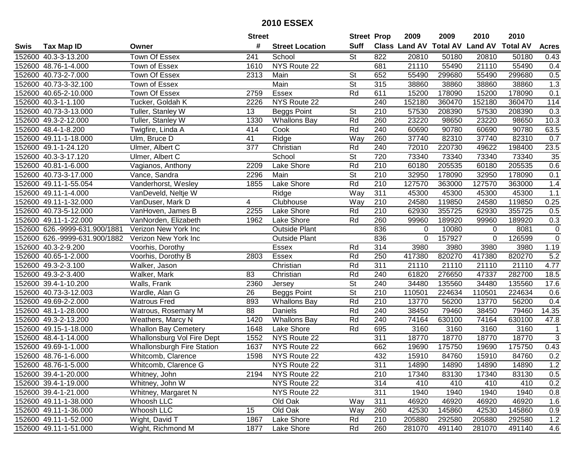|      |                               |                                   | <b>Street</b>  |                        | <b>Street Prop</b>       |     | 2009        | 2009   | 2010                           | 2010            |                |
|------|-------------------------------|-----------------------------------|----------------|------------------------|--------------------------|-----|-------------|--------|--------------------------------|-----------------|----------------|
| Swis | <b>Tax Map ID</b>             | Owner                             | #              | <b>Street Location</b> | <b>Suff</b>              |     |             |        | Class Land AV Total AV Land AV | <b>Total AV</b> | <b>Acres</b>   |
|      | 152600 40.3-3-13.200          | Town Of Essex                     | 241            | School                 | <b>St</b>                | 822 | 20810       | 50180  | 20810                          | 50180           | 0.43           |
|      | 152600 48.76-1-4.000          | Town of Essex                     | 1610           | NYS Route 22           |                          | 681 | 21110       | 55490  | 21110                          | 55490           | 0.4            |
|      | 152600 40.73-2-7.000          | Town Of Essex                     | 2313           | Main                   | <b>St</b>                | 652 | 55490       | 299680 | 55490                          | 299680          | 0.5            |
|      | 152600 40.73-3-32.100         | Town of Essex                     |                | Main                   | $\overline{\mathsf{St}}$ | 315 | 38860       | 38860  | 38860                          | 38860           | 1.3            |
|      | 152600 40.65-2-10.000         | Town Of Essex                     | 2759           | Essex                  | Rd                       | 611 | 15200       | 178090 | 15200                          | 178090          | 0.1            |
|      | 152600 40.3-1-1.100           | Tucker, Goldah K                  | 2226           | NYS Route 22           |                          | 240 | 152180      | 360470 | 152180                         | 360470          | 114            |
|      | 152600 40.73-3-13.000         | Tuller, Stanley W                 | 13             | <b>Beggs Point</b>     | <b>St</b>                | 210 | 57530       | 208390 | 57530                          | 208390          | 0.3            |
|      | 152600 49.3-2-12.000          | Tuller, Stanley W                 | 1330           | <b>Whallons Bay</b>    | Rd                       | 260 | 23220       | 98650  | 23220                          | 98650           | 10.3           |
|      | 152600 48.4-1-8.200           | Twigfire, Linda A                 | 414            | Cook                   | Rd                       | 240 | 60690       | 90780  | 60690                          | 90780           | 63.5           |
|      | 152600 49.11-1-18.000         | Ulm, Bruce D                      | 41             | Ridge                  | Way                      | 260 | 37740       | 82310  | 37740                          | 82310           | 0.7            |
|      | 152600 49.1-1-24.120          | Ulmer, Albert C                   | 377            | Christian              | Rd                       | 240 | 72010       | 220730 | 49622                          | 198400          | 23.5           |
|      | 152600 40.3-3-17.120          | Ulmer, Albert C                   |                | School                 | St                       | 720 | 73340       | 73340  | 73340                          | 73340           | 35             |
|      | 152600 40.81-1-6.000          | Vagianos, Anthony                 | 2209           | Lake Shore             | Rd                       | 210 | 60180       | 205535 | 60180                          | 205535          | 0.6            |
|      | 152600 40.73-3-17.000         | Vance, Sandra                     | 2296           | Main                   | <b>St</b>                | 210 | 32950       | 178090 | 32950                          | 178090          | 0.1            |
|      | 152600 49.11-1-55.054         | Vanderhorst, Wesley               | 1855           | Lake Shore             | Rd                       | 210 | 127570      | 363000 | 127570                         | 363000          | 1.4            |
|      | 152600 49.11-1-4.000          | VanDeveld, Neltje W               |                | Ridge                  | Way                      | 311 | 45300       | 45300  | 45300                          | 45300           | 1.1            |
|      | 152600 49.11-1-32.000         | VanDuser, Mark D                  | $\overline{4}$ | Clubhouse              | Way                      | 210 | 24580       | 119850 | 24580                          | 119850          | 0.25           |
|      | 152600 40.73-5-12.000         | VanHoven, James B                 | 2255           | Lake Shore             | Rd                       | 210 | 62930       | 355725 | 62930                          | 355725          | 0.5            |
|      | 152600 49.11-1-22.000         | VanNorden, Elizabeth              | 1962           | Lake Shore             | Rd                       | 260 | 99960       | 189920 | 99960                          | 189920          | 0.3            |
|      | 152600 626.-9999-631.900/1881 | Verizon New York Inc              |                | <b>Outside Plant</b>   |                          | 836 | $\mathbf 0$ | 10080  | $\Omega$                       | 8081            | 0              |
|      | 152600 626.-9999-631.900/1882 | Verizon New York Inc              |                | <b>Outside Plant</b>   |                          | 836 | $\mathbf 0$ | 157927 | 0                              | 126599          | $\overline{0}$ |
|      | 152600 40.3-2-9.200           | Voorhis, Dorothy                  |                | Essex                  | Rd                       | 314 | 3980        | 3980   | 3980                           | 3980            | 1.19           |
|      | 152600 40.65-1-2.000          | Voorhis, Dorothy B                | 2803           | Essex                  | Rd                       | 250 | 417380      | 820270 | 417380                         | 820270          | 5.2            |
|      | 152600 49.3-2-3.100           | Walker, Jason                     |                | Christian              | Rd                       | 311 | 21110       | 21110  | 21110                          | 21110           | 4.77           |
|      | 152600 49.3-2-3.400           | Walker, Mark                      | 83             | Christian              | Rd                       | 240 | 61820       | 276650 | 47337                          | 282700          | 18.5           |
|      | 152600 39.4-1-10.200          | Walls, Frank                      | 2360           | Jersey                 | $\overline{\mathsf{St}}$ | 240 | 34480       | 135560 | 34480                          | 135560          | 17.6           |
|      | 152600 40.73-3-12.003         | Wardle, Alan G                    | 26             | <b>Beggs Point</b>     | $\overline{\mathsf{St}}$ | 210 | 110501      | 224634 | 110501                         | 224634          | 0.6            |
|      | 152600 49.69-2-2.000          | <b>Watrous Fred</b>               | 893            | <b>Whallons Bay</b>    | Rd                       | 210 | 13770       | 56200  | 13770                          | 56200           | 0.4            |
|      | 152600 48.1-1-28.000          | Watrous, Rosemary M               | 88             | Daniels                | Rd                       | 240 | 38450       | 79460  | 38450                          | 79460           | 14.35          |
|      | 152600 49.3-2-13.200          | Weathers, Marcy N                 | 1420           | <b>Whallons Bay</b>    | Rd                       | 240 | 74164       | 630100 | 74164                          | 630100          | 47.8           |
|      | 152600 49.15-1-18.000         | <b>Whallon Bay Cemetery</b>       | 1648           | Lake Shore             | Rd                       | 695 | 3160        | 3160   | 3160                           | 3160            | $\mathbf{1}$   |
|      | 152600 48.4-1-14.000          | Whallonsburg Vol Fire Dept        | 1552           | NYS Route 22           |                          | 311 | 18770       | 18770  | 18770                          | 18770           | $\overline{3}$ |
|      | 152600 49.69-1-1.000          | <b>Whallonsburgh Fire Station</b> | 1637           | NYS Route 22           |                          | 662 | 19690       | 175750 | 19690                          | 175750          | 0.43           |
|      | 152600 48.76-1-6.000          | Whitcomb, Clarence                | 1598           | NYS Route 22           |                          | 432 | 15910       | 84760  | 15910                          | 84760           | 0.2            |
|      | 152600 48.76-1-5.000          | Whitcomb, Clarence G              |                | NYS Route 22           |                          | 311 | 14890       | 14890  | 14890                          | 14890           | 1.2            |
|      | 152600 39.4-1-20.000          | Whitney, John                     | 2194           | NYS Route 22           |                          | 210 | 17340       | 83130  | 17340                          | 83130           | 0.5            |
|      | 152600 39.4-1-19.000          | Whitney, John W                   |                | NYS Route 22           |                          | 314 | 410         | 410    | 410                            | 410             | 0.2            |
|      | 152600 39.4-1-21.000          | Whitney, Margaret N               |                | NYS Route 22           |                          | 311 | 1940        | 1940   | 1940                           | 1940            | 0.8            |
|      | 152600 49.11-1-38.000         | Whoosh LLC                        |                | Old Oak                | Way                      | 311 | 46920       | 46920  | 46920                          | 46920           | 1.6            |
|      | 152600 49.11-1-36.000         | Whoosh LLC                        | 15             | Old Oak                | Way                      | 260 | 42530       | 145860 | 42530                          | 145860          | 0.9            |
|      | 152600 49.11-1-52.000         | Wight, David T                    | 1867           | Lake Shore             | Rd                       | 210 | 205880      | 292580 | 205880                         | 292580          | 1.2            |
|      | 152600 49.11-1-51.000         | Wight, Richmond M                 | 1877           | Lake Shore             | Rd                       | 260 | 281070      | 491140 | 281070                         | 491140          | 4.6            |